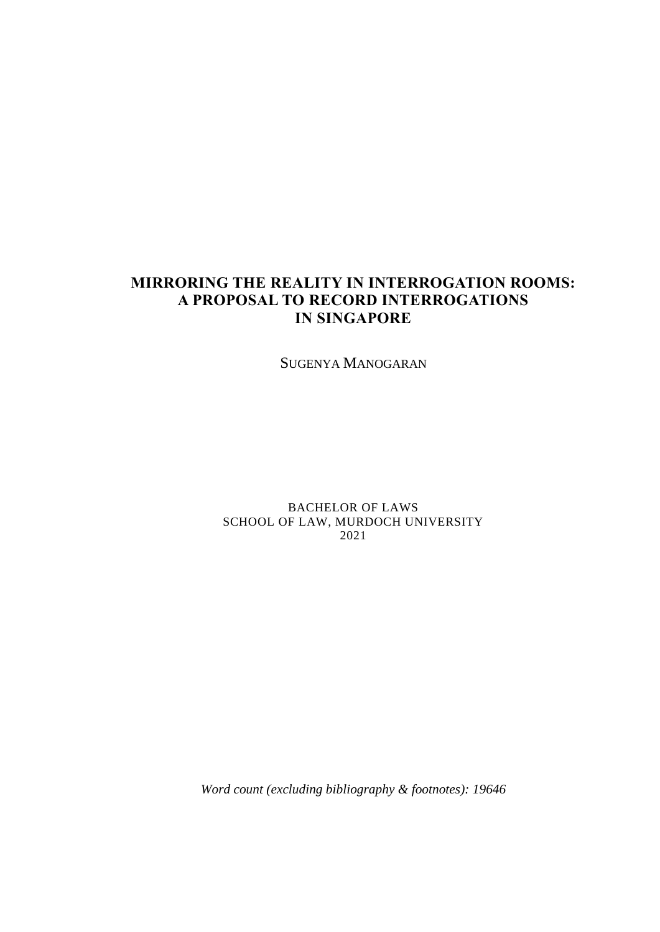# **MIRRORING THE REALITY IN INTERROGATION ROOMS: A PROPOSAL TO RECORD INTERROGATIONS IN SINGAPORE**

SUGENYA MANOGARAN

BACHELOR OF LAWS SCHOOL OF LAW, MURDOCH UNIVERSITY 2021

*Word count (excluding bibliography & footnotes): 19646*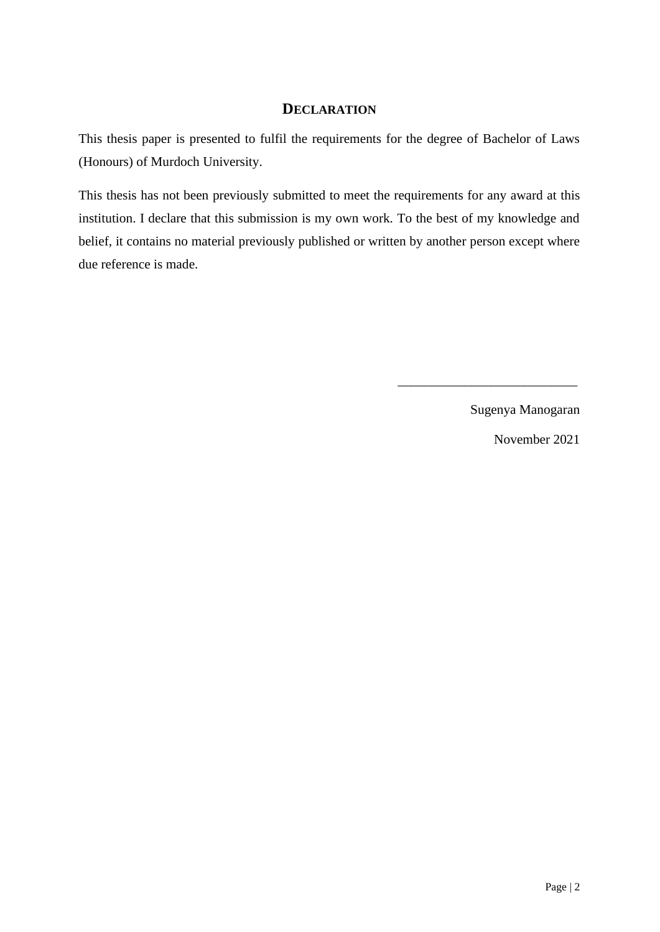## **DECLARATION**

This thesis paper is presented to fulfil the requirements for the degree of Bachelor of Laws (Honours) of Murdoch University.

This thesis has not been previously submitted to meet the requirements for any award at this institution. I declare that this submission is my own work. To the best of my knowledge and belief, it contains no material previously published or written by another person except where due reference is made.

Sugenya Manogaran

\_\_\_\_\_\_\_\_\_\_\_\_\_\_\_\_\_\_\_\_\_\_\_\_\_\_\_

November 2021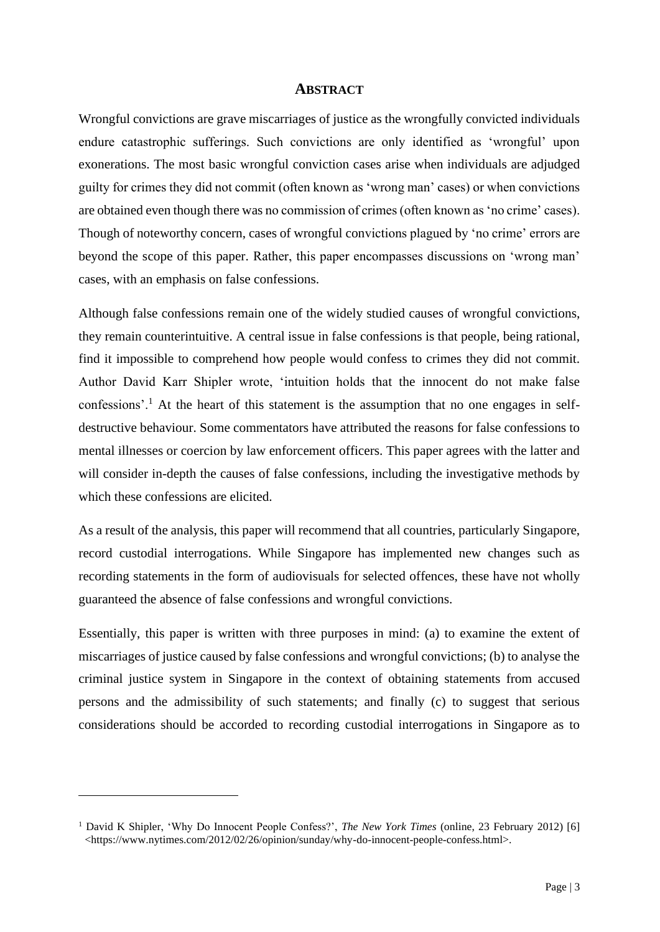#### **ABSTRACT**

Wrongful convictions are grave miscarriages of justice as the wrongfully convicted individuals endure catastrophic sufferings. Such convictions are only identified as 'wrongful' upon exonerations. The most basic wrongful conviction cases arise when individuals are adjudged guilty for crimes they did not commit (often known as 'wrong man' cases) or when convictions are obtained even though there was no commission of crimes (often known as 'no crime' cases). Though of noteworthy concern, cases of wrongful convictions plagued by 'no crime' errors are beyond the scope of this paper. Rather, this paper encompasses discussions on 'wrong man' cases, with an emphasis on false confessions.

Although false confessions remain one of the widely studied causes of wrongful convictions, they remain counterintuitive. A central issue in false confessions is that people, being rational, find it impossible to comprehend how people would confess to crimes they did not commit. Author David Karr Shipler wrote, 'intuition holds that the innocent do not make false confessions'.<sup>1</sup> At the heart of this statement is the assumption that no one engages in selfdestructive behaviour. Some commentators have attributed the reasons for false confessions to mental illnesses or coercion by law enforcement officers. This paper agrees with the latter and will consider in-depth the causes of false confessions, including the investigative methods by which these confessions are elicited.

As a result of the analysis, this paper will recommend that all countries, particularly Singapore, record custodial interrogations. While Singapore has implemented new changes such as recording statements in the form of audiovisuals for selected offences, these have not wholly guaranteed the absence of false confessions and wrongful convictions.

Essentially, this paper is written with three purposes in mind: (a) to examine the extent of miscarriages of justice caused by false confessions and wrongful convictions; (b) to analyse the criminal justice system in Singapore in the context of obtaining statements from accused persons and the admissibility of such statements; and finally (c) to suggest that serious considerations should be accorded to recording custodial interrogations in Singapore as to

<sup>&</sup>lt;sup>1</sup> David K Shipler, 'Why Do Innocent People Confess?', *The New York Times* (online, 23 February 2012) [6] <https://www.nytimes.com/2012/02/26/opinion/sunday/why-do-innocent-people-confess.html>.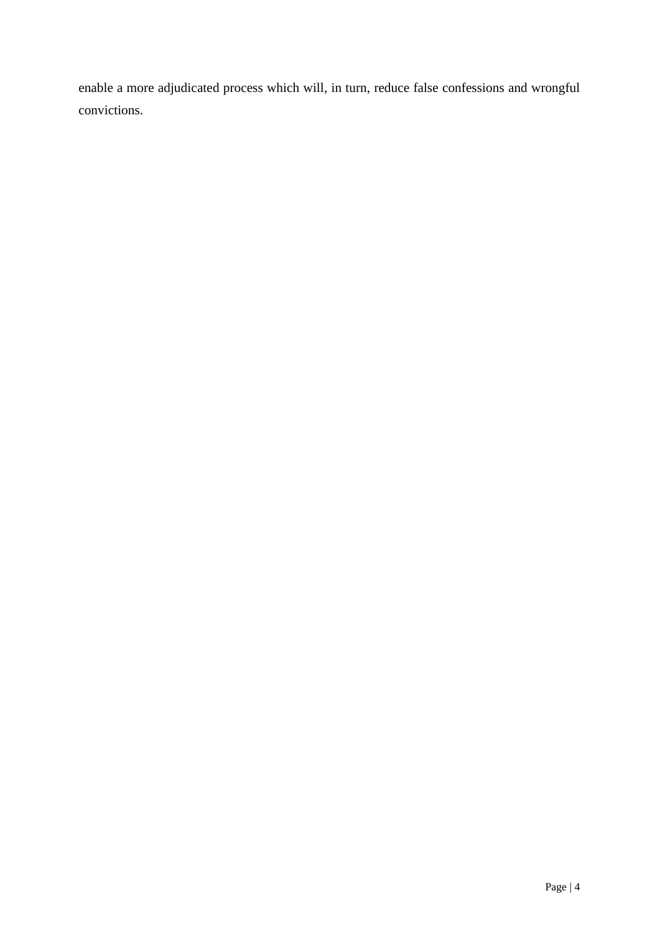enable a more adjudicated process which will, in turn, reduce false confessions and wrongful convictions.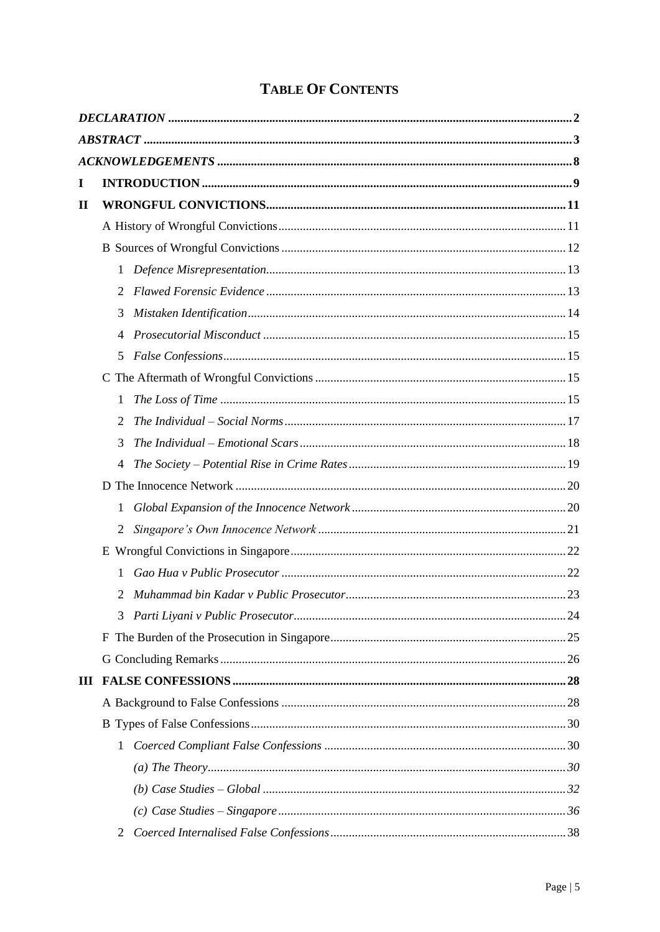| I           |   |  |  |
|-------------|---|--|--|
| $\mathbf H$ |   |  |  |
|             |   |  |  |
|             |   |  |  |
|             | 1 |  |  |
|             | 2 |  |  |
|             | 3 |  |  |
|             | 4 |  |  |
|             | 5 |  |  |
|             |   |  |  |
|             | 1 |  |  |
|             | 2 |  |  |
|             | 3 |  |  |
|             | 4 |  |  |
|             |   |  |  |
|             | 1 |  |  |
|             | 2 |  |  |
|             |   |  |  |
|             | 1 |  |  |
|             | 2 |  |  |
|             | 3 |  |  |
|             |   |  |  |
|             |   |  |  |
| Ш           |   |  |  |
|             |   |  |  |
|             |   |  |  |
|             | 1 |  |  |
|             |   |  |  |
|             |   |  |  |
|             |   |  |  |
|             | 2 |  |  |

# **TABLE OF CONTENTS**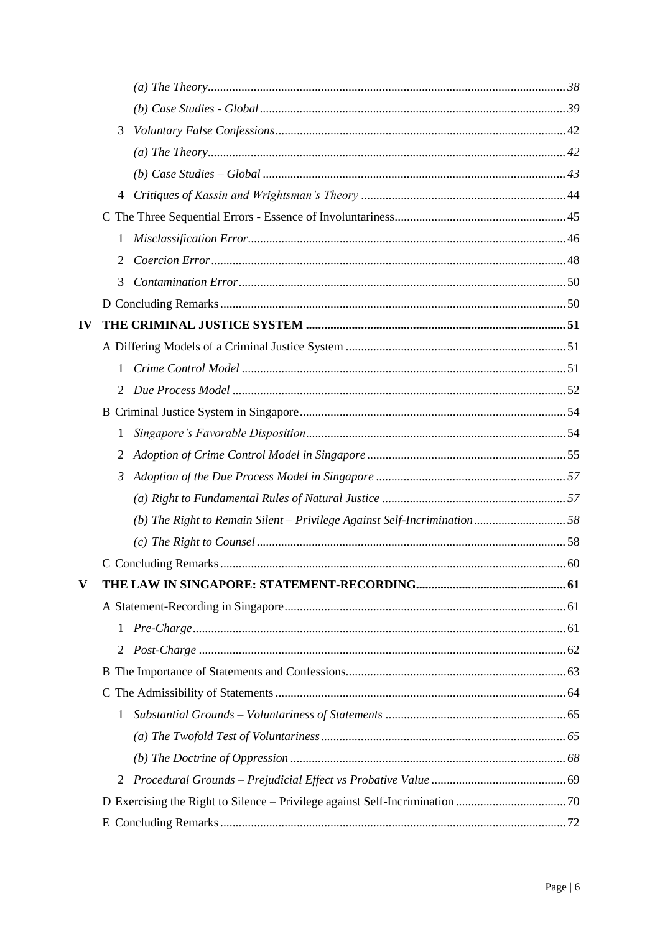|    | 3            |  |  |
|----|--------------|--|--|
|    |              |  |  |
|    |              |  |  |
|    | 4            |  |  |
|    |              |  |  |
|    | 1            |  |  |
|    | 2            |  |  |
|    | 3            |  |  |
|    |              |  |  |
| IV |              |  |  |
|    |              |  |  |
|    | $\mathbf{1}$ |  |  |
|    | 2            |  |  |
|    |              |  |  |
|    | 1            |  |  |
|    | 2            |  |  |
|    | 3            |  |  |
|    |              |  |  |
|    |              |  |  |
|    |              |  |  |
|    |              |  |  |
| V  |              |  |  |
|    |              |  |  |
|    | $\mathbf{1}$ |  |  |
|    | 2            |  |  |
|    |              |  |  |
|    |              |  |  |
|    | 1            |  |  |
|    |              |  |  |
|    |              |  |  |
|    | 2            |  |  |
|    |              |  |  |
|    |              |  |  |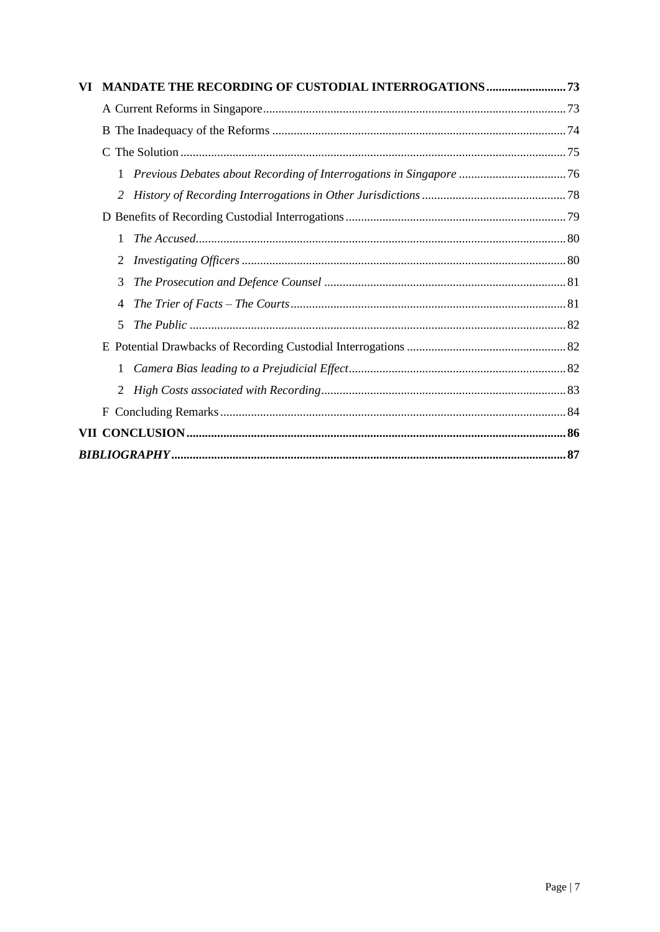| VI |   | <b>MANDATE THE RECORDING OF CUSTODIAL INTERROGATIONS  73</b> |  |  |
|----|---|--------------------------------------------------------------|--|--|
|    |   |                                                              |  |  |
|    |   |                                                              |  |  |
|    | C |                                                              |  |  |
|    | 1 |                                                              |  |  |
|    | 2 |                                                              |  |  |
|    |   |                                                              |  |  |
|    | 1 |                                                              |  |  |
|    | 2 |                                                              |  |  |
|    | 3 |                                                              |  |  |
|    | 4 |                                                              |  |  |
|    | 5 |                                                              |  |  |
|    |   |                                                              |  |  |
|    | 1 |                                                              |  |  |
|    | 2 |                                                              |  |  |
|    | F |                                                              |  |  |
|    |   |                                                              |  |  |
|    |   |                                                              |  |  |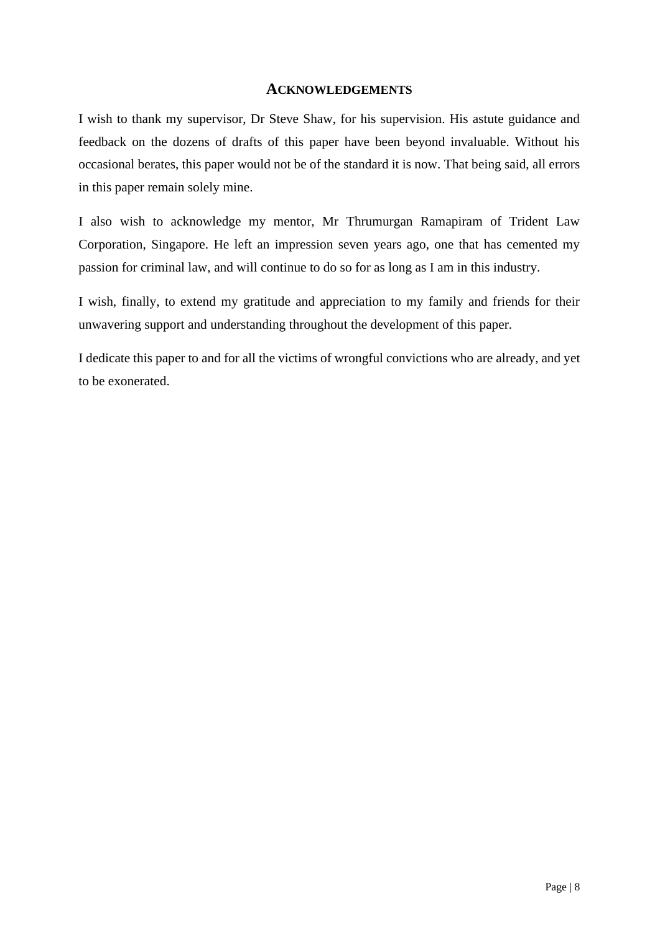## **ACKNOWLEDGEMENTS**

I wish to thank my supervisor, Dr Steve Shaw, for his supervision. His astute guidance and feedback on the dozens of drafts of this paper have been beyond invaluable. Without his occasional berates, this paper would not be of the standard it is now. That being said, all errors in this paper remain solely mine.

I also wish to acknowledge my mentor, Mr Thrumurgan Ramapiram of Trident Law Corporation, Singapore. He left an impression seven years ago, one that has cemented my passion for criminal law, and will continue to do so for as long as I am in this industry.

I wish, finally, to extend my gratitude and appreciation to my family and friends for their unwavering support and understanding throughout the development of this paper.

I dedicate this paper to and for all the victims of wrongful convictions who are already, and yet to be exonerated.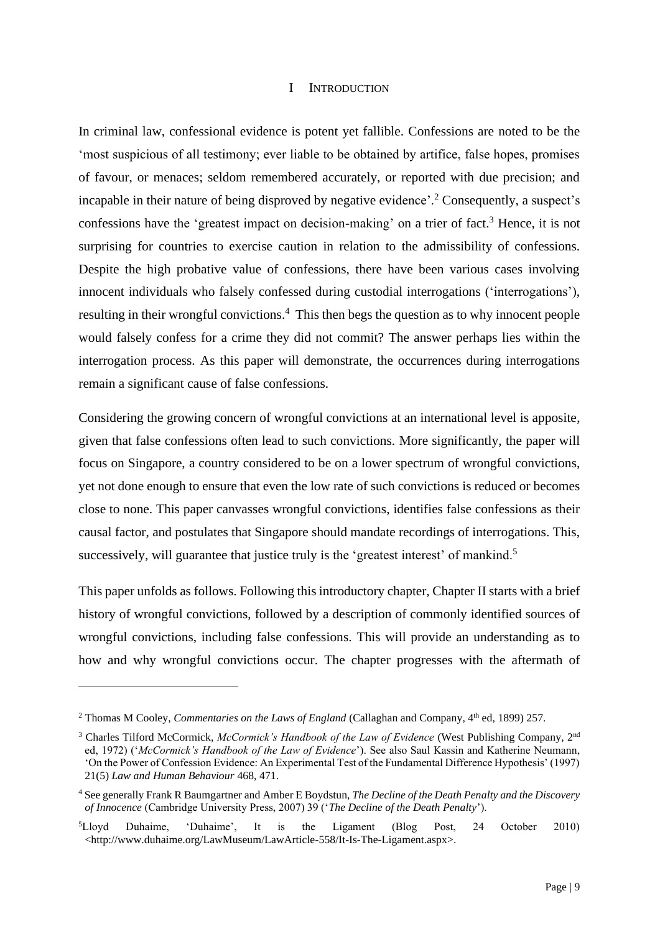#### I INTRODUCTION

In criminal law, confessional evidence is potent yet fallible. Confessions are noted to be the 'most suspicious of all testimony; ever liable to be obtained by artifice, false hopes, promises of favour, or menaces; seldom remembered accurately, or reported with due precision; and incapable in their nature of being disproved by negative evidence'.<sup>2</sup> Consequently, a suspect's confessions have the 'greatest impact on decision-making' on a trier of fact.<sup>3</sup> Hence, it is not surprising for countries to exercise caution in relation to the admissibility of confessions. Despite the high probative value of confessions, there have been various cases involving innocent individuals who falsely confessed during custodial interrogations ('interrogations'), resulting in their wrongful convictions.<sup>4</sup> This then begs the question as to why innocent people would falsely confess for a crime they did not commit? The answer perhaps lies within the interrogation process. As this paper will demonstrate, the occurrences during interrogations remain a significant cause of false confessions.

Considering the growing concern of wrongful convictions at an international level is apposite, given that false confessions often lead to such convictions. More significantly, the paper will focus on Singapore, a country considered to be on a lower spectrum of wrongful convictions, yet not done enough to ensure that even the low rate of such convictions is reduced or becomes close to none. This paper canvasses wrongful convictions, identifies false confessions as their causal factor, and postulates that Singapore should mandate recordings of interrogations. This, successively, will guarantee that justice truly is the 'greatest interest' of mankind.<sup>5</sup>

This paper unfolds as follows. Following this introductory chapter, Chapter II starts with a brief history of wrongful convictions, followed by a description of commonly identified sources of wrongful convictions, including false confessions. This will provide an understanding as to how and why wrongful convictions occur. The chapter progresses with the aftermath of

<sup>&</sup>lt;sup>2</sup> Thomas M Cooley, *Commentaries on the Laws of England* (Callaghan and Company, 4<sup>th</sup> ed, 1899) 257.

<sup>&</sup>lt;sup>3</sup> Charles Tilford McCormick, *McCormick's Handbook of the Law of Evidence* (West Publishing Company, 2<sup>nd</sup> ed, 1972) ('*McCormick's Handbook of the Law of Evidence*'). See also Saul Kassin and Katherine Neumann, 'On the Power of Confession Evidence: An Experimental Test of the Fundamental Difference Hypothesis' (1997) 21(5) *Law and Human Behaviour* 468, 471.

<sup>4</sup> See generally Frank R Baumgartner and Amber E Boydstun, *The Decline of the Death Penalty and the Discovery of Innocence* (Cambridge University Press, 2007) 39 ('*The Decline of the Death Penalty*').

<sup>5</sup>Lloyd Duhaime, 'Duhaime', It is the Ligament (Blog Post, 24 October 2010) <http://www.duhaime.org/LawMuseum/LawArticle-558/It-Is-The-Ligament.aspx>.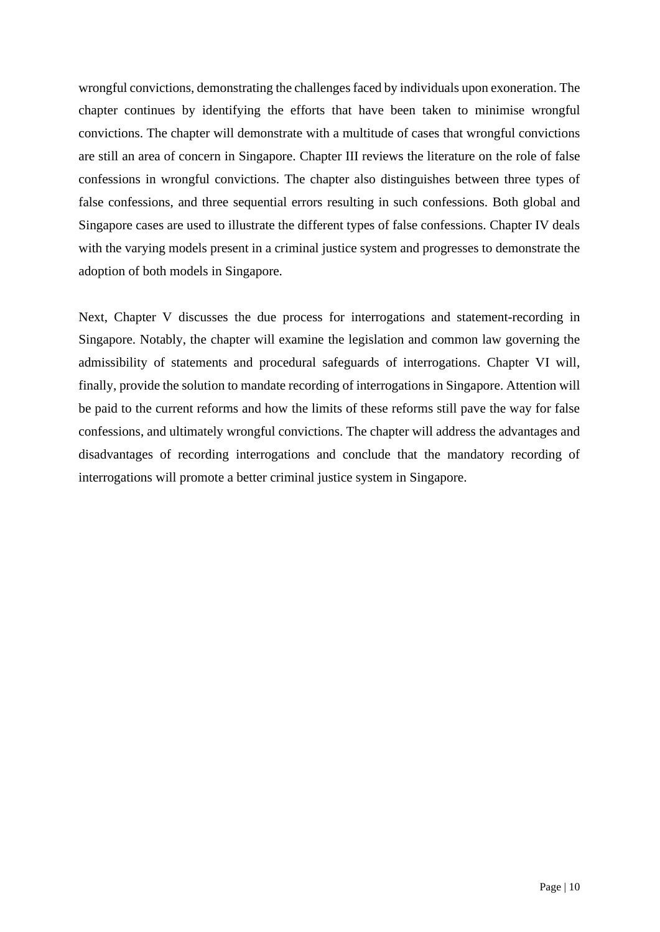wrongful convictions, demonstrating the challenges faced by individuals upon exoneration. The chapter continues by identifying the efforts that have been taken to minimise wrongful convictions. The chapter will demonstrate with a multitude of cases that wrongful convictions are still an area of concern in Singapore. Chapter III reviews the literature on the role of false confessions in wrongful convictions. The chapter also distinguishes between three types of false confessions, and three sequential errors resulting in such confessions. Both global and Singapore cases are used to illustrate the different types of false confessions. Chapter IV deals with the varying models present in a criminal justice system and progresses to demonstrate the adoption of both models in Singapore.

Next, Chapter V discusses the due process for interrogations and statement-recording in Singapore. Notably, the chapter will examine the legislation and common law governing the admissibility of statements and procedural safeguards of interrogations. Chapter VI will, finally, provide the solution to mandate recording of interrogations in Singapore. Attention will be paid to the current reforms and how the limits of these reforms still pave the way for false confessions, and ultimately wrongful convictions. The chapter will address the advantages and disadvantages of recording interrogations and conclude that the mandatory recording of interrogations will promote a better criminal justice system in Singapore.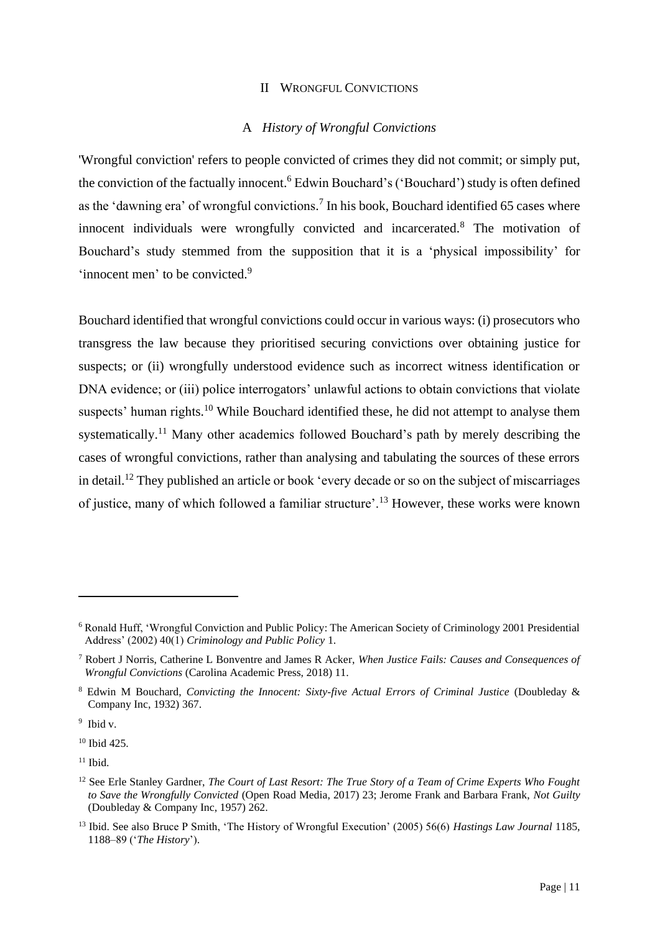#### II WRONGFUL CONVICTIONS

#### A *History of Wrongful Convictions*

'Wrongful conviction' refers to people convicted of crimes they did not commit; or simply put, the conviction of the factually innocent.<sup>6</sup> Edwin Bouchard's ('Bouchard') study is often defined as the 'dawning era' of wrongful convictions.<sup>7</sup> In his book, Bouchard identified 65 cases where innocent individuals were wrongfully convicted and incarcerated.<sup>8</sup> The motivation of Bouchard's study stemmed from the supposition that it is a 'physical impossibility' for 'innocent men' to be convicted.<sup>9</sup>

Bouchard identified that wrongful convictions could occur in various ways: (i) prosecutors who transgress the law because they prioritised securing convictions over obtaining justice for suspects; or (ii) wrongfully understood evidence such as incorrect witness identification or DNA evidence; or (iii) police interrogators' unlawful actions to obtain convictions that violate suspects' human rights.<sup>10</sup> While Bouchard identified these, he did not attempt to analyse them systematically.<sup>11</sup> Many other academics followed Bouchard's path by merely describing the cases of wrongful convictions, rather than analysing and tabulating the sources of these errors in detail.<sup>12</sup> They published an article or book 'every decade or so on the subject of miscarriages of justice, many of which followed a familiar structure'.<sup>13</sup> However, these works were known

<sup>10</sup> Ibid 425.

<sup>6</sup> Ronald Huff, 'Wrongful Conviction and Public Policy: The American Society of Criminology 2001 Presidential Address' (2002) 40(1) *Criminology and Public Policy* 1.

<sup>7</sup> Robert J Norris, Catherine L Bonventre and James R Acker, *When Justice Fails: Causes and Consequences of Wrongful Convictions* (Carolina Academic Press, 2018) 11.

<sup>8</sup> Edwin M Bouchard, *Convicting the Innocent: Sixty-five Actual Errors of Criminal Justice* (Doubleday & Company Inc, 1932) 367.

<sup>9</sup> Ibid v.

 $11$  Ibid.

<sup>&</sup>lt;sup>12</sup> See Erle Stanley Gardner, *The Court of Last Resort: The True Story of a Team of Crime Experts Who Fought to Save the Wrongfully Convicted* (Open Road Media, 2017) 23; Jerome Frank and Barbara Frank, *Not Guilty* (Doubleday & Company Inc, 1957) 262.

<sup>13</sup> Ibid. See also Bruce P Smith, 'The History of Wrongful Execution' (2005) 56(6) *Hastings Law Journal* 1185, 1188–89 ('*The History*').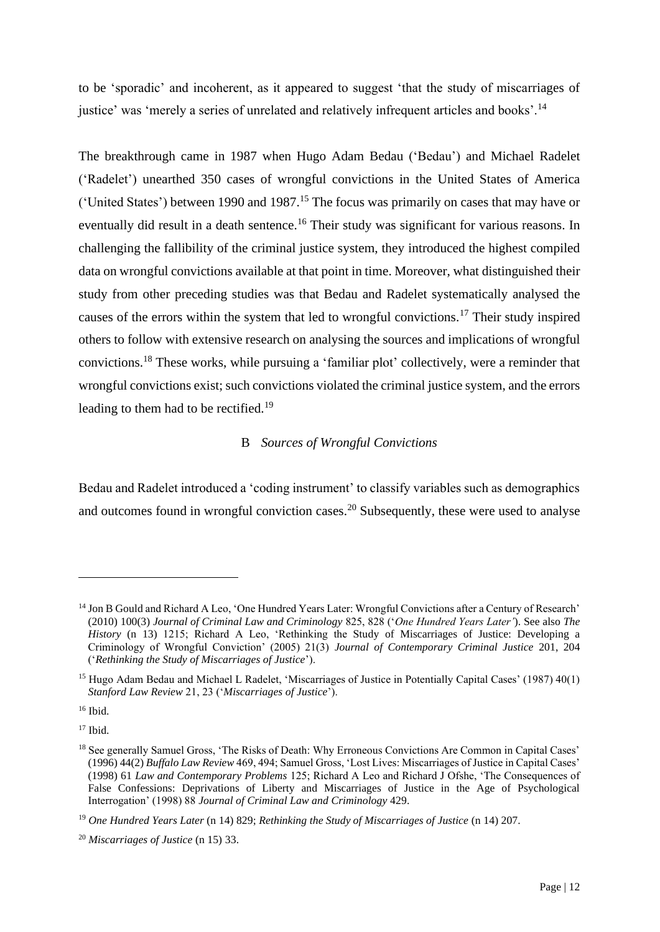to be 'sporadic' and incoherent, as it appeared to suggest 'that the study of miscarriages of justice' was 'merely a series of unrelated and relatively infrequent articles and books'.<sup>14</sup>

The breakthrough came in 1987 when Hugo Adam Bedau ('Bedau') and Michael Radelet ('Radelet') unearthed 350 cases of wrongful convictions in the United States of America ('United States') between 1990 and 1987.<sup>15</sup> The focus was primarily on cases that may have or eventually did result in a death sentence.<sup>16</sup> Their study was significant for various reasons. In challenging the fallibility of the criminal justice system, they introduced the highest compiled data on wrongful convictions available at that point in time. Moreover, what distinguished their study from other preceding studies was that Bedau and Radelet systematically analysed the causes of the errors within the system that led to wrongful convictions.<sup>17</sup> Their study inspired others to follow with extensive research on analysing the sources and implications of wrongful convictions.<sup>18</sup> These works, while pursuing a 'familiar plot' collectively, were a reminder that wrongful convictions exist; such convictions violated the criminal justice system, and the errors leading to them had to be rectified.<sup>19</sup>

## B *Sources of Wrongful Convictions*

Bedau and Radelet introduced a 'coding instrument' to classify variables such as demographics and outcomes found in wrongful conviction cases.<sup>20</sup> Subsequently, these were used to analyse

<sup>16</sup> Ibid.

<sup>14</sup> Jon B Gould and Richard A Leo, 'One Hundred Years Later: Wrongful Convictions after a Century of Research' (2010) 100(3) *Journal of Criminal Law and Criminology* 825, 828 ('*One Hundred Years Later'*). See also *The History* (n 13) 1215; Richard A Leo, 'Rethinking the Study of Miscarriages of Justice: Developing a Criminology of Wrongful Conviction' (2005) 21(3) *Journal of Contemporary Criminal Justice* 201, 204 ('*Rethinking the Study of Miscarriages of Justice*').

<sup>&</sup>lt;sup>15</sup> Hugo Adam Bedau and Michael L Radelet, 'Miscarriages of Justice in Potentially Capital Cases' (1987) 40(1) *Stanford Law Review* 21, 23 ('*Miscarriages of Justice*').

<sup>&</sup>lt;sup>18</sup> See generally Samuel Gross, 'The Risks of Death: Why Erroneous Convictions Are Common in Capital Cases' (1996) 44(2) *Buffalo Law Review* 469, 494; Samuel Gross, 'Lost Lives: Miscarriages of Justice in Capital Cases' (1998) 61 *Law and Contemporary Problems* 125; Richard A Leo and Richard J Ofshe, 'The Consequences of False Confessions: Deprivations of Liberty and Miscarriages of Justice in the Age of Psychological Interrogation' (1998) 88 *Journal of Criminal Law and Criminology* 429.

<sup>19</sup> *One Hundred Years Later* (n 14) 829; *Rethinking the Study of Miscarriages of Justice* (n 14) 207.

<sup>20</sup> *Miscarriages of Justice* (n 15) 33.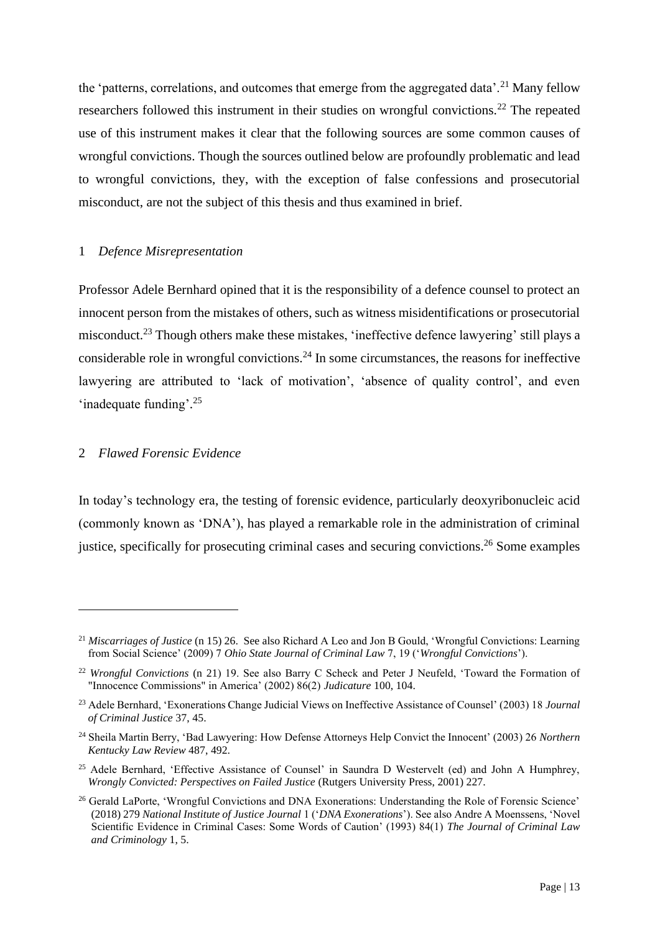the 'patterns, correlations, and outcomes that emerge from the aggregated data'.<sup>21</sup> Many fellow researchers followed this instrument in their studies on wrongful convictions.<sup>22</sup> The repeated use of this instrument makes it clear that the following sources are some common causes of wrongful convictions. Though the sources outlined below are profoundly problematic and lead to wrongful convictions, they, with the exception of false confessions and prosecutorial misconduct, are not the subject of this thesis and thus examined in brief.

#### 1 *Defence Misrepresentation*

Professor Adele Bernhard opined that it is the responsibility of a defence counsel to protect an innocent person from the mistakes of others, such as witness misidentifications or prosecutorial misconduct.<sup>23</sup> Though others make these mistakes, 'ineffective defence lawyering' still plays a considerable role in wrongful convictions.<sup>24</sup> In some circumstances, the reasons for ineffective lawyering are attributed to 'lack of motivation', 'absence of quality control', and even 'inadequate funding'.<sup>25</sup>

## 2 *Flawed Forensic Evidence*

In today's technology era, the testing of forensic evidence, particularly deoxyribonucleic acid (commonly known as 'DNA'), has played a remarkable role in the administration of criminal justice, specifically for prosecuting criminal cases and securing convictions.<sup>26</sup> Some examples

<sup>21</sup> *Miscarriages of Justice* (n 15) 26. See also Richard A Leo and Jon B Gould, 'Wrongful Convictions: Learning from Social Science' (2009) 7 *Ohio State Journal of Criminal Law* 7, 19 ('*Wrongful Convictions*').

<sup>22</sup> *Wrongful Convictions* (n 21) 19. See also Barry C Scheck and Peter J Neufeld, 'Toward the Formation of "Innocence Commissions" in America' (2002) 86(2) *Judicature* 100, 104.

<sup>23</sup> Adele Bernhard, 'Exonerations Change Judicial Views on Ineffective Assistance of Counsel' (2003) 18 *Journal of Criminal Justice* 37, 45.

<sup>24</sup> Sheila Martin Berry, 'Bad Lawyering: How Defense Attorneys Help Convict the Innocent' (2003) 26 *Northern Kentucky Law Review* 487, 492.

<sup>&</sup>lt;sup>25</sup> Adele Bernhard, 'Effective Assistance of Counsel' in Saundra D Westervelt (ed) and John A Humphrey, *Wrongly Convicted: Perspectives on Failed Justice* (Rutgers University Press, 2001) 227.

<sup>&</sup>lt;sup>26</sup> Gerald LaPorte, 'Wrongful Convictions and DNA Exonerations: Understanding the Role of Forensic Science' (2018) 279 *National Institute of Justice Journal* 1 ('*DNA Exonerations*'). See also Andre A Moenssens, 'Novel Scientific Evidence in Criminal Cases: Some Words of Caution' (1993) 84(1) *The Journal of Criminal Law and Criminology* 1, 5.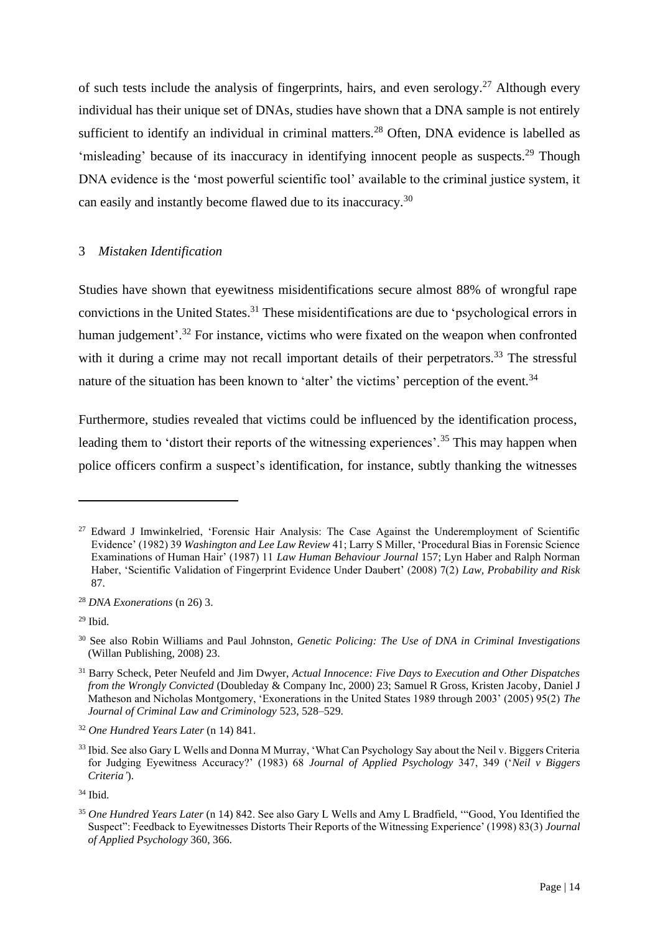of such tests include the analysis of fingerprints, hairs, and even serology.<sup>27</sup> Although every individual has their unique set of DNAs, studies have shown that a DNA sample is not entirely sufficient to identify an individual in criminal matters.<sup>28</sup> Often, DNA evidence is labelled as 'misleading' because of its inaccuracy in identifying innocent people as suspects.<sup>29</sup> Though DNA evidence is the 'most powerful scientific tool' available to the criminal justice system, it can easily and instantly become flawed due to its inaccuracy.<sup>30</sup>

## 3 *Mistaken Identification*

Studies have shown that eyewitness misidentifications secure almost 88% of wrongful rape convictions in the United States.<sup>31</sup> These misidentifications are due to 'psychological errors in human judgement'.<sup>32</sup> For instance, victims who were fixated on the weapon when confronted with it during a crime may not recall important details of their perpetrators.<sup>33</sup> The stressful nature of the situation has been known to 'alter' the victims' perception of the event.<sup>34</sup>

Furthermore, studies revealed that victims could be influenced by the identification process, leading them to 'distort their reports of the witnessing experiences'.<sup>35</sup> This may happen when police officers confirm a suspect's identification, for instance, subtly thanking the witnesses

<sup>&</sup>lt;sup>27</sup> Edward J Imwinkelried, 'Forensic Hair Analysis: The Case Against the Underemployment of Scientific Evidence' (1982) 39 *Washington and Lee Law Review* 41; Larry S Miller, 'Procedural Bias in Forensic Science Examinations of Human Hair' (1987) 11 *Law Human Behaviour Journal* 157; Lyn Haber and Ralph Norman Haber, 'Scientific Validation of Fingerprint Evidence Under Daubert' (2008) 7(2) *Law, Probability and Risk* 87.

<sup>28</sup> *DNA Exonerations* (n 26) 3.

 $29$  Ibid.

<sup>30</sup> See also Robin Williams and Paul Johnston, *Genetic Policing: The Use of DNA in Criminal Investigations* (Willan Publishing, 2008) 23.

<sup>31</sup> Barry Scheck, Peter Neufeld and Jim Dwyer, *Actual Innocence: Five Days to Execution and Other Dispatches from the Wrongly Convicted* (Doubleday & Company Inc, 2000) 23; Samuel R Gross, Kristen Jacoby, Daniel J Matheson and Nicholas Montgomery, 'Exonerations in the United States 1989 through 2003' (2005) 95(2) *The Journal of Criminal Law and Criminology* 523, 528–529.

<sup>32</sup> *One Hundred Years Later* (n 14) 841.

<sup>&</sup>lt;sup>33</sup> Ibid. See also Gary L Wells and Donna M Murray, 'What Can Psychology Say about the Neil v. Biggers Criteria for Judging Eyewitness Accuracy?' (1983) 68 *Journal of Applied Psychology* 347, 349 ('*Neil v Biggers Criteria'*).

<sup>34</sup> Ibid.

<sup>35</sup> *One Hundred Years Later* (n 14) 842. See also Gary L Wells and Amy L Bradfield, '"Good, You Identified the Suspect": Feedback to Eyewitnesses Distorts Their Reports of the Witnessing Experience' (1998) 83(3) *Journal of Applied Psychology* 360, 366.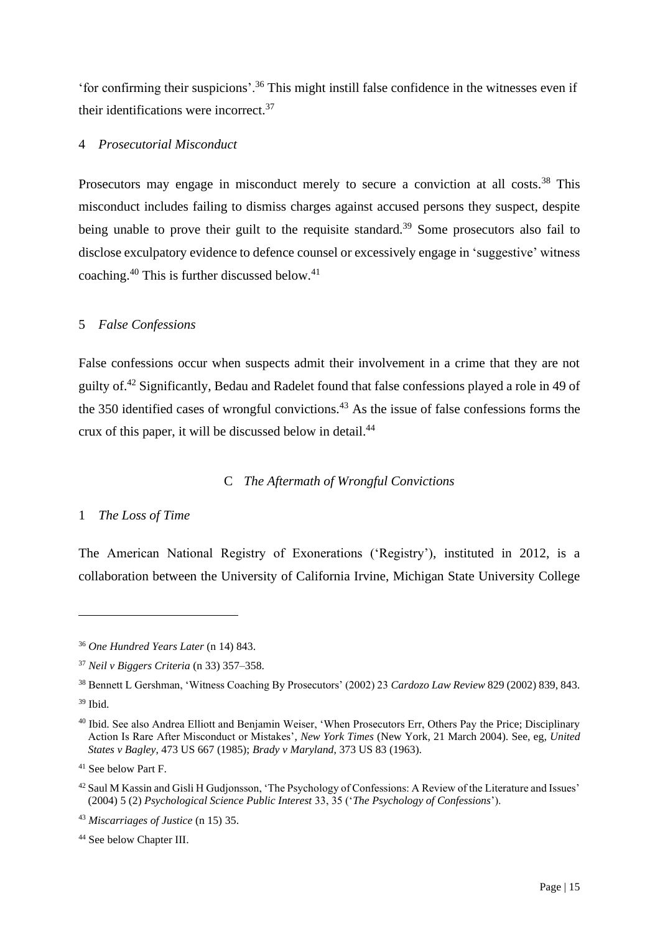'for confirming their suspicions'.<sup>36</sup> This might instill false confidence in the witnesses even if their identifications were incorrect.<sup>37</sup>

#### 4 *Prosecutorial Misconduct*

Prosecutors may engage in misconduct merely to secure a conviction at all costs.<sup>38</sup> This misconduct includes failing to dismiss charges against accused persons they suspect, despite being unable to prove their guilt to the requisite standard.<sup>39</sup> Some prosecutors also fail to disclose exculpatory evidence to defence counsel or excessively engage in 'suggestive' witness coaching.<sup>40</sup> This is further discussed below.<sup>41</sup>

#### 5 *False Confessions*

False confessions occur when suspects admit their involvement in a crime that they are not guilty of.<sup>42</sup> Significantly, Bedau and Radelet found that false confessions played a role in 49 of the 350 identified cases of wrongful convictions.<sup>43</sup> As the issue of false confessions forms the crux of this paper, it will be discussed below in detail. 44

## C *The Aftermath of Wrongful Convictions*

## 1 *The Loss of Time*

The American National Registry of Exonerations ('Registry'), instituted in 2012, is a collaboration between the University of California Irvine, Michigan State University College

<sup>36</sup> *One Hundred Years Later* (n 14) 843.

<sup>37</sup> *Neil v Biggers Criteria* (n 33) 357–358.

<sup>38</sup> Bennett L Gershman, 'Witness Coaching By Prosecutors' (2002) 23 *Cardozo Law Review* 829 (2002) 839, 843.

<sup>39</sup> Ibid.

<sup>&</sup>lt;sup>40</sup> Ibid. See also Andrea Elliott and Benjamin Weiser, 'When Prosecutors Err, Others Pay the Price; Disciplinary Action Is Rare After Misconduct or Mistakes', *New York Times* (New York, 21 March 2004). See, eg, *United States v Bagley*, 473 US 667 (1985); *Brady v Maryland*, 373 US 83 (1963).

<sup>41</sup> See below Part F.

<sup>42</sup> Saul M Kassin and Gisli H Gudjonsson, 'The Psychology of Confessions: A Review of the Literature and Issues' (2004) 5 (2) *Psychological Science Public Interest* 33, 35 ('*The Psychology of Confessions*').

<sup>43</sup> *Miscarriages of Justice* (n 15) 35.

<sup>44</sup> See below Chapter III.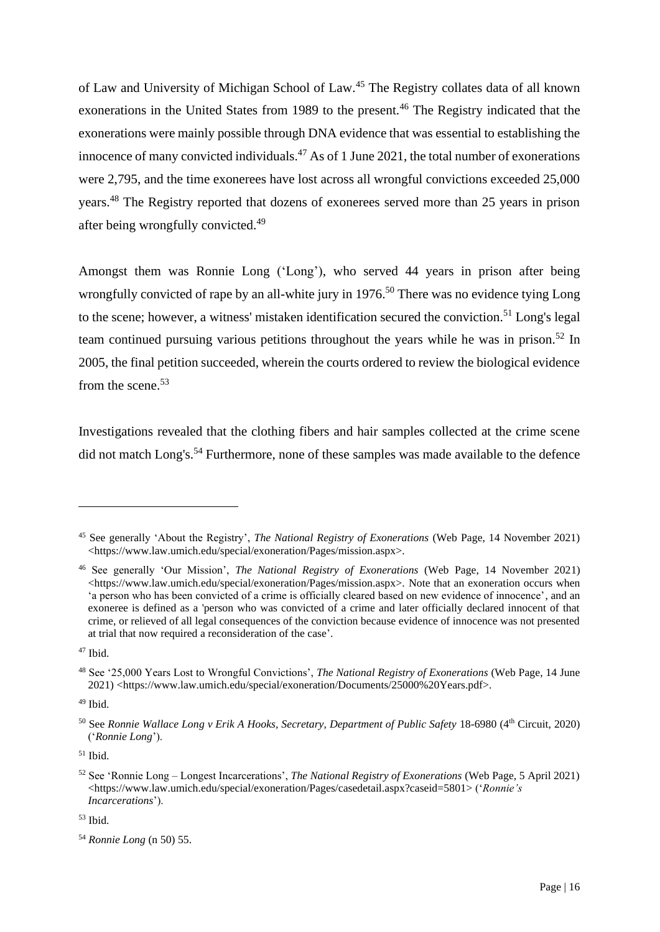of Law and University of Michigan School of Law.<sup>45</sup> The Registry collates data of all known exonerations in the United States from 1989 to the present.<sup>46</sup> The Registry indicated that the exonerations were mainly possible through DNA evidence that was essential to establishing the innocence of many convicted individuals.<sup>47</sup> As of 1 June 2021, the total number of exonerations were 2,795, and the time exonerees have lost across all wrongful convictions exceeded 25,000 years.<sup>48</sup> The Registry reported that dozens of exonerees served more than 25 years in prison after being wrongfully convicted.<sup>49</sup>

Amongst them was Ronnie Long ('Long'), who served 44 years in prison after being wrongfully convicted of rape by an all-white jury in 1976.<sup>50</sup> There was no evidence tying Long to the scene; however, a witness' mistaken identification secured the conviction.<sup>51</sup> Long's legal team continued pursuing various petitions throughout the years while he was in prison. <sup>52</sup> In 2005, the final petition succeeded, wherein the courts ordered to review the biological evidence from the scene.<sup>53</sup>

Investigations revealed that the clothing fibers and hair samples collected at the crime scene did not match Long's.<sup>54</sup> Furthermore, none of these samples was made available to the defence

<sup>51</sup> Ibid.

<sup>45</sup> See generally 'About the Registry', *The National Registry of Exonerations* (Web Page, 14 November 2021) <https://www.law.umich.edu/special/exoneration/Pages/mission.aspx>.

<sup>46</sup> See generally 'Our Mission', *The National Registry of Exonerations* (Web Page, 14 November 2021)  $\lt$ https://www.law.umich.edu/special/exoneration/Pages/mission.aspx>. Note that an exoneration occurs when 'a person who has been convicted of a crime is officially cleared based on new evidence of innocence', and an exoneree is defined as a 'person who was convicted of a crime and later officially declared innocent of that crime, or relieved of all legal consequences of the conviction because evidence of innocence was not presented at trial that now required a reconsideration of the case'.

 $47$  Ibid.

<sup>48</sup> See '25,000 Years Lost to Wrongful Convictions', *The National Registry of Exonerations* (Web Page, 14 June 2021) <https://www.law.umich.edu/special/exoneration/Documents/25000%20Years.pdf>.

 $49$  Ibid.

<sup>50</sup> See *Ronnie Wallace Long v Erik A Hooks, Secretary, Department of Public Safety* 18-6980 (4th Circuit, 2020) ('*Ronnie Long*').

<sup>52</sup> See 'Ronnie Long – Longest Incarcerations', *The National Registry of Exonerations* (Web Page, 5 April 2021) <https://www.law.umich.edu/special/exoneration/Pages/casedetail.aspx?caseid=5801> ('*Ronnie's Incarcerations*').

<sup>54</sup> *Ronnie Long* (n 50) 55.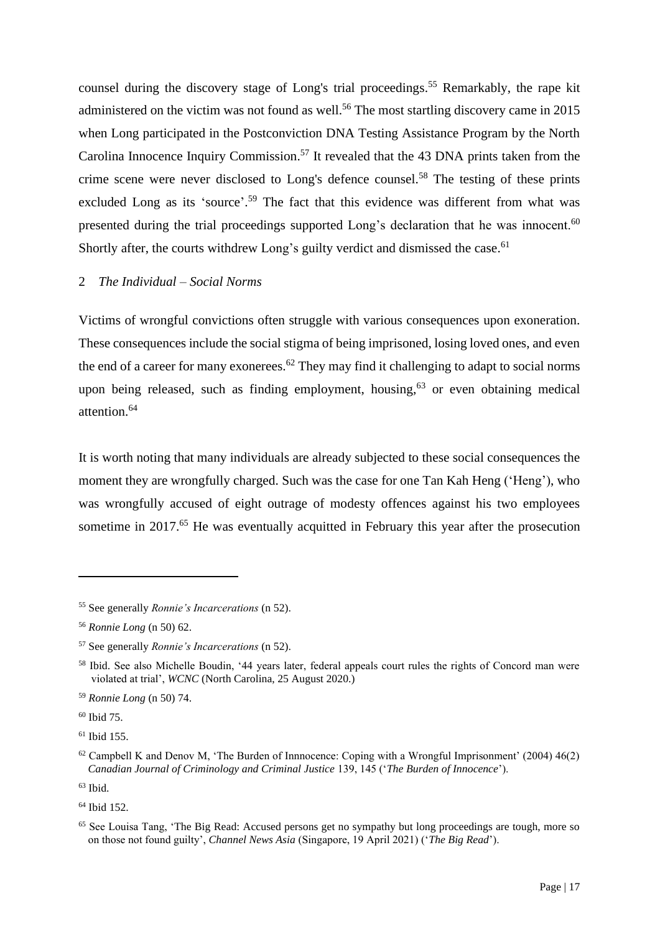counsel during the discovery stage of Long's trial proceedings. <sup>55</sup> Remarkably, the rape kit administered on the victim was not found as well.<sup>56</sup> The most startling discovery came in 2015 when Long participated in the Postconviction DNA Testing Assistance Program by the North Carolina Innocence Inquiry Commission.<sup>57</sup> It revealed that the 43 DNA prints taken from the crime scene were never disclosed to Long's defence counsel.<sup>58</sup> The testing of these prints excluded Long as its 'source'.<sup>59</sup> The fact that this evidence was different from what was presented during the trial proceedings supported Long's declaration that he was innocent.<sup>60</sup> Shortly after, the courts withdrew Long's guilty verdict and dismissed the case.<sup>61</sup>

#### 2 *The Individual – Social Norms*

Victims of wrongful convictions often struggle with various consequences upon exoneration. These consequences include the social stigma of being imprisoned, losing loved ones, and even the end of a career for many exonerees.<sup>62</sup> They may find it challenging to adapt to social norms upon being released, such as finding employment, housing,  $63$  or even obtaining medical attention.<sup>64</sup>

It is worth noting that many individuals are already subjected to these social consequences the moment they are wrongfully charged. Such was the case for one Tan Kah Heng ('Heng'), who was wrongfully accused of eight outrage of modesty offences against his two employees sometime in 2017.<sup>65</sup> He was eventually acquitted in February this year after the prosecution

<sup>60</sup> Ibid 75.

<sup>55</sup> See generally *Ronnie's Incarcerations* (n 52).

<sup>56</sup> *Ronnie Long* (n 50) 62.

<sup>57</sup> See generally *Ronnie's Incarcerations* (n 52).

<sup>58</sup> Ibid. See also Michelle Boudin, '44 years later, federal appeals court rules the rights of Concord man were violated at trial', *WCNC* (North Carolina, 25 August 2020.)

<sup>59</sup> *Ronnie Long* (n 50) 74.

 $61$  Ibid 155.

<sup>62</sup> Campbell K and Denov M, 'The Burden of Innnocence: Coping with a Wrongful Imprisonment' (2004) 46(2) *Canadian Journal of Criminology and Criminal Justice* 139, 145 ('*The Burden of Innocence*').

<sup>64</sup> Ibid 152.

<sup>&</sup>lt;sup>65</sup> See Louisa Tang, 'The Big Read: Accused persons get no sympathy but long proceedings are tough, more so on those not found guilty', *Channel News Asia* (Singapore, 19 April 2021) ('*The Big Read*').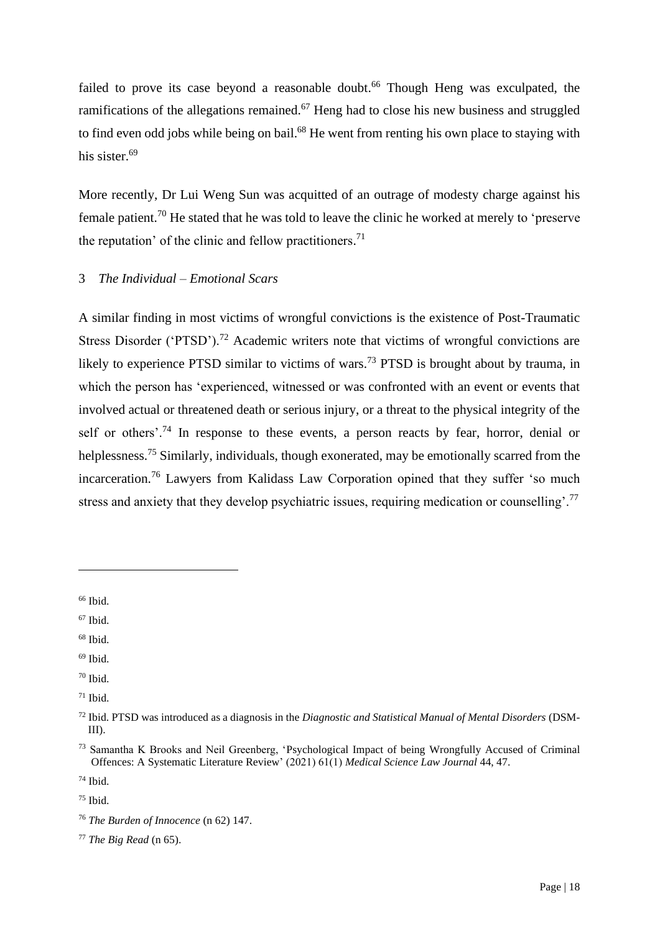failed to prove its case beyond a reasonable doubt.<sup>66</sup> Though Heng was exculpated, the ramifications of the allegations remained.<sup>67</sup> Heng had to close his new business and struggled to find even odd jobs while being on bail.<sup>68</sup> He went from renting his own place to staying with his sister.<sup>69</sup>

More recently, Dr Lui Weng Sun was acquitted of an outrage of modesty charge against his female patient.<sup>70</sup> He stated that he was told to leave the clinic he worked at merely to 'preserve the reputation' of the clinic and fellow practitioners.<sup>71</sup>

## 3 *The Individual – Emotional Scars*

A similar finding in most victims of wrongful convictions is the existence of Post-Traumatic Stress Disorder ('PTSD').<sup>72</sup> Academic writers note that victims of wrongful convictions are likely to experience PTSD similar to victims of wars.<sup>73</sup> PTSD is brought about by trauma, in which the person has 'experienced, witnessed or was confronted with an event or events that involved actual or threatened death or serious injury, or a threat to the physical integrity of the self or others'.<sup>74</sup> In response to these events, a person reacts by fear, horror, denial or helplessness.<sup>75</sup> Similarly, individuals, though exonerated, may be emotionally scarred from the incarceration.<sup>76</sup> Lawyers from Kalidass Law Corporation opined that they suffer 'so much stress and anxiety that they develop psychiatric issues, requiring medication or counselling'.<sup>77</sup>

- <sup>67</sup> Ibid.
- $68$  Ibid.
- $69$  Ibid.
- <sup>70</sup> Ibid.

<sup>66</sup> Ibid.

 $71$  Ibid.

<sup>72</sup> Ibid. PTSD was introduced as a diagnosis in the *Diagnostic and Statistical Manual of Mental Disorders* (DSM-III).

<sup>73</sup> Samantha K Brooks and Neil Greenberg, 'Psychological Impact of being Wrongfully Accused of Criminal Offences: A Systematic Literature Review' (2021) 61(1) *Medical Science Law Journal* 44, 47.

<sup>74</sup> Ibid.

 $75$  Ibid.

<sup>76</sup> *The Burden of Innocence* (n 62) 147.

<sup>77</sup> *The Big Read* (n 65).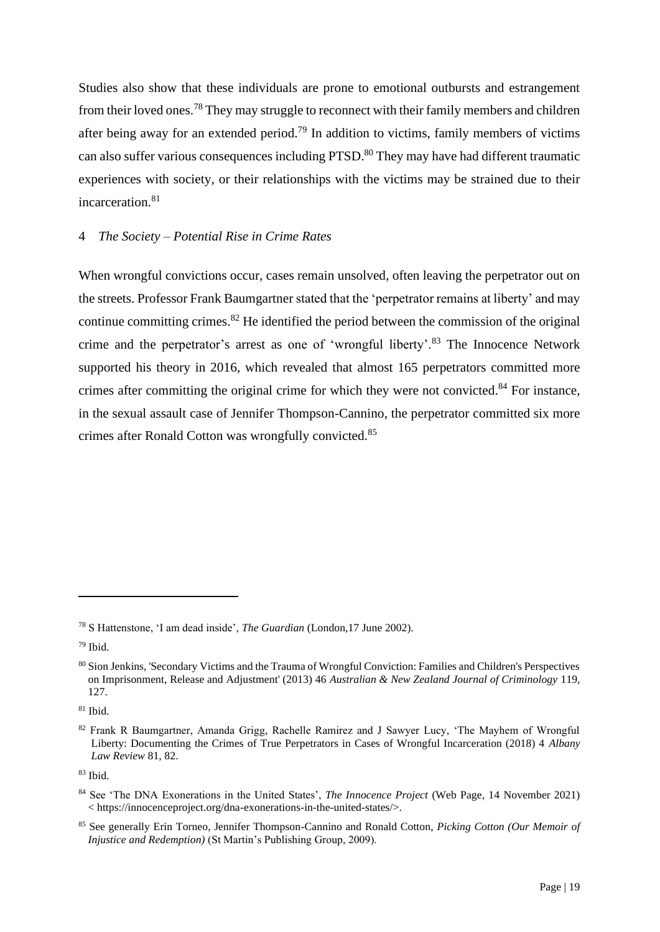Studies also show that these individuals are prone to emotional outbursts and estrangement from their loved ones.<sup>78</sup> They may struggle to reconnect with their family members and children after being away for an extended period.<sup>79</sup> In addition to victims, family members of victims can also suffer various consequences including PTSD.<sup>80</sup> They may have had different traumatic experiences with society, or their relationships with the victims may be strained due to their incarceration.<sup>81</sup>

## 4 *The Society – Potential Rise in Crime Rates*

When wrongful convictions occur, cases remain unsolved, often leaving the perpetrator out on the streets. Professor Frank Baumgartner stated that the 'perpetrator remains at liberty' and may continue committing crimes. $82$  He identified the period between the commission of the original crime and the perpetrator's arrest as one of 'wrongful liberty'.<sup>83</sup> The Innocence Network supported his theory in 2016, which revealed that almost 165 perpetrators committed more crimes after committing the original crime for which they were not convicted.<sup>84</sup> For instance, in the sexual assault case of Jennifer Thompson-Cannino, the perpetrator committed six more crimes after Ronald Cotton was wrongfully convicted.<sup>85</sup>

<sup>78</sup> S Hattenstone, 'I am dead inside', *The Guardian* (London,17 June 2002).

<sup>79</sup> Ibid.

<sup>80</sup> Sion Jenkins, 'Secondary Victims and the Trauma of Wrongful Conviction: Families and Children's Perspectives on Imprisonment, Release and Adjustment' (2013) 46 *Australian & New Zealand Journal of Criminology* 119, 127.

 $81$  Ibid.

<sup>82</sup> Frank R Baumgartner, Amanda Grigg, Rachelle Ramirez and J Sawyer Lucy, 'The Mayhem of Wrongful Liberty: Documenting the Crimes of True Perpetrators in Cases of Wrongful Incarceration (2018) 4 *Albany Law Review* 81, 82.

 $83$  Ibid.

<sup>84</sup> See 'The DNA Exonerations in the United States', *The Innocence Project* (Web Page, 14 November 2021) < https://innocenceproject.org/dna-exonerations-in-the-united-states/>.

<sup>85</sup> See generally Erin Torneo, Jennifer Thompson-Cannino and Ronald Cotton, *Picking Cotton (Our Memoir of Injustice and Redemption)* (St Martin's Publishing Group, 2009).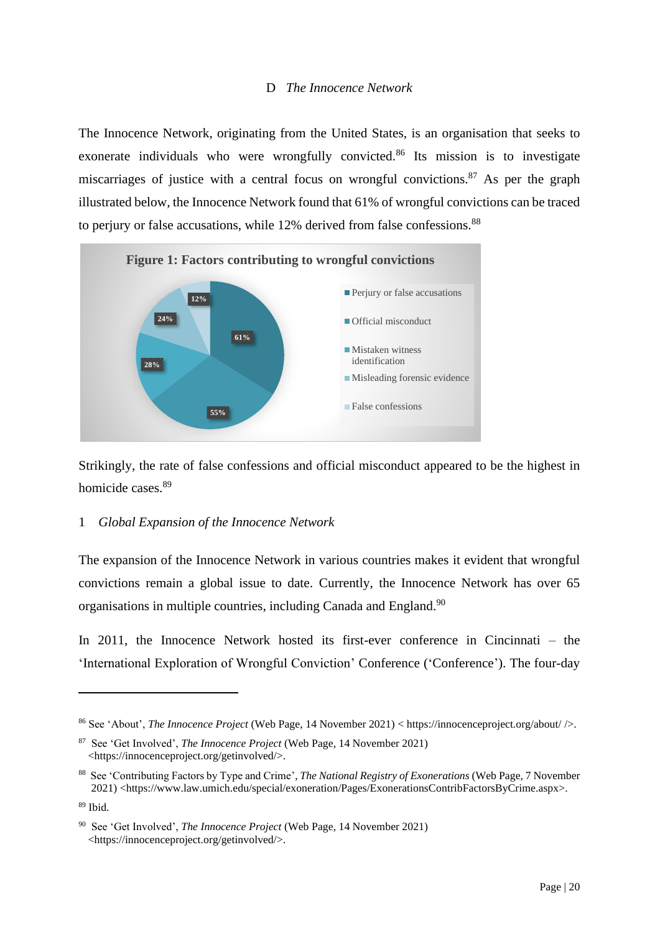## D *The Innocence Network*

The Innocence Network, originating from the United States, is an organisation that seeks to exonerate individuals who were wrongfully convicted.<sup>86</sup> Its mission is to investigate miscarriages of justice with a central focus on wrongful convictions.<sup>87</sup> As per the graph illustrated below, the Innocence Network found that 61% of wrongful convictions can be traced to perjury or false accusations, while 12% derived from false confessions.<sup>88</sup>



Strikingly, the rate of false confessions and official misconduct appeared to be the highest in homicide cases.<sup>89</sup>

## 1 *Global Expansion of the Innocence Network*

The expansion of the Innocence Network in various countries makes it evident that wrongful convictions remain a global issue to date. Currently, the Innocence Network has over 65 organisations in multiple countries, including Canada and England.<sup>90</sup>

In 2011, the Innocence Network hosted its first-ever conference in Cincinnati – the 'International Exploration of Wrongful Conviction' Conference ('Conference'). The four-day

<sup>86</sup> See 'About', *The Innocence Project* (Web Page, 14 November 2021) < https://innocenceproject.org/about/ />.

<sup>87</sup> See 'Get Involved', *The Innocence Project* (Web Page, 14 November 2021) <https://innocenceproject.org/getinvolved/>.

<sup>88</sup> See 'Contributing Factors by Type and Crime', *The National Registry of Exonerations* (Web Page, 7 November 2021) <https://www.law.umich.edu/special/exoneration/Pages/ExonerationsContribFactorsByCrime.aspx>.

<sup>89</sup> Ibid.

<sup>90</sup> See 'Get Involved', *The Innocence Project* (Web Page, 14 November 2021) <https://innocenceproject.org/getinvolved/>.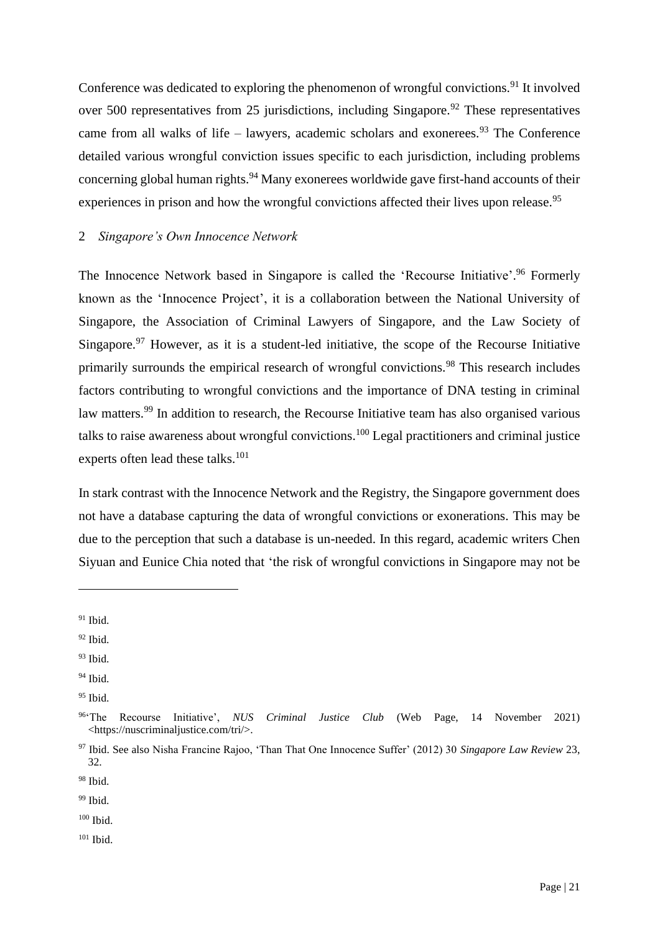Conference was dedicated to exploring the phenomenon of wrongful convictions.<sup>91</sup> It involved over 500 representatives from 25 jurisdictions, including Singapore.<sup>92</sup> These representatives came from all walks of life – lawyers, academic scholars and exonerees.<sup>93</sup> The Conference detailed various wrongful conviction issues specific to each jurisdiction, including problems concerning global human rights.<sup>94</sup> Many exonerees worldwide gave first-hand accounts of their experiences in prison and how the wrongful convictions affected their lives upon release.<sup>95</sup>

## 2 *Singapore's Own Innocence Network*

The Innocence Network based in Singapore is called the 'Recourse Initiative'.<sup>96</sup> Formerly known as the 'Innocence Project', it is a collaboration between the National University of Singapore, the Association of Criminal Lawyers of Singapore, and the Law Society of Singapore.<sup>97</sup> However, as it is a student-led initiative, the scope of the Recourse Initiative primarily surrounds the empirical research of wrongful convictions.<sup>98</sup> This research includes factors contributing to wrongful convictions and the importance of DNA testing in criminal law matters.<sup>99</sup> In addition to research, the Recourse Initiative team has also organised various talks to raise awareness about wrongful convictions.<sup>100</sup> Legal practitioners and criminal justice experts often lead these talks. $101$ 

In stark contrast with the Innocence Network and the Registry, the Singapore government does not have a database capturing the data of wrongful convictions or exonerations. This may be due to the perception that such a database is un-needed. In this regard, academic writers Chen Siyuan and Eunice Chia noted that 'the risk of wrongful convictions in Singapore may not be

- $93$  Ibid.
- <sup>94</sup> Ibid.

<sup>98</sup> Ibid.

<sup>99</sup> Ibid.

 $100$  Ibid.

 $91$  Ibid.

 $92$  Ibid.

<sup>&</sup>lt;sup>95</sup> Ibid.

<sup>96</sup>'The Recourse Initiative', *NUS Criminal Justice Club* (Web Page, 14 November 2021) <https://nuscriminaljustice.com/tri/>.

<sup>97</sup> Ibid. See also Nisha Francine Rajoo, 'Than That One Innocence Suffer' (2012) 30 *Singapore Law Review* 23, 32.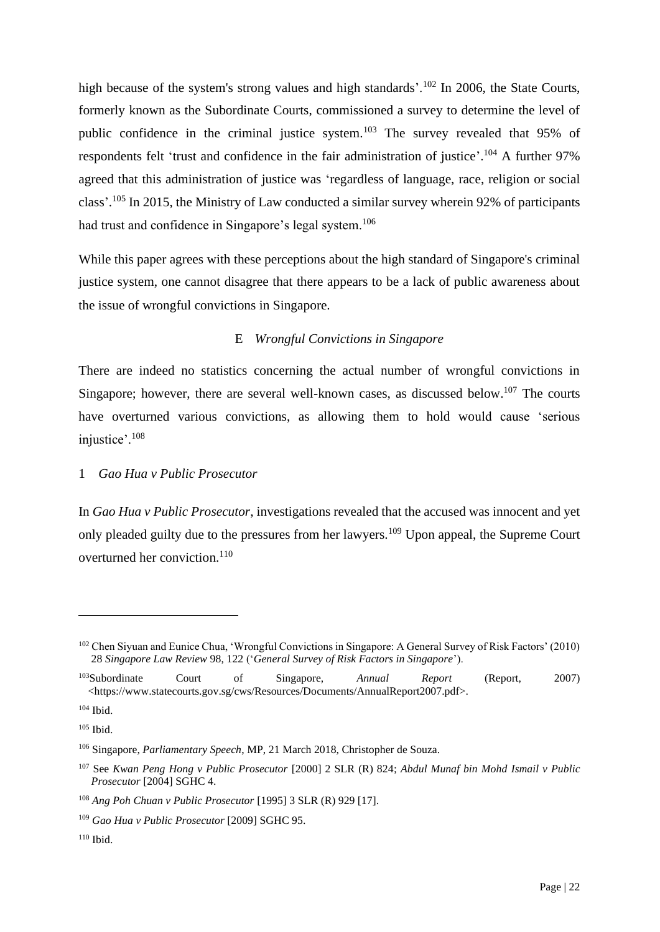high because of the system's strong values and high standards'.<sup>102</sup> In 2006, the State Courts, formerly known as the Subordinate Courts, commissioned a survey to determine the level of public confidence in the criminal justice system.<sup>103</sup> The survey revealed that 95% of respondents felt 'trust and confidence in the fair administration of justice'.<sup>104</sup> A further 97% agreed that this administration of justice was 'regardless of language, race, religion or social class'.<sup>105</sup> In 2015, the Ministry of Law conducted a similar survey wherein 92% of participants had trust and confidence in Singapore's legal system.<sup>106</sup>

While this paper agrees with these perceptions about the high standard of Singapore's criminal justice system, one cannot disagree that there appears to be a lack of public awareness about the issue of wrongful convictions in Singapore.

## E *Wrongful Convictions in Singapore*

There are indeed no statistics concerning the actual number of wrongful convictions in Singapore; however, there are several well-known cases, as discussed below.<sup>107</sup> The courts have overturned various convictions, as allowing them to hold would cause 'serious injustice'.<sup>108</sup>

## 1 *Gao Hua v Public Prosecutor*

In *Gao Hua v Public Prosecutor*, investigations revealed that the accused was innocent and yet only pleaded guilty due to the pressures from her lawyers.<sup>109</sup> Upon appeal, the Supreme Court overturned her conviction.<sup>110</sup>

<sup>102</sup> Chen Siyuan and Eunice Chua, 'Wrongful Convictions in Singapore: A General Survey of Risk Factors' (2010) 28 *Singapore Law Review* 98, 122 ('*General Survey of Risk Factors in Singapore*').

<sup>103</sup>Subordinate Court of Singapore, *Annual Report* (Report, 2007) <https://www.statecourts.gov.sg/cws/Resources/Documents/AnnualReport2007.pdf>.

<sup>104</sup> Ibid.

<sup>105</sup> Ibid.

<sup>106</sup> Singapore, *Parliamentary Speech*, MP, 21 March 2018, Christopher de Souza.

<sup>107</sup> See *Kwan Peng Hong v Public Prosecutor* [2000] 2 SLR (R) 824; *Abdul Munaf bin Mohd Ismail v Public Prosecutor* [2004] SGHC 4.

<sup>108</sup> *Ang Poh Chuan v Public Prosecutor* [1995] 3 SLR (R) 929 [17].

<sup>109</sup> *Gao Hua v Public Prosecutor* [2009] SGHC 95.

<sup>110</sup> Ibid.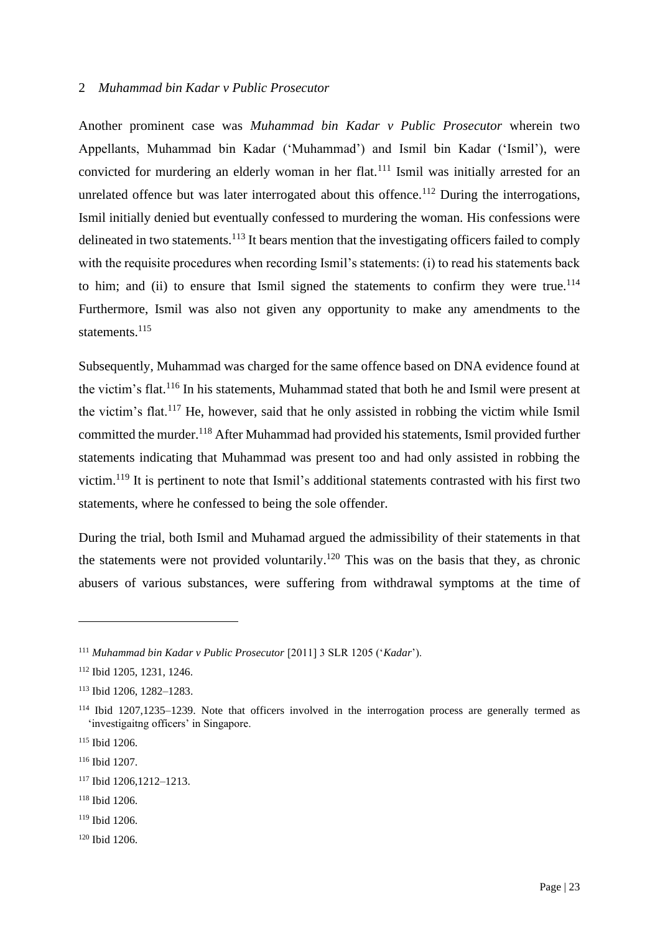#### 2 *Muhammad bin Kadar v Public Prosecutor*

Another prominent case was *Muhammad bin Kadar v Public Prosecutor* wherein two Appellants, Muhammad bin Kadar ('Muhammad') and Ismil bin Kadar ('Ismil'), were convicted for murdering an elderly woman in her flat.<sup>111</sup> Ismil was initially arrested for an unrelated offence but was later interrogated about this offence.<sup>112</sup> During the interrogations, Ismil initially denied but eventually confessed to murdering the woman. His confessions were delineated in two statements.<sup>113</sup> It bears mention that the investigating officers failed to comply with the requisite procedures when recording Ismil's statements: (i) to read his statements back to him; and (ii) to ensure that Ismil signed the statements to confirm they were true. $114$ Furthermore, Ismil was also not given any opportunity to make any amendments to the statements.<sup>115</sup>

Subsequently, Muhammad was charged for the same offence based on DNA evidence found at the victim's flat.<sup>116</sup> In his statements, Muhammad stated that both he and Ismil were present at the victim's flat.<sup>117</sup> He, however, said that he only assisted in robbing the victim while Ismil committed the murder.<sup>118</sup> After Muhammad had provided his statements, Ismil provided further statements indicating that Muhammad was present too and had only assisted in robbing the victim.<sup>119</sup> It is pertinent to note that Ismil's additional statements contrasted with his first two statements, where he confessed to being the sole offender.

During the trial, both Ismil and Muhamad argued the admissibility of their statements in that the statements were not provided voluntarily.<sup>120</sup> This was on the basis that they, as chronic abusers of various substances, were suffering from withdrawal symptoms at the time of

<sup>120</sup> Ibid 1206.

<sup>111</sup> *Muhammad bin Kadar v Public Prosecutor* [2011] 3 SLR 1205 ('*Kadar*').

<sup>112</sup> Ibid 1205, 1231, 1246.

<sup>113</sup> Ibid 1206, 1282–1283.

<sup>114</sup> Ibid 1207,1235–1239. Note that officers involved in the interrogation process are generally termed as 'investigaitng officers' in Singapore.

<sup>115</sup> Ibid 1206.

<sup>116</sup> Ibid 1207.

<sup>117</sup> Ibid 1206,1212–1213.

<sup>118</sup> Ibid 1206.

<sup>119</sup> Ibid 1206.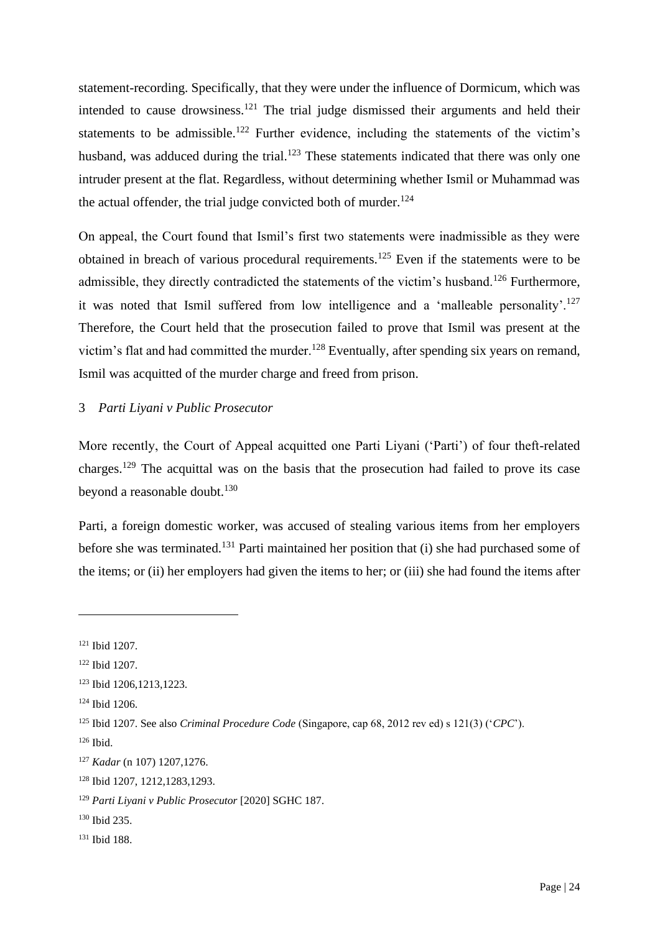statement-recording. Specifically, that they were under the influence of Dormicum, which was intended to cause drowsiness.<sup>121</sup> The trial judge dismissed their arguments and held their statements to be admissible.<sup>122</sup> Further evidence, including the statements of the victim's husband, was adduced during the trial.<sup>123</sup> These statements indicated that there was only one intruder present at the flat. Regardless, without determining whether Ismil or Muhammad was the actual offender, the trial judge convicted both of murder. $124$ 

On appeal, the Court found that Ismil's first two statements were inadmissible as they were obtained in breach of various procedural requirements.<sup>125</sup> Even if the statements were to be admissible, they directly contradicted the statements of the victim's husband.<sup>126</sup> Furthermore, it was noted that Ismil suffered from low intelligence and a 'malleable personality'.<sup>127</sup> Therefore, the Court held that the prosecution failed to prove that Ismil was present at the victim's flat and had committed the murder.<sup>128</sup> Eventually, after spending six years on remand, Ismil was acquitted of the murder charge and freed from prison.

## 3 *Parti Liyani v Public Prosecutor*

More recently, the Court of Appeal acquitted one Parti Liyani ('Parti') of four theft-related charges.<sup>129</sup> The acquittal was on the basis that the prosecution had failed to prove its case beyond a reasonable doubt. $130$ 

Parti, a foreign domestic worker, was accused of stealing various items from her employers before she was terminated.<sup>131</sup> Parti maintained her position that (i) she had purchased some of the items; or (ii) her employers had given the items to her; or (iii) she had found the items after

<sup>121</sup> Ibid 1207.

<sup>122</sup> Ibid 1207.

<sup>123</sup> Ibid 1206,1213,1223.

<sup>124</sup> Ibid 1206.

<sup>125</sup> Ibid 1207. See also *Criminal Procedure Code* (Singapore, cap 68, 2012 rev ed) s 121(3) ('*CPC*').

<sup>126</sup> Ibid.

<sup>127</sup> *Kadar* (n 107) 1207,1276.

<sup>128</sup> Ibid 1207, 1212,1283,1293.

<sup>129</sup> *Parti Liyani v Public Prosecutor* [2020] SGHC 187.

<sup>130</sup> Ibid 235.

<sup>131</sup> Ibid 188.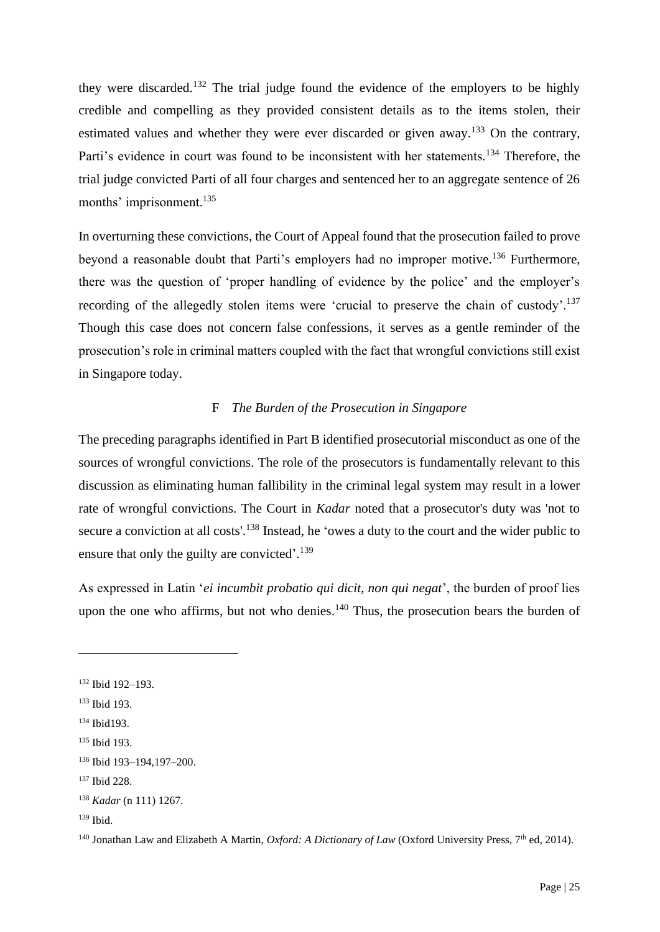they were discarded.<sup>132</sup> The trial judge found the evidence of the employers to be highly credible and compelling as they provided consistent details as to the items stolen, their estimated values and whether they were ever discarded or given away.<sup>133</sup> On the contrary, Parti's evidence in court was found to be inconsistent with her statements.<sup>134</sup> Therefore, the trial judge convicted Parti of all four charges and sentenced her to an aggregate sentence of 26 months' imprisonment.<sup>135</sup>

In overturning these convictions, the Court of Appeal found that the prosecution failed to prove beyond a reasonable doubt that Parti's employers had no improper motive.<sup>136</sup> Furthermore, there was the question of 'proper handling of evidence by the police' and the employer's recording of the allegedly stolen items were 'crucial to preserve the chain of custody'.<sup>137</sup> Though this case does not concern false confessions, it serves as a gentle reminder of the prosecution's role in criminal matters coupled with the fact that wrongful convictions still exist in Singapore today.

## F *The Burden of the Prosecution in Singapore*

The preceding paragraphs identified in Part B identified prosecutorial misconduct as one of the sources of wrongful convictions. The role of the prosecutors is fundamentally relevant to this discussion as eliminating human fallibility in the criminal legal system may result in a lower rate of wrongful convictions. The Court in *Kadar* noted that a prosecutor's duty was 'not to secure a conviction at all costs'.<sup>138</sup> Instead, he 'owes a duty to the court and the wider public to ensure that only the guilty are convicted'.<sup>139</sup>

As expressed in Latin '*ei incumbit probatio qui dicit, non qui negat*', the burden of proof lies upon the one who affirms, but not who denies.<sup>140</sup> Thus, the prosecution bears the burden of

<sup>132</sup> Ibid 192–193.

<sup>133</sup> Ibid 193.

<sup>134</sup> Ibid193.

<sup>135</sup> Ibid 193.

<sup>136</sup> Ibid 193–194,197–200.

<sup>137</sup> Ibid 228.

<sup>138</sup> *Kadar* (n 111) 1267.

 $139$  Ibid.

<sup>&</sup>lt;sup>140</sup> Jonathan Law and Elizabeth A Martin, *Oxford: A Dictionary of Law* (Oxford University Press, 7<sup>th</sup> ed, 2014).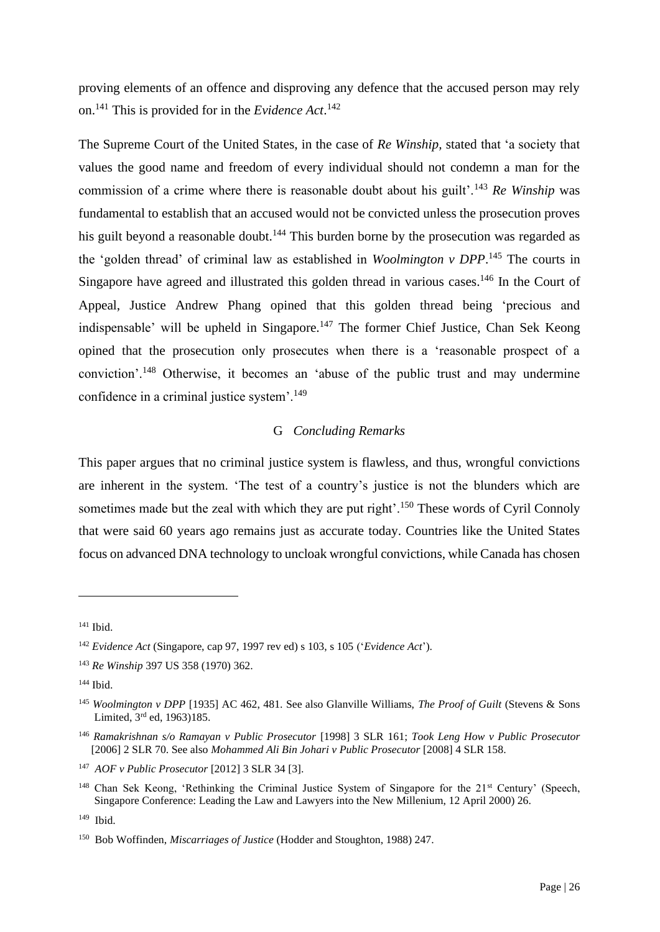proving elements of an offence and disproving any defence that the accused person may rely on.<sup>141</sup> This is provided for in the *Evidence Act*. 142

The Supreme Court of the United States, in the case of *Re Winship,* stated that 'a society that values the good name and freedom of every individual should not condemn a man for the commission of a crime where there is reasonable doubt about his guilt'.<sup>143</sup> *Re Winship* was fundamental to establish that an accused would not be convicted unless the prosecution proves his guilt beyond a reasonable doubt.<sup>144</sup> This burden borne by the prosecution was regarded as the 'golden thread' of criminal law as established in *Woolmington v DPP*. <sup>145</sup> The courts in Singapore have agreed and illustrated this golden thread in various cases.<sup>146</sup> In the Court of Appeal, Justice Andrew Phang opined that this golden thread being 'precious and indispensable' will be upheld in Singapore.<sup>147</sup> The former Chief Justice, Chan Sek Keong opined that the prosecution only prosecutes when there is a 'reasonable prospect of a conviction'.<sup>148</sup> Otherwise, it becomes an 'abuse of the public trust and may undermine confidence in a criminal justice system'.<sup>149</sup>

## G *Concluding Remarks*

This paper argues that no criminal justice system is flawless, and thus, wrongful convictions are inherent in the system. 'The test of a country's justice is not the blunders which are sometimes made but the zeal with which they are put right'.<sup>150</sup> These words of Cyril Connoly that were said 60 years ago remains just as accurate today. Countries like the United States focus on advanced DNA technology to uncloak wrongful convictions, while Canada has chosen

<sup>141</sup> Ibid.

<sup>142</sup> *Evidence Act* (Singapore, cap 97, 1997 rev ed) s 103, s 105 ('*Evidence Act*').

<sup>143</sup> *Re Winship* 397 US 358 (1970) 362.

<sup>144</sup> Ibid.

<sup>145</sup> *Woolmington v DPP* [1935] AC 462, 481. See also Glanville Williams, *The Proof of Guilt* (Stevens & Sons Limited, 3rd ed, 1963)185.

<sup>146</sup> *Ramakrishnan s/o Ramayan v Public Prosecutor* [1998] 3 SLR 161; *Took Leng How v Public Prosecutor* [2006] 2 SLR 70. See also *Mohammed Ali Bin Johari v Public Prosecutor* [2008] 4 SLR 158.

<sup>147</sup> *AOF v Public Prosecutor* [2012] 3 SLR 34 [3].

<sup>&</sup>lt;sup>148</sup> Chan Sek Keong, 'Rethinking the Criminal Justice System of Singapore for the 21<sup>st</sup> Century' (Speech, Singapore Conference: Leading the Law and Lawyers into the New Millenium, 12 April 2000) 26.

 $149$  Ibid.

<sup>150</sup> Bob Woffinden, *Miscarriages of Justice* (Hodder and Stoughton, 1988) 247.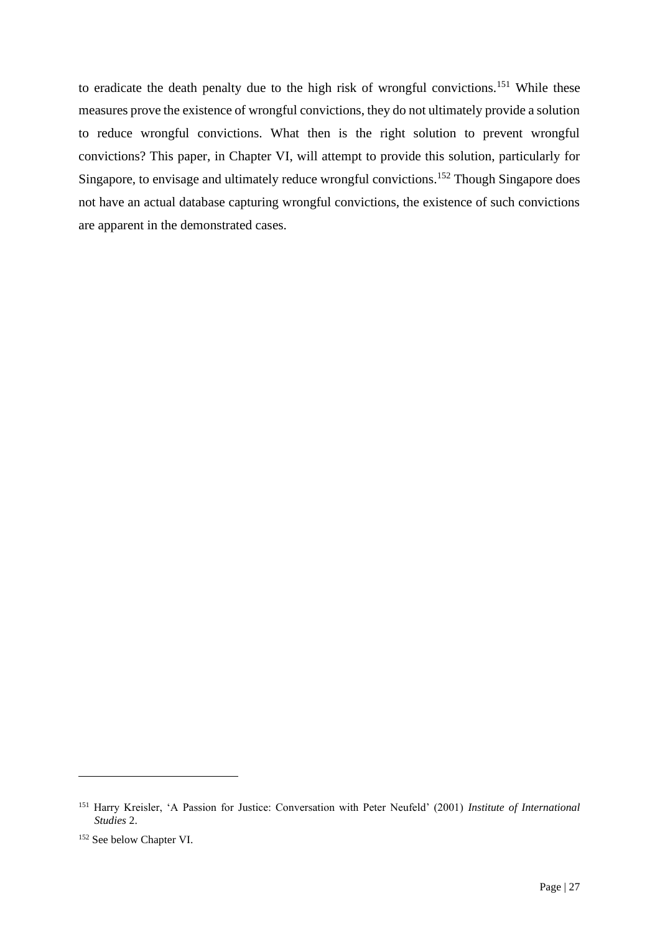to eradicate the death penalty due to the high risk of wrongful convictions.<sup>151</sup> While these measures prove the existence of wrongful convictions, they do not ultimately provide a solution to reduce wrongful convictions. What then is the right solution to prevent wrongful convictions? This paper, in Chapter VI, will attempt to provide this solution, particularly for Singapore, to envisage and ultimately reduce wrongful convictions.<sup>152</sup> Though Singapore does not have an actual database capturing wrongful convictions, the existence of such convictions are apparent in the demonstrated cases.

<sup>151</sup> Harry Kreisler, 'A Passion for Justice: Conversation with Peter Neufeld' (2001) *Institute of International Studies* 2.

<sup>152</sup> See below Chapter VI.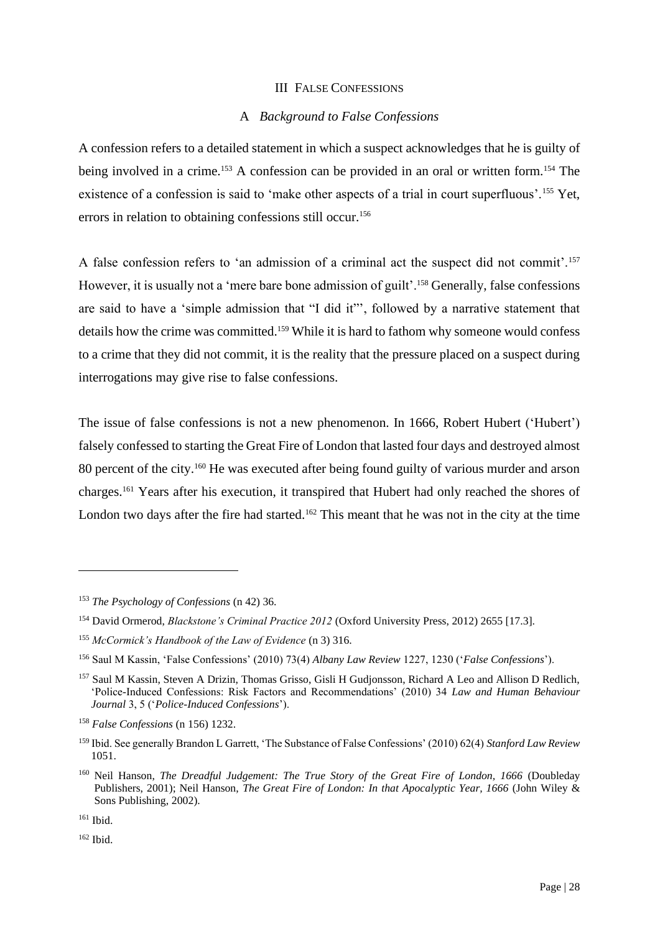#### III FALSE CONFESSIONS

### A *Background to False Confessions*

A confession refers to a detailed statement in which a suspect acknowledges that he is guilty of being involved in a crime.<sup>153</sup> A confession can be provided in an oral or written form.<sup>154</sup> The existence of a confession is said to 'make other aspects of a trial in court superfluous'.<sup>155</sup> Yet, errors in relation to obtaining confessions still occur.<sup>156</sup>

A false confession refers to 'an admission of a criminal act the suspect did not commit'.<sup>157</sup> However, it is usually not a 'mere bare bone admission of guilt'.<sup>158</sup> Generally, false confessions are said to have a 'simple admission that "I did it"', followed by a narrative statement that details how the crime was committed.<sup>159</sup> While it is hard to fathom why someone would confess to a crime that they did not commit, it is the reality that the pressure placed on a suspect during interrogations may give rise to false confessions.

The issue of false confessions is not a new phenomenon. In 1666, Robert Hubert ('Hubert') falsely confessed to starting the Great Fire of London that lasted four days and destroyed almost 80 percent of the city.<sup>160</sup> He was executed after being found guilty of various murder and arson charges.<sup>161</sup> Years after his execution, it transpired that Hubert had only reached the shores of London two days after the fire had started.<sup>162</sup> This meant that he was not in the city at the time

<sup>153</sup> *The Psychology of Confessions* (n 42) 36.

<sup>154</sup> David Ormerod, *Blackstone's Criminal Practice 2012* (Oxford University Press, 2012) 2655 [17.3].

<sup>155</sup> *McCormick's Handbook of the Law of Evidence* (n 3) 316.

<sup>156</sup> Saul M Kassin, 'False Confessions' (2010) 73(4) *Albany Law Review* 1227, 1230 ('*False Confessions*').

<sup>157</sup> Saul M Kassin, Steven A Drizin, Thomas Grisso, Gisli H Gudjonsson, Richard A Leo and Allison D Redlich, 'Police-Induced Confessions: Risk Factors and Recommendations' (2010) 34 *Law and Human Behaviour Journal* 3, 5 ('*Police-Induced Confessions*').

<sup>158</sup> *False Confessions* (n 156) 1232.

<sup>159</sup> Ibid. See generally Brandon L Garrett, 'The Substance of False Confessions' (2010) 62(4) *Stanford Law Review* 1051.

<sup>160</sup> Neil Hanson, *The Dreadful Judgement: The True Story of the Great Fire of London, 1666* (Doubleday Publishers, 2001); Neil Hanson, *The Great Fire of London: In that Apocalyptic Year, 1666* (John Wiley & Sons Publishing, 2002).

<sup>161</sup> Ibid.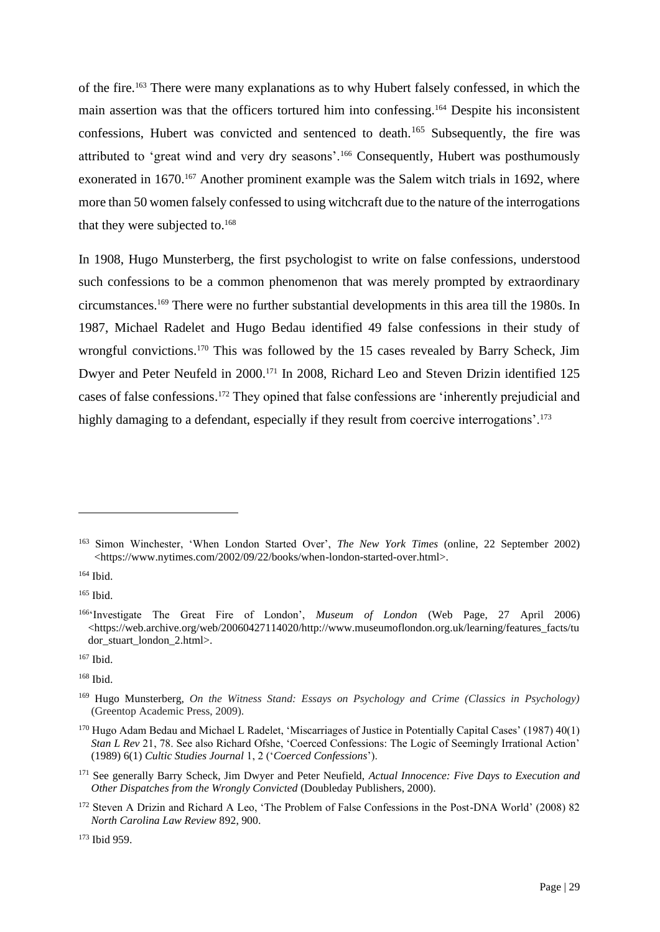of the fire.<sup>163</sup> There were many explanations as to why Hubert falsely confessed, in which the main assertion was that the officers tortured him into confessing.<sup>164</sup> Despite his inconsistent confessions, Hubert was convicted and sentenced to death.<sup>165</sup> Subsequently, the fire was attributed to 'great wind and very dry seasons'.<sup>166</sup> Consequently, Hubert was posthumously exonerated in 1670.<sup>167</sup> Another prominent example was the Salem witch trials in 1692, where more than 50 women falsely confessed to using witchcraft due to the nature of the interrogations that they were subjected to.<sup>168</sup>

In 1908, Hugo Munsterberg, the first psychologist to write on false confessions, understood such confessions to be a common phenomenon that was merely prompted by extraordinary circumstances.<sup>169</sup> There were no further substantial developments in this area till the 1980s. In 1987, Michael Radelet and Hugo Bedau identified 49 false confessions in their study of wrongful convictions.<sup>170</sup> This was followed by the 15 cases revealed by Barry Scheck, Jim Dwyer and Peter Neufeld in 2000.<sup>171</sup> In 2008, Richard Leo and Steven Drizin identified 125 cases of false confessions.<sup>172</sup> They opined that false confessions are 'inherently prejudicial and highly damaging to a defendant, especially if they result from coercive interrogations'.<sup>173</sup>

<sup>163</sup> Simon Winchester, 'When London Started Over', *The New York Times* (online, 22 September 2002) <https://www.nytimes.com/2002/09/22/books/when-london-started-over.html>.

<sup>165</sup> Ibid.

<sup>166</sup>'Investigate The Great Fire of London', *Museum of London* (Web Page, 27 April 2006) <https://web.archive.org/web/20060427114020/http://www.museumoflondon.org.uk/learning/features\_facts/tu dor\_stuart\_london\_2.html>.

<sup>167</sup> Ibid.

<sup>168</sup> Ibid.

<sup>169</sup> Hugo Munsterberg, *On the Witness Stand: Essays on Psychology and Crime (Classics in Psychology)* (Greentop Academic Press, 2009).

<sup>170</sup> Hugo Adam Bedau and Michael L Radelet, 'Miscarriages of Justice in Potentially Capital Cases' (1987) 40(1) *Stan L Rev* 21, 78. See also Richard Ofshe, 'Coerced Confessions: The Logic of Seemingly Irrational Action' (1989) 6(1) *Cultic Studies Journal* 1, 2 ('*Coerced Confessions*').

<sup>171</sup> See generally Barry Scheck, Jim Dwyer and Peter Neufield, *Actual Innocence: Five Days to Execution and Other Dispatches from the Wrongly Convicted* (Doubleday Publishers, 2000).

<sup>172</sup> Steven A Drizin and Richard A Leo, 'The Problem of False Confessions in the Post-DNA World' (2008) 82 *North Carolina Law Review* 892, 900.

<sup>173</sup> Ibid 959.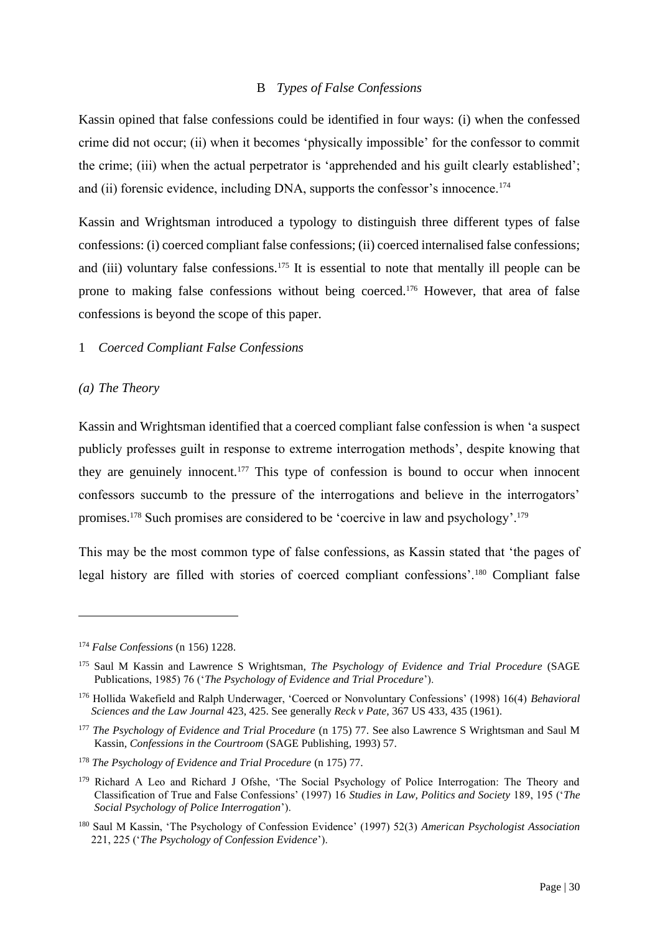#### B *Types of False Confessions*

Kassin opined that false confessions could be identified in four ways: (i) when the confessed crime did not occur; (ii) when it becomes 'physically impossible' for the confessor to commit the crime; (iii) when the actual perpetrator is 'apprehended and his guilt clearly established'; and (ii) forensic evidence, including DNA, supports the confessor's innocence.<sup>174</sup>

Kassin and Wrightsman introduced a typology to distinguish three different types of false confessions: (i) coerced compliant false confessions; (ii) coerced internalised false confessions; and (iii) voluntary false confessions.<sup>175</sup> It is essential to note that mentally ill people can be prone to making false confessions without being coerced. <sup>176</sup> However, that area of false confessions is beyond the scope of this paper.

#### 1 *Coerced Compliant False Confessions*

#### *(a) The Theory*

Kassin and Wrightsman identified that a coerced compliant false confession is when 'a suspect publicly professes guilt in response to extreme interrogation methods', despite knowing that they are genuinely innocent.<sup>177</sup> This type of confession is bound to occur when innocent confessors succumb to the pressure of the interrogations and believe in the interrogators' promises.<sup>178</sup> Such promises are considered to be 'coercive in law and psychology'.<sup>179</sup>

This may be the most common type of false confessions, as Kassin stated that 'the pages of legal history are filled with stories of coerced compliant confessions'.<sup>180</sup> Compliant false

<sup>174</sup> *False Confessions* (n 156) 1228.

<sup>175</sup> Saul M Kassin and Lawrence S Wrightsman, *The Psychology of Evidence and Trial Procedure* (SAGE Publications, 1985) 76 ('*The Psychology of Evidence and Trial Procedure*').

<sup>176</sup> Hollida Wakefield and Ralph Underwager, 'Coerced or Nonvoluntary Confessions' (1998) 16(4) *Behavioral Sciences and the Law Journal* 423, 425. See generally *Reck v Pate,* 367 US 433, 435 (1961).

<sup>&</sup>lt;sup>177</sup> *The Psychology of Evidence and Trial Procedure* (n 175) 77. See also Lawrence S Wrightsman and Saul M Kassin, *Confessions in the Courtroom* (SAGE Publishing, 1993) 57.

<sup>178</sup> *The Psychology of Evidence and Trial Procedure* (n 175) 77.

<sup>&</sup>lt;sup>179</sup> Richard A Leo and Richard J Ofshe, 'The Social Psychology of Police Interrogation: The Theory and Classification of True and False Confessions' (1997) 16 *Studies in Law, Politics and Society* 189, 195 ('*The Social Psychology of Police Interrogation*').

<sup>180</sup> Saul M Kassin, 'The Psychology of Confession Evidence' (1997) 52(3) *American Psychologist Association* 221, 225 ('*The Psychology of Confession Evidence*').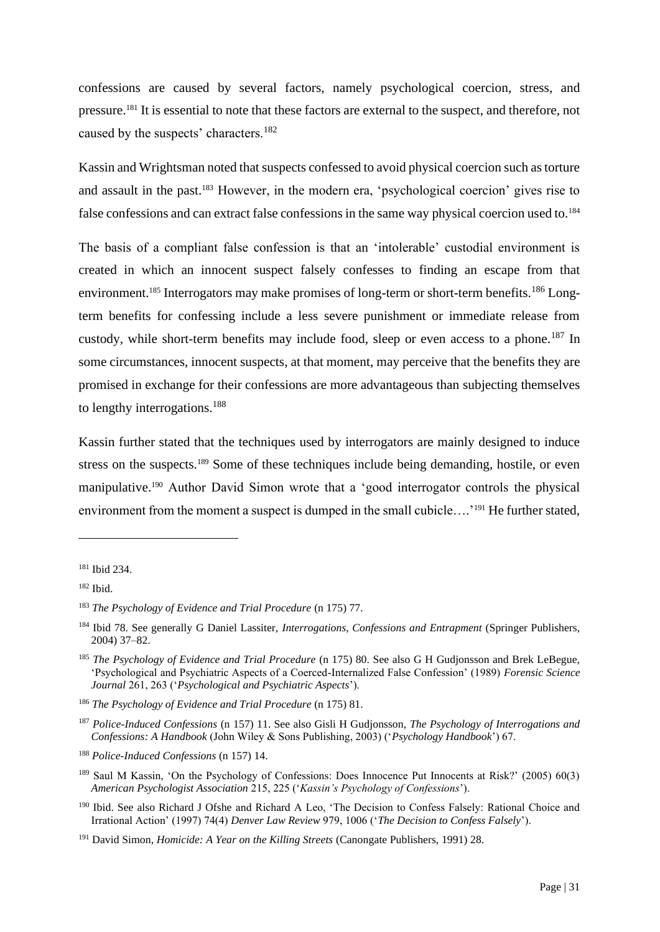confessions are caused by several factors, namely psychological coercion, stress, and pressure.<sup>181</sup> It is essential to note that these factors are external to the suspect, and therefore, not caused by the suspects' characters.<sup>182</sup>

Kassin and Wrightsman noted that suspects confessed to avoid physical coercion such as torture and assault in the past.<sup>183</sup> However, in the modern era, 'psychological coercion' gives rise to false confessions and can extract false confessions in the same way physical coercion used to.<sup>184</sup>

The basis of a compliant false confession is that an 'intolerable' custodial environment is created in which an innocent suspect falsely confesses to finding an escape from that environment.<sup>185</sup> Interrogators may make promises of long-term or short-term benefits.<sup>186</sup> Longterm benefits for confessing include a less severe punishment or immediate release from custody, while short-term benefits may include food, sleep or even access to a phone.<sup>187</sup> In some circumstances, innocent suspects, at that moment, may perceive that the benefits they are promised in exchange for their confessions are more advantageous than subjecting themselves to lengthy interrogations.<sup>188</sup>

Kassin further stated that the techniques used by interrogators are mainly designed to induce stress on the suspects.<sup>189</sup> Some of these techniques include being demanding, hostile, or even manipulative.<sup>190</sup> Author David Simon wrote that a 'good interrogator controls the physical environment from the moment a suspect is dumped in the small cubicle....<sup>'191</sup> He further stated,

<sup>181</sup> Ibid 234.

<sup>182</sup> Ibid.

<sup>183</sup> *The Psychology of Evidence and Trial Procedure* (n 175) 77.

<sup>184</sup> Ibid 78. See generally G Daniel Lassiter, *Interrogations, Confessions and Entrapment* (Springer Publishers, 2004) 37*–*82.

<sup>185</sup> *The Psychology of Evidence and Trial Procedure* (n 175) 80. See also G H Gudjonsson and Brek LeBegue, 'Psychological and Psychiatric Aspects of a Coerced-Internalized False Confession' (1989) *Forensic Science Journal* 261, 263 ('*Psychological and Psychiatric Aspects*').

<sup>186</sup> *The Psychology of Evidence and Trial Procedure* (n 175) 81.

<sup>187</sup> *Police-Induced Confessions* (n 157) 11. See also Gisli H Gudjonsson, *The Psychology of Interrogations and Confessions: A Handbook* (John Wiley & Sons Publishing, 2003) ('*Psychology Handbook*') 67.

<sup>188</sup> *Police-Induced Confessions* (n 157) 14.

<sup>189</sup> Saul M Kassin, 'On the Psychology of Confessions: Does Innocence Put Innocents at Risk?' (2005) 60(3) *American Psychologist Association* 215, 225 ('*Kassin's Psychology of Confessions*').

<sup>190</sup> Ibid. See also Richard J Ofshe and Richard A Leo, 'The Decision to Confess Falsely: Rational Choice and Irrational Action' (1997) 74(4) *Denver Law Review* 979, 1006 ('*The Decision to Confess Falsely*').

<sup>191</sup> David Simon, *Homicide: A Year on the Killing Streets* (Canongate Publishers, 1991) 28.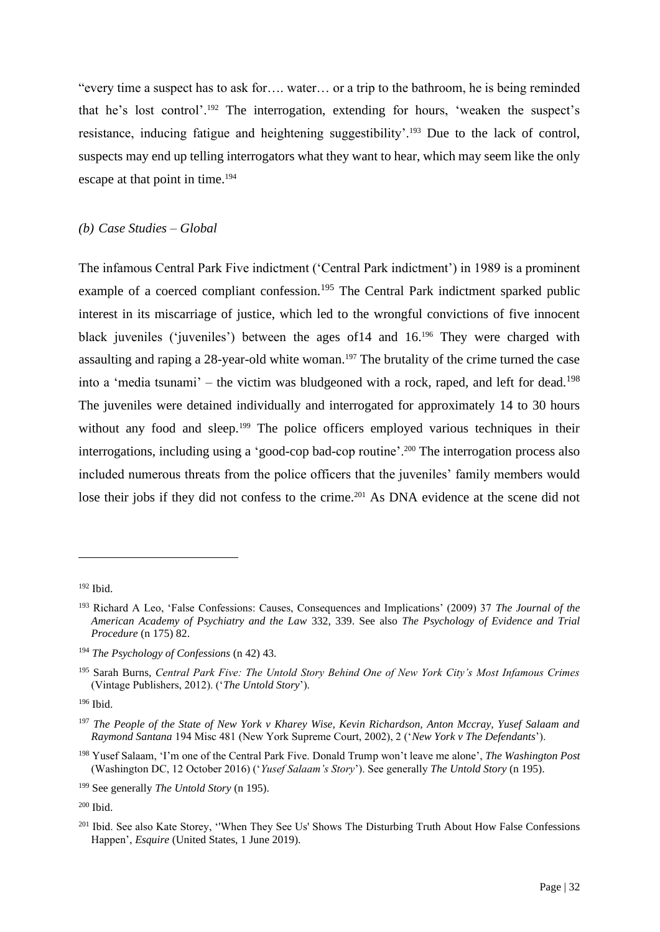"every time a suspect has to ask for…. water… or a trip to the bathroom, he is being reminded that he's lost control'.<sup>192</sup> The interrogation, extending for hours, 'weaken the suspect's resistance, inducing fatigue and heightening suggestibility'.<sup>193</sup> Due to the lack of control, suspects may end up telling interrogators what they want to hear, which may seem like the only escape at that point in time.<sup>194</sup>

#### *(b) Case Studies – Global*

The infamous Central Park Five indictment ('Central Park indictment') in 1989 is a prominent example of a coerced compliant confession.<sup>195</sup> The Central Park indictment sparked public interest in its miscarriage of justice, which led to the wrongful convictions of five innocent black juveniles ('juveniles') between the ages of14 and 16.<sup>196</sup> They were charged with assaulting and raping a 28-year-old white woman.<sup>197</sup> The brutality of the crime turned the case into a 'media tsunami' – the victim was bludgeoned with a rock, raped, and left for dead.<sup>198</sup> The juveniles were detained individually and interrogated for approximately 14 to 30 hours without any food and sleep.<sup>199</sup> The police officers employed various techniques in their interrogations, including using a 'good-cop bad-cop routine'.<sup>200</sup> The interrogation process also included numerous threats from the police officers that the juveniles' family members would lose their jobs if they did not confess to the crime.<sup>201</sup> As DNA evidence at the scene did not

<sup>192</sup> Ibid.

<sup>193</sup> Richard A Leo, 'False Confessions: Causes, Consequences and Implications' (2009) 37 *The Journal of the American Academy of Psychiatry and the Law* 332, 339. See also *The Psychology of Evidence and Trial Procedure* (n 175) 82.

<sup>194</sup> *The Psychology of Confessions* (n 42) 43.

<sup>195</sup> Sarah Burns, *Central Park Five: The Untold Story Behind One of New York City's Most Infamous Crimes* (Vintage Publishers, 2012). ('*The Untold Story*').

<sup>196</sup> Ibid.

<sup>197</sup> *The People of the State of New York v Kharey Wise, Kevin Richardson, Anton Mccray, Yusef Salaam and Raymond Santana* 194 Misc 481 (New York Supreme Court, 2002), 2 ('*New York v The Defendants*').

<sup>198</sup> Yusef Salaam, 'I'm one of the Central Park Five. Donald Trump won't leave me alone', *The Washington Post*  (Washington DC, 12 October 2016) ('*Yusef Salaam's Story*'). See generally *The Untold Story* (n 195).

<sup>199</sup> See generally *The Untold Story* (n 195).

<sup>200</sup> Ibid.

<sup>&</sup>lt;sup>201</sup> Ibid. See also Kate Storey, 'When They See Us' Shows The Disturbing Truth About How False Confessions Happen', *Esquire* (United States, 1 June 2019).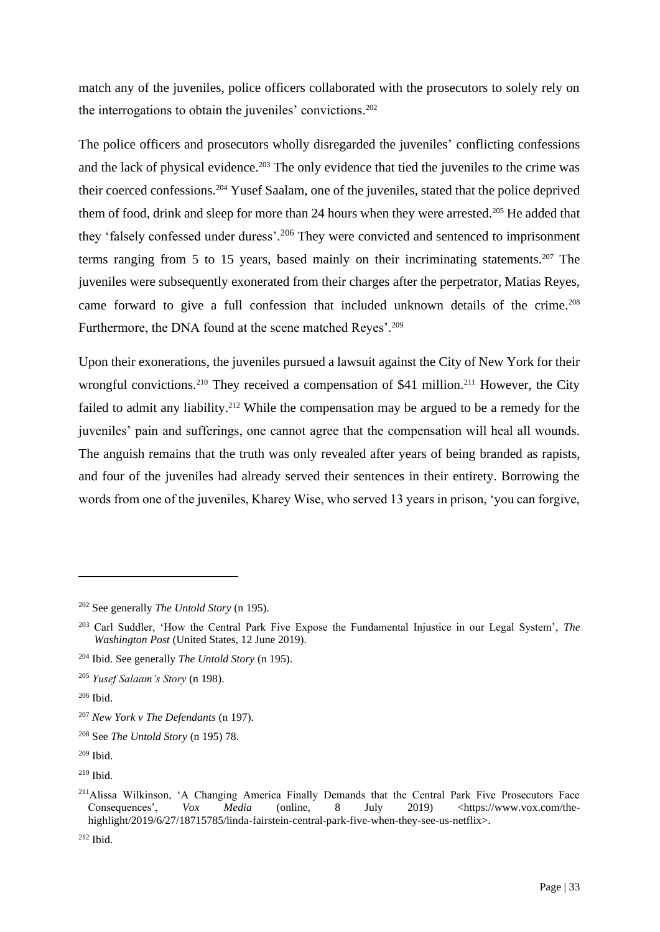match any of the juveniles, police officers collaborated with the prosecutors to solely rely on the interrogations to obtain the juveniles' convictions.<sup>202</sup>

The police officers and prosecutors wholly disregarded the juveniles' conflicting confessions and the lack of physical evidence.<sup>203</sup> The only evidence that tied the juveniles to the crime was their coerced confessions.<sup>204</sup> Yusef Saalam, one of the juveniles, stated that the police deprived them of food, drink and sleep for more than 24 hours when they were arrested.<sup>205</sup> He added that they 'falsely confessed under duress'.<sup>206</sup> They were convicted and sentenced to imprisonment terms ranging from 5 to 15 years, based mainly on their incriminating statements.<sup>207</sup> The juveniles were subsequently exonerated from their charges after the perpetrator, Matias Reyes, came forward to give a full confession that included unknown details of the crime.<sup>208</sup> Furthermore, the DNA found at the scene matched Reyes'.<sup>209</sup>

Upon their exonerations, the juveniles pursued a lawsuit against the City of New York for their wrongful convictions.<sup>210</sup> They received a compensation of \$41 million.<sup>211</sup> However, the City failed to admit any liability.<sup>212</sup> While the compensation may be argued to be a remedy for the juveniles' pain and sufferings, one cannot agree that the compensation will heal all wounds. The anguish remains that the truth was only revealed after years of being branded as rapists, and four of the juveniles had already served their sentences in their entirety. Borrowing the words from one of the juveniles, Kharey Wise, who served 13 years in prison, 'you can forgive,

<sup>202</sup> See generally *The Untold Story* (n 195).

<sup>203</sup> Carl Suddler, 'How the Central Park Five Expose the Fundamental Injustice in our Legal System', *The Washington Post* (United States, 12 June 2019).

<sup>204</sup> Ibid. See generally *The Untold Story* (n 195).

<sup>205</sup> *Yusef Salaam's Story* (n 198).

<sup>206</sup> Ibid.

<sup>207</sup> *New York v The Defendants* (n 197).

<sup>208</sup> See *The Untold Story* (n 195) 78.

<sup>209</sup> Ibid.

<sup>210</sup> Ibid.

<sup>&</sup>lt;sup>211</sup>Alissa Wilkinson, 'A Changing America Finally Demands that the Central Park Five Prosecutors Face<br>Consequences'. Vox Media (online. 8 July 2019) <https://www.vox.com/the-Consequences', *Vox Media* (online, 8 July 2019) <https://www.vox.com/thehighlight/2019/6/27/18715785/linda-fairstein-central-park-five-when-they-see-us-netflix>.

<sup>212</sup> Ibid.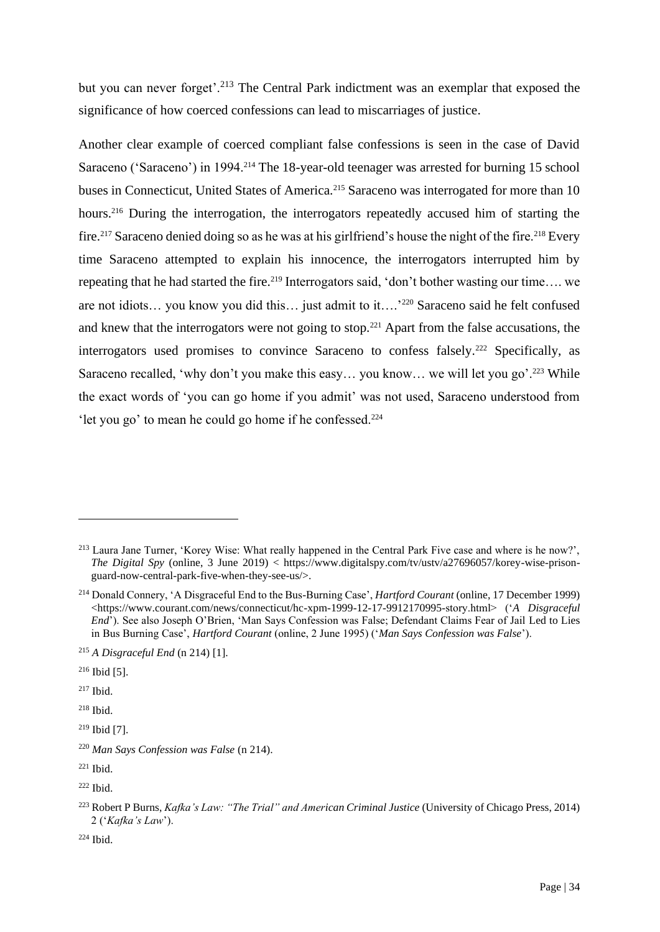but you can never forget'.<sup>213</sup> The Central Park indictment was an exemplar that exposed the significance of how coerced confessions can lead to miscarriages of justice.

Another clear example of coerced compliant false confessions is seen in the case of David Saraceno ('Saraceno') in 1994.<sup>214</sup> The 18-year-old teenager was arrested for burning 15 school buses in Connecticut, United States of America.<sup>215</sup> Saraceno was interrogated for more than 10 hours.<sup>216</sup> During the interrogation, the interrogators repeatedly accused him of starting the fire.<sup>217</sup> Saraceno denied doing so as he was at his girlfriend's house the night of the fire.<sup>218</sup> Every time Saraceno attempted to explain his innocence, the interrogators interrupted him by repeating that he had started the fire.<sup>219</sup> Interrogators said, 'don't bother wasting our time.... we are not idiots… you know you did this… just admit to it….'<sup>220</sup> Saraceno said he felt confused and knew that the interrogators were not going to stop.<sup>221</sup> Apart from the false accusations, the interrogators used promises to convince Saraceno to confess falsely.<sup>222</sup> Specifically, as Saraceno recalled, 'why don't you make this easy... you know... we will let you go'.<sup>223</sup> While the exact words of 'you can go home if you admit' was not used, Saraceno understood from 'let you go' to mean he could go home if he confessed.<sup>224</sup>

 $217$  Ibid.

 $218$  Ibid.

<sup>213</sup> Laura Jane Turner, 'Korey Wise: What really happened in the Central Park Five case and where is he now?', *The Digital Spy* (online, 3 June 2019) < https://www.digitalspy.com/tv/ustv/a27696057/korey-wise-prisonguard-now-central-park-five-when-they-see-us/>.

<sup>214</sup> Donald Connery, 'A Disgraceful End to the Bus-Burning Case', *Hartford Courant* (online, 17 December 1999) <https://www.courant.com/news/connecticut/hc-xpm-1999-12-17-9912170995-story.html> ('*A Disgraceful End*'). See also Joseph O'Brien, 'Man Says Confession was False; Defendant Claims Fear of Jail Led to Lies in Bus Burning Case', *Hartford Courant* (online, 2 June 1995) ('*Man Says Confession was False*').

<sup>215</sup> *A Disgraceful End* (n 214) [1].

<sup>216</sup> Ibid [5].

<sup>219</sup> Ibid [7].

<sup>220</sup> *Man Says Confession was False* (n 214).

<sup>221</sup> Ibid.

 $222$  Ibid.

<sup>223</sup> Robert P Burns, *Kafka's Law: "The Trial" and American Criminal Justice* (University of Chicago Press, 2014) 2 ('*Kafka's Law*').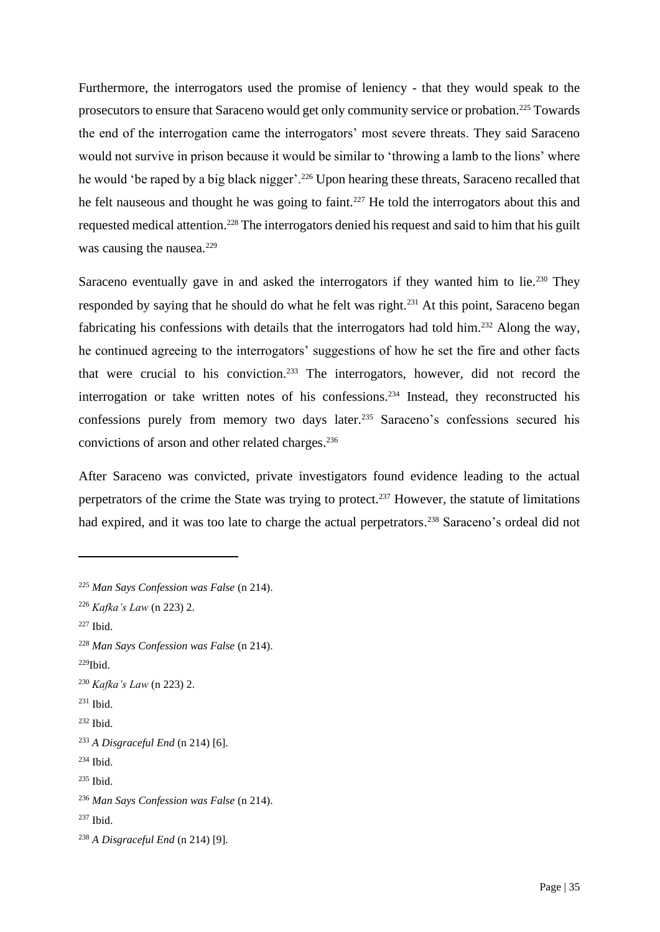Furthermore, the interrogators used the promise of leniency - that they would speak to the prosecutors to ensure that Saraceno would get only community service or probation.<sup>225</sup> Towards the end of the interrogation came the interrogators' most severe threats. They said Saraceno would not survive in prison because it would be similar to 'throwing a lamb to the lions' where he would 'be raped by a big black nigger'.<sup>226</sup> Upon hearing these threats, Saraceno recalled that he felt nauseous and thought he was going to faint.<sup>227</sup> He told the interrogators about this and requested medical attention.<sup>228</sup> The interrogators denied his request and said to him that his guilt was causing the nausea.<sup>229</sup>

Saraceno eventually gave in and asked the interrogators if they wanted him to lie.<sup>230</sup> They responded by saying that he should do what he felt was right.<sup>231</sup> At this point, Saraceno began fabricating his confessions with details that the interrogators had told him.<sup>232</sup> Along the way, he continued agreeing to the interrogators' suggestions of how he set the fire and other facts that were crucial to his conviction.<sup>233</sup> The interrogators, however, did not record the interrogation or take written notes of his confessions.<sup>234</sup> Instead, they reconstructed his confessions purely from memory two days later.<sup>235</sup> Saraceno's confessions secured his convictions of arson and other related charges.<sup>236</sup>

After Saraceno was convicted, private investigators found evidence leading to the actual perpetrators of the crime the State was trying to protect.<sup>237</sup> However, the statute of limitations had expired, and it was too late to charge the actual perpetrators.<sup>238</sup> Saraceno's ordeal did not

<sup>225</sup> *Man Says Confession was False* (n 214).

<sup>226</sup> *Kafka's Law* (n 223) 2.

 $227$  Ibid.

<sup>228</sup> *Man Says Confession was False* (n 214).

 $229$ Ibid.

<sup>230</sup> *Kafka's Law* (n 223) 2.

 $231$  Ibid.

<sup>232</sup> Ibid.

<sup>233</sup> *A Disgraceful End* (n 214) [6].

<sup>234</sup> Ibid.

<sup>236</sup> *Man Says Confession was False* (n 214).

 $237$  Ibid.

<sup>238</sup> *A Disgraceful End* (n 214) [9].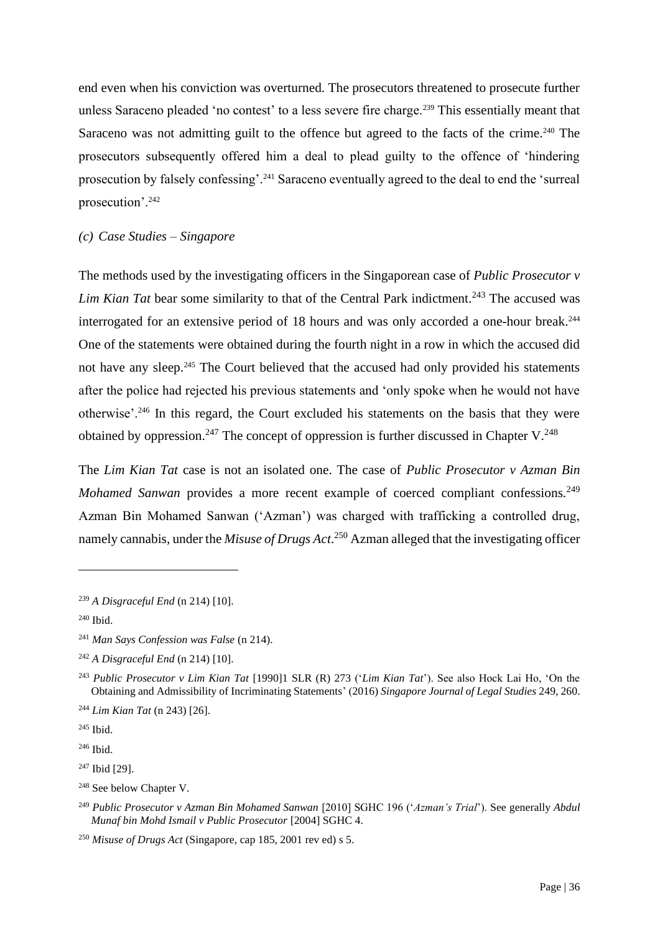end even when his conviction was overturned. The prosecutors threatened to prosecute further unless Saraceno pleaded 'no contest' to a less severe fire charge.<sup>239</sup> This essentially meant that Saraceno was not admitting guilt to the offence but agreed to the facts of the crime.<sup>240</sup> The prosecutors subsequently offered him a deal to plead guilty to the offence of 'hindering prosecution by falsely confessing'.<sup>241</sup> Saraceno eventually agreed to the deal to end the 'surreal prosecution'.<sup>242</sup>

#### *(c) Case Studies – Singapore*

The methods used by the investigating officers in the Singaporean case of *Public Prosecutor v Lim Kian Tat* bear some similarity to that of the Central Park indictment.<sup>243</sup> The accused was interrogated for an extensive period of 18 hours and was only accorded a one-hour break.<sup>244</sup> One of the statements were obtained during the fourth night in a row in which the accused did not have any sleep.<sup>245</sup> The Court believed that the accused had only provided his statements after the police had rejected his previous statements and 'only spoke when he would not have otherwise'.<sup>246</sup> In this regard, the Court excluded his statements on the basis that they were obtained by oppression.<sup>247</sup> The concept of oppression is further discussed in Chapter V.<sup>248</sup>

The *Lim Kian Tat* case is not an isolated one. The case of *Public Prosecutor v Azman Bin Mohamed Sanwan* provides a more recent example of coerced compliant confessions.<sup>249</sup> Azman Bin Mohamed Sanwan ('Azman') was charged with trafficking a controlled drug, namely cannabis, under the *Misuse of Drugs Act*. <sup>250</sup> Azman alleged that the investigating officer

<sup>239</sup> *A Disgraceful End* (n 214) [10].

<sup>240</sup> Ibid.

<sup>241</sup> *Man Says Confession was False* (n 214).

<sup>242</sup> *A Disgraceful End* (n 214) [10].

<sup>243</sup> *Public Prosecutor v Lim Kian Tat* [1990]1 SLR (R) 273 ('*Lim Kian Tat*'). See also Hock Lai Ho, 'On the Obtaining and Admissibility of Incriminating Statements' (2016) *Singapore Journal of Legal Studies* 249, 260.

<sup>244</sup> *Lim Kian Tat* (n 243) [26].

<sup>245</sup> Ibid.

<sup>246</sup> Ibid.

<sup>247</sup> Ibid [29].

<sup>&</sup>lt;sup>248</sup> See below Chapter V.

<sup>249</sup> *Public Prosecutor v Azman Bin Mohamed Sanwan* [2010] SGHC 196 ('*Azman's Trial*'). See generally *Abdul Munaf bin Mohd Ismail v Public Prosecutor* [2004] SGHC 4.

<sup>250</sup> *Misuse of Drugs Act* (Singapore, cap 185, 2001 rev ed) s 5.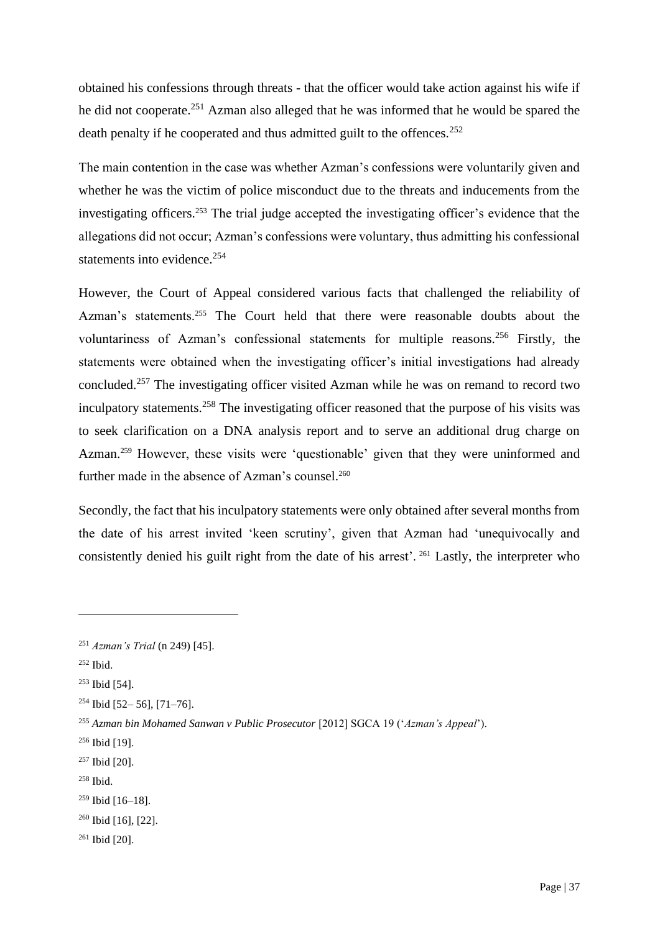obtained his confessions through threats - that the officer would take action against his wife if he did not cooperate.<sup>251</sup> Azman also alleged that he was informed that he would be spared the death penalty if he cooperated and thus admitted guilt to the offences.<sup>252</sup>

The main contention in the case was whether Azman's confessions were voluntarily given and whether he was the victim of police misconduct due to the threats and inducements from the investigating officers.<sup>253</sup> The trial judge accepted the investigating officer's evidence that the allegations did not occur; Azman's confessions were voluntary, thus admitting his confessional statements into evidence.<sup>254</sup>

However, the Court of Appeal considered various facts that challenged the reliability of Azman's statements.<sup>255</sup> The Court held that there were reasonable doubts about the voluntariness of Azman's confessional statements for multiple reasons.<sup>256</sup> Firstly, the statements were obtained when the investigating officer's initial investigations had already concluded.<sup>257</sup> The investigating officer visited Azman while he was on remand to record two inculpatory statements.<sup>258</sup> The investigating officer reasoned that the purpose of his visits was to seek clarification on a DNA analysis report and to serve an additional drug charge on Azman.<sup>259</sup> However, these visits were 'questionable' given that they were uninformed and further made in the absence of Azman's counsel.<sup>260</sup>

Secondly, the fact that his inculpatory statements were only obtained after several months from the date of his arrest invited 'keen scrutiny', given that Azman had 'unequivocally and consistently denied his guilt right from the date of his arrest'. <sup>261</sup> Lastly, the interpreter who

<sup>258</sup> Ibid.

<sup>261</sup> Ibid [20].

<sup>251</sup> *Azman's Trial* (n 249) [45].

<sup>252</sup> Ibid.

<sup>253</sup> Ibid [54].

 $254$  Ibid [52-56], [71-76].

<sup>255</sup> *Azman bin Mohamed Sanwan v Public Prosecutor* [2012] SGCA 19 ('*Azman's Appeal*').

<sup>256</sup> Ibid [19].

<sup>257</sup> Ibid [20].

<sup>259</sup> Ibid [16–18].

<sup>260</sup> Ibid [16], [22].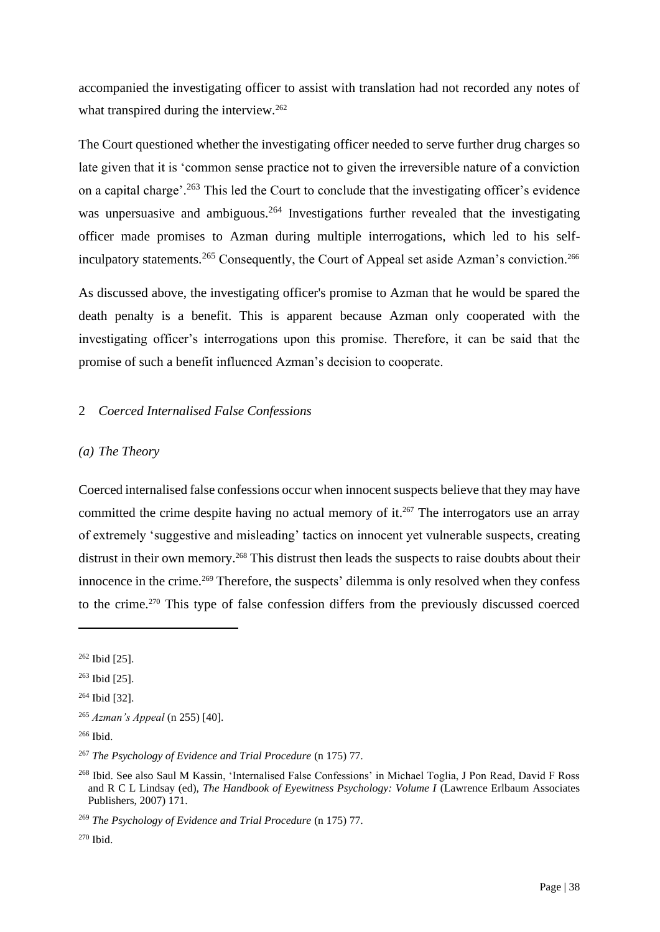accompanied the investigating officer to assist with translation had not recorded any notes of what transpired during the interview.<sup>262</sup>

The Court questioned whether the investigating officer needed to serve further drug charges so late given that it is 'common sense practice not to given the irreversible nature of a conviction on a capital charge'.<sup>263</sup> This led the Court to conclude that the investigating officer's evidence was unpersuasive and ambiguous.<sup>264</sup> Investigations further revealed that the investigating officer made promises to Azman during multiple interrogations, which led to his selfinculpatory statements.<sup>265</sup> Consequently, the Court of Appeal set aside Azman's conviction.<sup>266</sup>

As discussed above, the investigating officer's promise to Azman that he would be spared the death penalty is a benefit. This is apparent because Azman only cooperated with the investigating officer's interrogations upon this promise. Therefore, it can be said that the promise of such a benefit influenced Azman's decision to cooperate.

# 2 *Coerced Internalised False Confessions*

## *(a) The Theory*

Coerced internalised false confessions occur when innocent suspects believe that they may have committed the crime despite having no actual memory of it.<sup>267</sup> The interrogators use an array of extremely 'suggestive and misleading' tactics on innocent yet vulnerable suspects, creating distrust in their own memory.<sup>268</sup> This distrust then leads the suspects to raise doubts about their innocence in the crime.<sup>269</sup> Therefore, the suspects' dilemma is only resolved when they confess to the crime.<sup>270</sup> This type of false confession differs from the previously discussed coerced

<sup>262</sup> Ibid [25].

<sup>263</sup> Ibid [25].

<sup>264</sup> Ibid [32].

<sup>265</sup> *Azman's Appeal* (n 255) [40].

 $266$  Ibid.

<sup>267</sup> *The Psychology of Evidence and Trial Procedure* (n 175) 77.

<sup>268</sup> Ibid. See also Saul M Kassin, 'Internalised False Confessions' in Michael Toglia, J Pon Read, David F Ross and R C L Lindsay (ed), *The Handbook of Eyewitness Psychology: Volume I* (Lawrence Erlbaum Associates Publishers, 2007) 171.

<sup>269</sup> *The Psychology of Evidence and Trial Procedure* (n 175) 77.

<sup>270</sup> Ibid.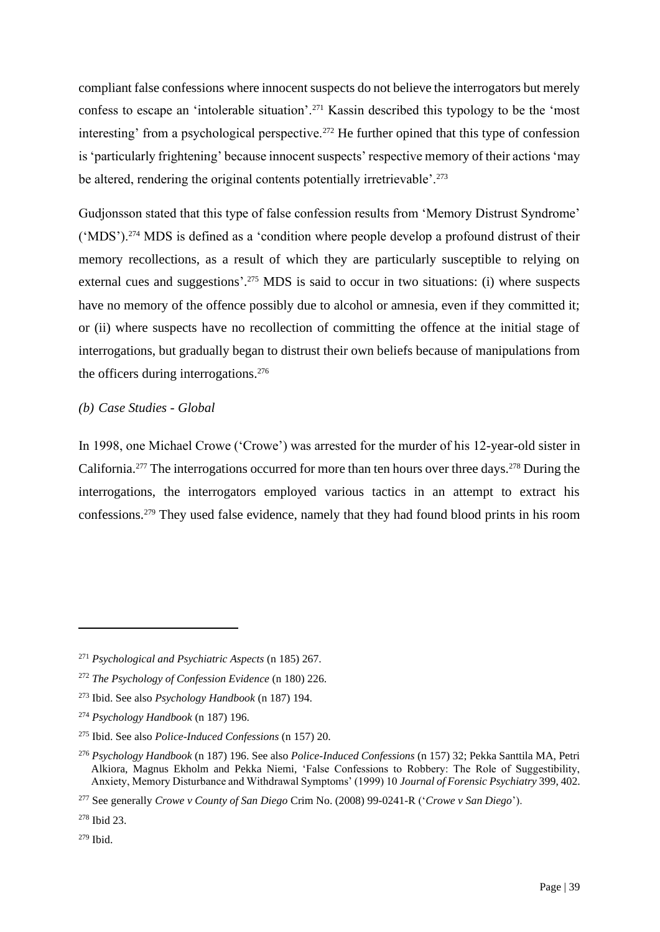compliant false confessions where innocent suspects do not believe the interrogators but merely confess to escape an 'intolerable situation'.<sup>271</sup> Kassin described this typology to be the 'most interesting' from a psychological perspective.<sup>272</sup> He further opined that this type of confession is 'particularly frightening' because innocent suspects' respective memory of their actions 'may be altered, rendering the original contents potentially irretrievable'.<sup>273</sup>

Gudjonsson stated that this type of false confession results from 'Memory Distrust Syndrome' ('MDS').<sup>274</sup> MDS is defined as a 'condition where people develop a profound distrust of their memory recollections, as a result of which they are particularly susceptible to relying on external cues and suggestions'.<sup>275</sup> MDS is said to occur in two situations: (i) where suspects have no memory of the offence possibly due to alcohol or amnesia, even if they committed it; or (ii) where suspects have no recollection of committing the offence at the initial stage of interrogations, but gradually began to distrust their own beliefs because of manipulations from the officers during interrogations.<sup>276</sup>

## *(b) Case Studies - Global*

In 1998, one Michael Crowe ('Crowe') was arrested for the murder of his 12-year-old sister in California.<sup>277</sup> The interrogations occurred for more than ten hours over three days.<sup>278</sup> During the interrogations, the interrogators employed various tactics in an attempt to extract his confessions.<sup>279</sup> They used false evidence, namely that they had found blood prints in his room

<sup>271</sup> *Psychological and Psychiatric Aspects* (n 185) 267.

<sup>272</sup> *The Psychology of Confession Evidence* (n 180) 226.

<sup>273</sup> Ibid. See also *Psychology Handbook* (n 187) 194.

<sup>274</sup> *Psychology Handbook* (n 187) 196.

<sup>275</sup> Ibid. See also *Police-Induced Confessions* (n 157) 20.

<sup>276</sup> *Psychology Handbook* (n 187) 196. See also *Police-Induced Confessions* (n 157) 32; Pekka Santtila MA, Petri Alkiora, Magnus Ekholm and Pekka Niemi, 'False Confessions to Robbery: The Role of Suggestibility, Anxiety, Memory Disturbance and Withdrawal Symptoms' (1999) 10 *Journal of Forensic Psychiatry* 399, 402.

<sup>277</sup> See generally *Crowe v County of San Diego* Crim No. (2008) 99-0241-R ('*Crowe v San Diego*').

<sup>278</sup> Ibid 23.

<sup>279</sup> Ibid.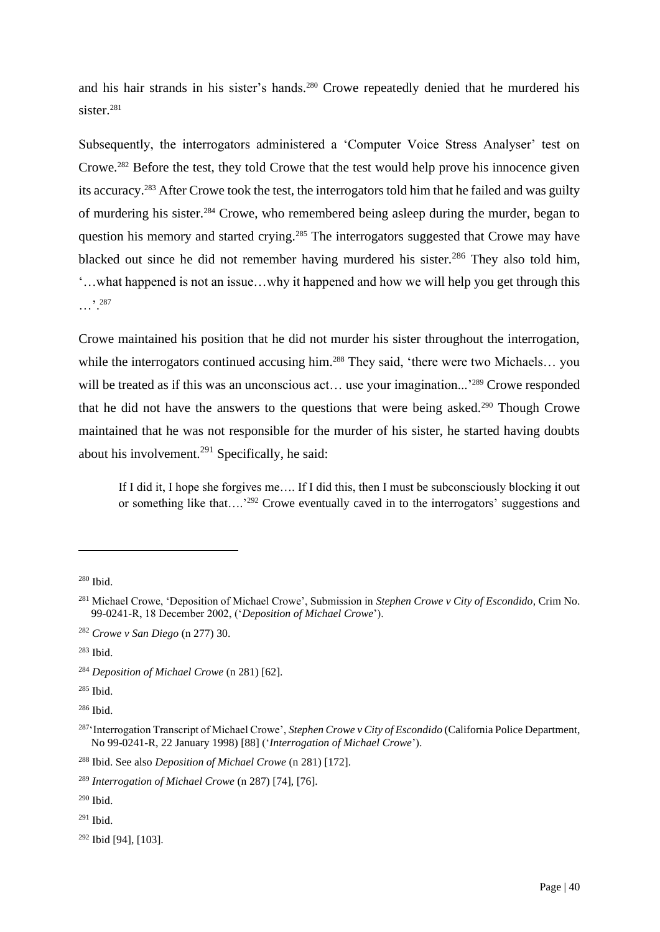and his hair strands in his sister's hands. <sup>280</sup> Crowe repeatedly denied that he murdered his sister $^{281}$ 

Subsequently, the interrogators administered a 'Computer Voice Stress Analyser' test on Crowe.<sup>282</sup> Before the test, they told Crowe that the test would help prove his innocence given its accuracy.<sup>283</sup> After Crowe took the test, the interrogators told him that he failed and was guilty of murdering his sister.<sup>284</sup> Crowe, who remembered being asleep during the murder, began to question his memory and started crying.<sup>285</sup> The interrogators suggested that Crowe may have blacked out since he did not remember having murdered his sister.<sup>286</sup> They also told him, '…what happened is not an issue…why it happened and how we will help you get through this …'.<sup>287</sup>

Crowe maintained his position that he did not murder his sister throughout the interrogation, while the interrogators continued accusing him.<sup>288</sup> They said, 'there were two Michaels... you will be treated as if this was an unconscious act... use your imagination...<sup>'289</sup> Crowe responded that he did not have the answers to the questions that were being asked.<sup>290</sup> Though Crowe maintained that he was not responsible for the murder of his sister, he started having doubts about his involvement. $291$  Specifically, he said:

If I did it, I hope she forgives me…. If I did this, then I must be subconsciously blocking it out or something like that....<sup>'292</sup> Crowe eventually caved in to the interrogators' suggestions and

 $291$  Ibid.

<sup>280</sup> Ibid.

<sup>281</sup> Michael Crowe, 'Deposition of Michael Crowe', Submission in *Stephen Crowe v City of Escondido*, Crim No. 99-0241-R, 18 December 2002, ('*Deposition of Michael Crowe*').

<sup>282</sup> *Crowe v San Diego* (n 277) 30.

<sup>283</sup> Ibid.

<sup>284</sup> *Deposition of Michael Crowe* (n 281) [62].

<sup>285</sup> Ibid.

<sup>286</sup> Ibid.

<sup>287</sup>'Interrogation Transcript of Michael Crowe', *Stephen Crowe v City of Escondido* (California Police Department, No 99-0241-R, 22 January 1998) [88] ('*Interrogation of Michael Crowe*').

<sup>288</sup> Ibid. See also *Deposition of Michael Crowe* (n 281) [172].

<sup>289</sup> *Interrogation of Michael Crowe* (n 287) [74], [76].

<sup>290</sup> Ibid.

<sup>292</sup> Ibid [94], [103].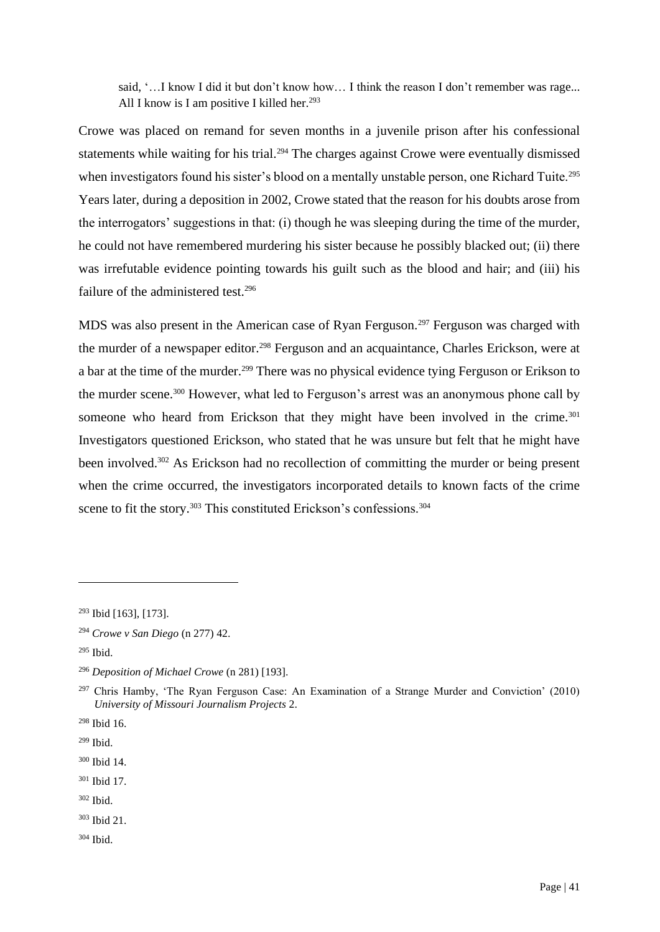said, '...I know I did it but don't know how... I think the reason I don't remember was rage... All I know is I am positive I killed her.<sup>293</sup>

Crowe was placed on remand for seven months in a juvenile prison after his confessional statements while waiting for his trial.<sup>294</sup> The charges against Crowe were eventually dismissed when investigators found his sister's blood on a mentally unstable person, one Richard Tuite.<sup>295</sup> Years later, during a deposition in 2002, Crowe stated that the reason for his doubts arose from the interrogators' suggestions in that: (i) though he was sleeping during the time of the murder, he could not have remembered murdering his sister because he possibly blacked out; (ii) there was irrefutable evidence pointing towards his guilt such as the blood and hair; and (iii) his failure of the administered test.<sup>296</sup>

MDS was also present in the American case of Ryan Ferguson.<sup>297</sup> Ferguson was charged with the murder of a newspaper editor.<sup>298</sup> Ferguson and an acquaintance, Charles Erickson, were at a bar at the time of the murder.<sup>299</sup> There was no physical evidence tying Ferguson or Erikson to the murder scene.<sup>300</sup> However, what led to Ferguson's arrest was an anonymous phone call by someone who heard from Erickson that they might have been involved in the crime.<sup>301</sup> Investigators questioned Erickson, who stated that he was unsure but felt that he might have been involved.<sup>302</sup> As Erickson had no recollection of committing the murder or being present when the crime occurred, the investigators incorporated details to known facts of the crime scene to fit the story.<sup>303</sup> This constituted Erickson's confessions.<sup>304</sup>

- <sup>301</sup> Ibid 17.
- <sup>302</sup> Ibid.

<sup>304</sup> Ibid.

<sup>293</sup> Ibid [163], [173].

<sup>294</sup> *Crowe v San Diego* (n 277) 42.

<sup>295</sup> Ibid.

<sup>296</sup> *Deposition of Michael Crowe* (n 281) [193].

<sup>297</sup> Chris Hamby, 'The Ryan Ferguson Case: An Examination of a Strange Murder and Conviction' (2010) *University of Missouri Journalism Projects* 2.

<sup>298</sup> Ibid 16.

<sup>299</sup> Ibid.

<sup>300</sup> Ibid 14.

<sup>303</sup> Ibid 21.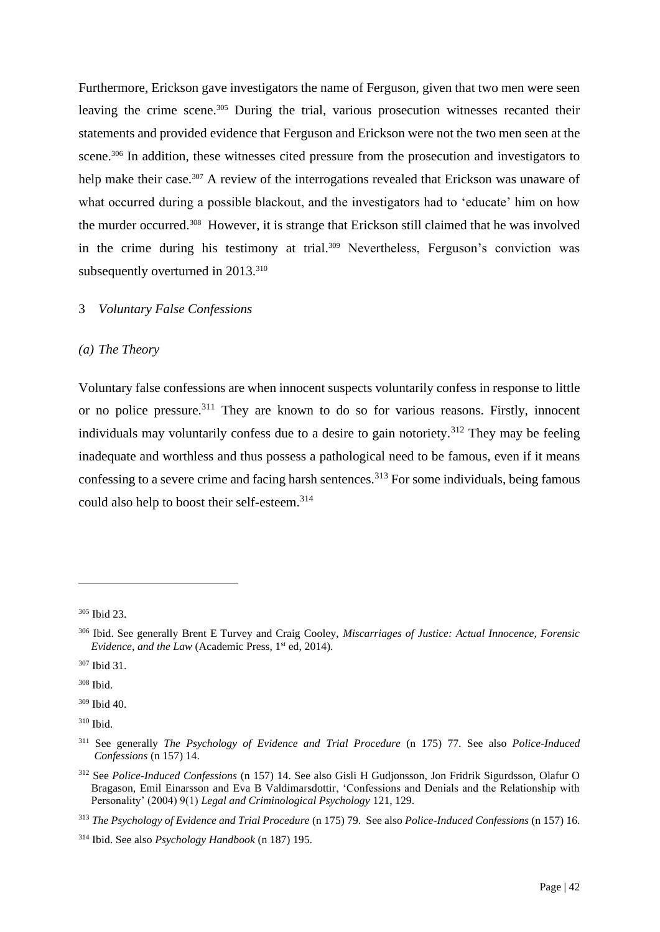Furthermore, Erickson gave investigators the name of Ferguson, given that two men were seen leaving the crime scene.<sup>305</sup> During the trial, various prosecution witnesses recanted their statements and provided evidence that Ferguson and Erickson were not the two men seen at the scene.<sup>306</sup> In addition, these witnesses cited pressure from the prosecution and investigators to help make their case.<sup>307</sup> A review of the interrogations revealed that Erickson was unaware of what occurred during a possible blackout, and the investigators had to 'educate' him on how the murder occurred.<sup>308</sup> However, it is strange that Erickson still claimed that he was involved in the crime during his testimony at trial.<sup>309</sup> Nevertheless, Ferguson's conviction was subsequently overturned in 2013.<sup>310</sup>

# 3 *Voluntary False Confessions*

## *(a) The Theory*

Voluntary false confessions are when innocent suspects voluntarily confess in response to little or no police pressure.<sup>311</sup> They are known to do so for various reasons. Firstly, innocent individuals may voluntarily confess due to a desire to gain notoriety.<sup>312</sup> They may be feeling inadequate and worthless and thus possess a pathological need to be famous, even if it means confessing to a severe crime and facing harsh sentences.<sup>313</sup> For some individuals, being famous could also help to boost their self-esteem.<sup>314</sup>

<sup>305</sup> Ibid 23.

<sup>306</sup> Ibid. See generally Brent E Turvey and Craig Cooley, *Miscarriages of Justice: Actual Innocence, Forensic Evidence, and the Law* (Academic Press, 1<sup>st</sup> ed, 2014).

<sup>307</sup> Ibid 31.

<sup>308</sup> Ibid.

<sup>309</sup> Ibid 40.

<sup>310</sup> Ibid.

<sup>311</sup> See generally *The Psychology of Evidence and Trial Procedure* (n 175) 77. See also *Police-Induced Confessions* (n 157) 14.

<sup>312</sup> See *Police-Induced Confessions* (n 157) 14. See also Gisli H Gudjonsson, Jon Fridrik Sigurdsson, Olafur O Bragason, Emil Einarsson and Eva B Valdimarsdottir, 'Confessions and Denials and the Relationship with Personality' (2004) 9(1) *Legal and Criminological Psychology* 121, 129.

<sup>313</sup> *The Psychology of Evidence and Trial Procedure* (n 175) 79. See also *Police-Induced Confessions* (n 157) 16.

<sup>314</sup> Ibid. See also *Psychology Handbook* (n 187) 195.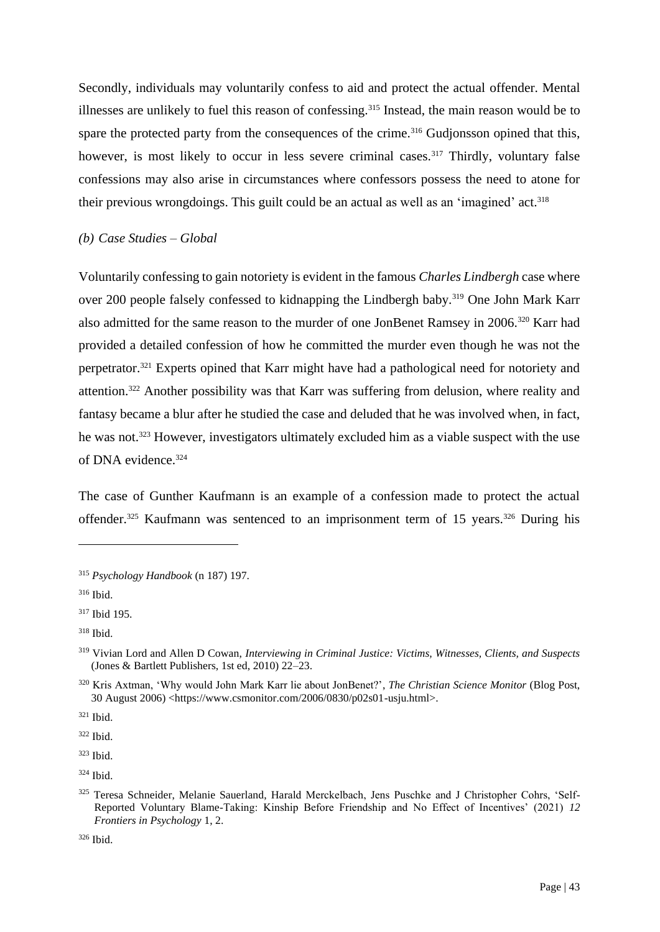Secondly, individuals may voluntarily confess to aid and protect the actual offender. Mental illnesses are unlikely to fuel this reason of confessing.<sup>315</sup> Instead, the main reason would be to spare the protected party from the consequences of the crime.<sup>316</sup> Gudjonsson opined that this, however, is most likely to occur in less severe criminal cases.<sup>317</sup> Thirdly, voluntary false confessions may also arise in circumstances where confessors possess the need to atone for their previous wrongdoings. This guilt could be an actual as well as an 'imagined' act.<sup>318</sup>

## *(b) Case Studies – Global*

Voluntarily confessing to gain notoriety is evident in the famous *Charles Lindbergh* case where over 200 people falsely confessed to kidnapping the Lindbergh baby.<sup>319</sup> One John Mark Karr also admitted for the same reason to the murder of one JonBenet Ramsey in 2006.<sup>320</sup> Karr had provided a detailed confession of how he committed the murder even though he was not the perpetrator.<sup>321</sup> Experts opined that Karr might have had a pathological need for notoriety and attention.<sup>322</sup> Another possibility was that Karr was suffering from delusion, where reality and fantasy became a blur after he studied the case and deluded that he was involved when, in fact, he was not.<sup>323</sup> However, investigators ultimately excluded him as a viable suspect with the use of DNA evidence.<sup>324</sup>

The case of Gunther Kaufmann is an example of a confession made to protect the actual offender.<sup>325</sup> Kaufmann was sentenced to an imprisonment term of 15 years.<sup>326</sup> During his

<sup>321</sup> Ibid.

<sup>322</sup> Ibid.

<sup>323</sup> Ibid.

 $324$  Ibid.

<sup>326</sup> Ibid.

<sup>315</sup> *Psychology Handbook* (n 187) 197.

<sup>316</sup> Ibid.

<sup>317</sup> Ibid 195.

<sup>318</sup> Ibid.

<sup>319</sup> Vivian Lord and Allen D Cowan, *Interviewing in Criminal Justice: Victims, Witnesses, Clients, and Suspects* (Jones & Bartlett Publishers, 1st ed, 2010) 22–23.

<sup>320</sup> Kris Axtman, 'Why would John Mark Karr lie about JonBenet?', *The Christian Science Monitor* (Blog Post, 30 August 2006) <https://www.csmonitor.com/2006/0830/p02s01-usju.html>.

<sup>325</sup> Teresa Schneider, Melanie Sauerland, Harald Merckelbach, Jens Puschke and J Christopher Cohrs, 'Self-Reported Voluntary Blame-Taking: Kinship Before Friendship and No Effect of Incentives' (2021) *12 Frontiers in Psychology* 1, 2.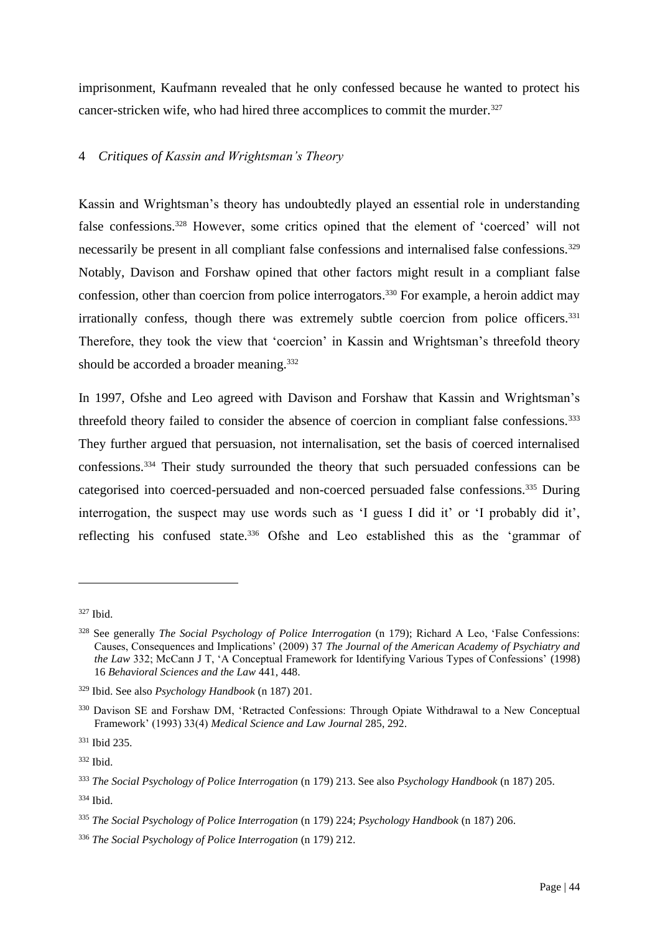imprisonment, Kaufmann revealed that he only confessed because he wanted to protect his cancer-stricken wife, who had hired three accomplices to commit the murder.<sup>327</sup>

# 4 *Critiques of Kassin and Wrightsman's Theory*

Kassin and Wrightsman's theory has undoubtedly played an essential role in understanding false confessions.<sup>328</sup> However, some critics opined that the element of 'coerced' will not necessarily be present in all compliant false confessions and internalised false confessions.<sup>329</sup> Notably, Davison and Forshaw opined that other factors might result in a compliant false confession, other than coercion from police interrogators. <sup>330</sup> For example, a heroin addict may irrationally confess, though there was extremely subtle coercion from police officers.<sup>331</sup> Therefore, they took the view that 'coercion' in Kassin and Wrightsman's threefold theory should be accorded a broader meaning.<sup>332</sup>

In 1997, Ofshe and Leo agreed with Davison and Forshaw that Kassin and Wrightsman's threefold theory failed to consider the absence of coercion in compliant false confessions.<sup>333</sup> They further argued that persuasion, not internalisation, set the basis of coerced internalised confessions.<sup>334</sup> Their study surrounded the theory that such persuaded confessions can be categorised into coerced-persuaded and non-coerced persuaded false confessions.<sup>335</sup> During interrogation, the suspect may use words such as 'I guess I did it' or 'I probably did it', reflecting his confused state.<sup>336</sup> Ofshe and Leo established this as the 'grammar of

<sup>327</sup> Ibid.

<sup>328</sup> See generally *The Social Psychology of Police Interrogation* (n 179); Richard A Leo, 'False Confessions: Causes, Consequences and Implications' (2009) 37 *The Journal of the American Academy of Psychiatry and the Law* 332; McCann J T, 'A Conceptual Framework for Identifying Various Types of Confessions' (1998) 16 *Behavioral Sciences and the Law* 441, 448.

<sup>329</sup> Ibid. See also *Psychology Handbook* (n 187) 201.

<sup>&</sup>lt;sup>330</sup> Davison SE and Forshaw DM, 'Retracted Confessions: Through Opiate Withdrawal to a New Conceptual Framework' (1993) 33(4) *Medical Science and Law Journal* 285, 292.

<sup>331</sup> Ibid 235.

<sup>332</sup> Ibid.

<sup>333</sup> *The Social Psychology of Police Interrogation* (n 179) 213. See also *Psychology Handbook* (n 187) 205.

<sup>334</sup> Ibid.

<sup>335</sup> *The Social Psychology of Police Interrogation* (n 179) 224; *Psychology Handbook* (n 187) 206.

<sup>336</sup> *The Social Psychology of Police Interrogation* (n 179) 212.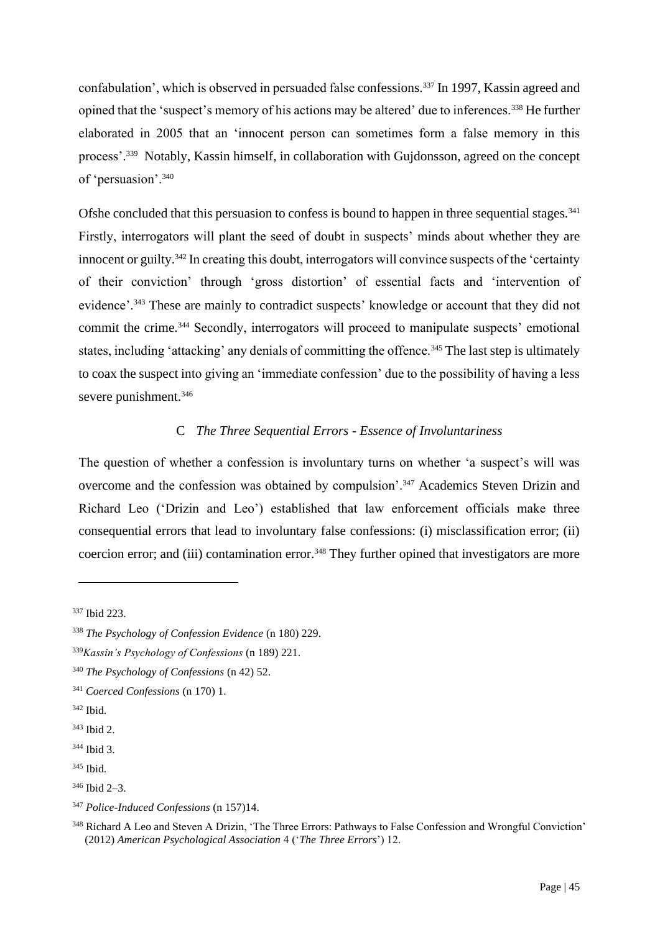confabulation', which is observed in persuaded false confessions.<sup>337</sup> In 1997, Kassin agreed and opined that the 'suspect's memory of his actions may be altered' due to inferences.<sup>338</sup> He further elaborated in 2005 that an 'innocent person can sometimes form a false memory in this process'.<sup>339</sup> Notably, Kassin himself, in collaboration with Gujdonsson, agreed on the concept of 'persuasion'.<sup>340</sup>

Ofshe concluded that this persuasion to confess is bound to happen in three sequential stages.<sup>341</sup> Firstly, interrogators will plant the seed of doubt in suspects' minds about whether they are innocent or guilty.<sup>342</sup> In creating this doubt, interrogators will convince suspects of the 'certainty' of their conviction' through 'gross distortion' of essential facts and 'intervention of evidence'.<sup>343</sup> These are mainly to contradict suspects' knowledge or account that they did not commit the crime.<sup>344</sup> Secondly, interrogators will proceed to manipulate suspects' emotional states, including 'attacking' any denials of committing the offence.<sup>345</sup> The last step is ultimately to coax the suspect into giving an 'immediate confession' due to the possibility of having a less severe punishment.<sup>346</sup>

# C *The Three Sequential Errors - Essence of Involuntariness*

The question of whether a confession is involuntary turns on whether 'a suspect's will was overcome and the confession was obtained by compulsion'.<sup>347</sup> Academics Steven Drizin and Richard Leo ('Drizin and Leo') established that law enforcement officials make three consequential errors that lead to involuntary false confessions: (i) misclassification error; (ii) coercion error; and (iii) contamination error.<sup>348</sup> They further opined that investigators are more

<sup>337</sup> Ibid 223.

<sup>338</sup> *The Psychology of Confession Evidence* (n 180) 229.

<sup>339</sup>*Kassin's Psychology of Confessions* (n 189) 221.

<sup>340</sup> *The Psychology of Confessions* (n 42) 52.

<sup>341</sup> *Coerced Confessions* (n 170) 1.

 $342$  Ibid.

<sup>343</sup> Ibid 2.

<sup>344</sup> Ibid 3.

<sup>345</sup> Ibid.

 $346$  Ibid  $2-3$ .

<sup>347</sup> *Police-Induced Confessions* (n 157)14.

<sup>&</sup>lt;sup>348</sup> Richard A Leo and Steven A Drizin, 'The Three Errors: Pathways to False Confession and Wrongful Conviction' (2012) *American Psychological Association* 4 ('*The Three Errors*') 12.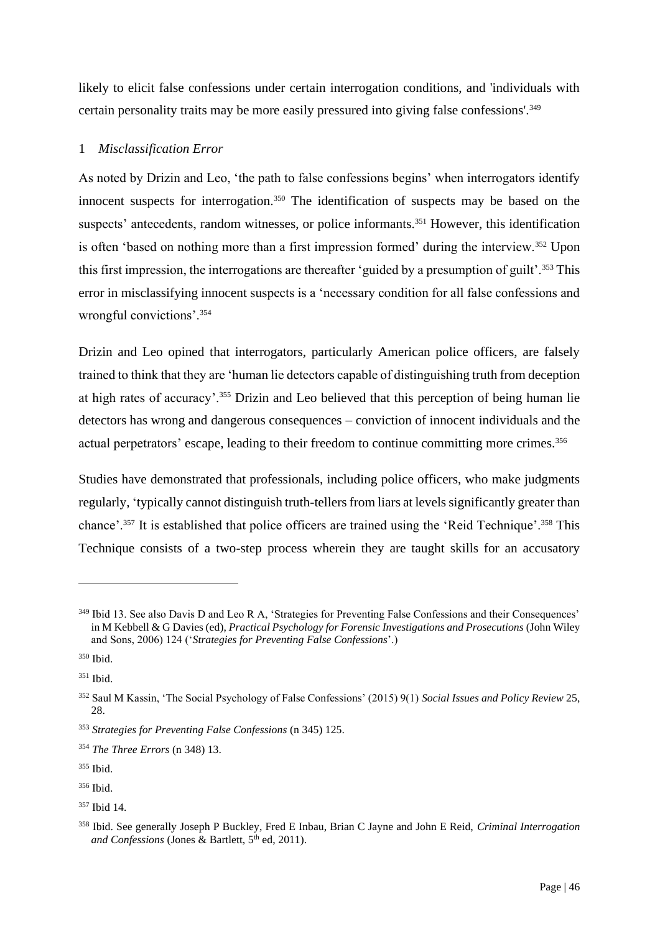likely to elicit false confessions under certain interrogation conditions, and 'individuals with certain personality traits may be more easily pressured into giving false confessions'.<sup>349</sup>

# 1 *Misclassification Error*

As noted by Drizin and Leo, 'the path to false confessions begins' when interrogators identify innocent suspects for interrogation.<sup>350</sup> The identification of suspects may be based on the suspects' antecedents, random witnesses, or police informants.<sup>351</sup> However, this identification is often 'based on nothing more than a first impression formed' during the interview.<sup>352</sup> Upon this first impression, the interrogations are thereafter 'guided by a presumption of guilt'.<sup>353</sup> This error in misclassifying innocent suspects is a 'necessary condition for all false confessions and wrongful convictions'.<sup>354</sup>

Drizin and Leo opined that interrogators, particularly American police officers, are falsely trained to think that they are 'human lie detectors capable of distinguishing truth from deception at high rates of accuracy'.<sup>355</sup> Drizin and Leo believed that this perception of being human lie detectors has wrong and dangerous consequences – conviction of innocent individuals and the actual perpetrators' escape, leading to their freedom to continue committing more crimes.<sup>356</sup>

Studies have demonstrated that professionals, including police officers, who make judgments regularly, 'typically cannot distinguish truth-tellers from liars at levels significantly greater than chance'.<sup>357</sup> It is established that police officers are trained using the 'Reid Technique'.<sup>358</sup> This Technique consists of a two-step process wherein they are taught skills for an accusatory

<sup>&</sup>lt;sup>349</sup> Ibid 13. See also Davis D and Leo R A, 'Strategies for Preventing False Confessions and their Consequences' in M Kebbell & G Davies (ed), *Practical Psychology for Forensic Investigations and Prosecutions* (John Wiley and Sons, 2006) 124 ('*Strategies for Preventing False Confessions*'.)

<sup>350</sup> Ibid.

 $351$  Ibid.

<sup>352</sup> Saul M Kassin, 'The Social Psychology of False Confessions' (2015) 9(1) *Social Issues and Policy Review* 25, 28.

<sup>353</sup> *Strategies for Preventing False Confessions* (n 345) 125.

<sup>354</sup> *The Three Errors* (n 348) 13.

<sup>355</sup> Ibid.

<sup>356</sup> Ibid.

<sup>357</sup> Ibid 14.

<sup>358</sup> Ibid. See generally Joseph P Buckley, Fred E Inbau, Brian C Jayne and John E Reid, *Criminal Interrogation*  and Confessions (Jones & Bartlett, 5<sup>th</sup> ed, 2011).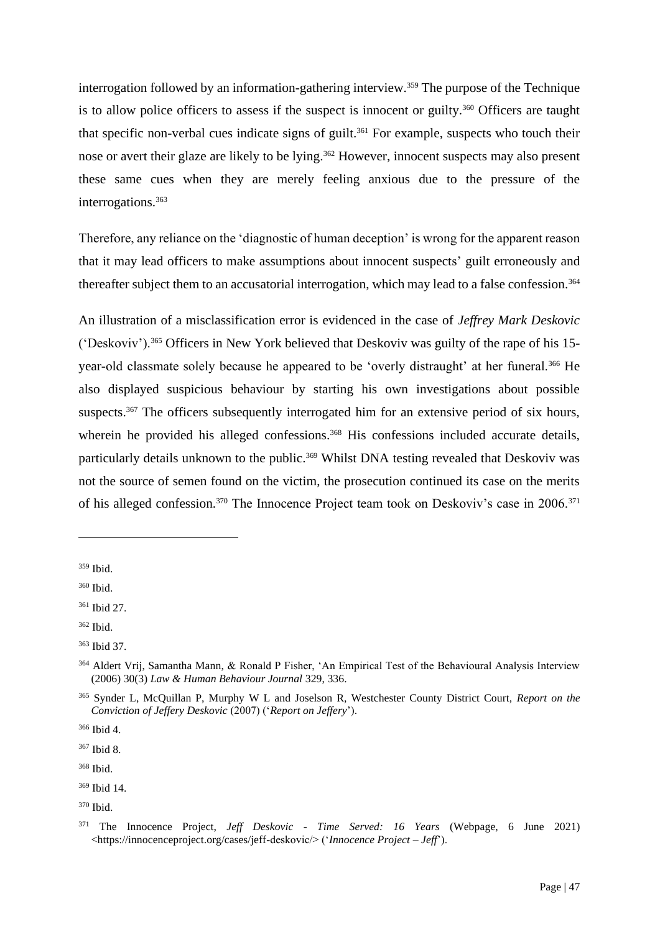interrogation followed by an information-gathering interview.<sup>359</sup> The purpose of the Technique is to allow police officers to assess if the suspect is innocent or guilty.<sup>360</sup> Officers are taught that specific non-verbal cues indicate signs of guilt.<sup>361</sup> For example, suspects who touch their nose or avert their glaze are likely to be lying.<sup>362</sup> However, innocent suspects may also present these same cues when they are merely feeling anxious due to the pressure of the interrogations.<sup>363</sup>

Therefore, any reliance on the 'diagnostic of human deception' is wrong for the apparent reason that it may lead officers to make assumptions about innocent suspects' guilt erroneously and thereafter subject them to an accusatorial interrogation, which may lead to a false confession.<sup>364</sup>

An illustration of a misclassification error is evidenced in the case of *Jeffrey Mark Deskovic*  ('Deskoviv').<sup>365</sup> Officers in New York believed that Deskoviv was guilty of the rape of his 15 year-old classmate solely because he appeared to be 'overly distraught' at her funeral.<sup>366</sup> He also displayed suspicious behaviour by starting his own investigations about possible suspects.<sup>367</sup> The officers subsequently interrogated him for an extensive period of six hours, wherein he provided his alleged confessions.<sup>368</sup> His confessions included accurate details, particularly details unknown to the public.<sup>369</sup> Whilst DNA testing revealed that Deskoviv was not the source of semen found on the victim, the prosecution continued its case on the merits of his alleged confession.<sup>370</sup> The Innocence Project team took on Deskoviv's case in 2006.<sup>371</sup>

<sup>359</sup> Ibid.

<sup>360</sup> Ibid.

<sup>361</sup> Ibid 27.

<sup>362</sup> Ibid.

<sup>363</sup> Ibid 37.

<sup>364</sup> Aldert Vrij, Samantha Mann, & Ronald P Fisher, 'An Empirical Test of the Behavioural Analysis Interview (2006) 30(3) *Law & Human Behaviour Journal* 329, 336.

<sup>365</sup> Synder L, McQuillan P, Murphy W L and Joselson R, Westchester County District Court, *Report on the Conviction of Jeffery Deskovic* (2007) ('*Report on Jeffery*').

<sup>366</sup> Ibid 4.

<sup>367</sup> Ibid 8.

<sup>368</sup> Ibid.

<sup>369</sup> Ibid 14.

<sup>370</sup> Ibid.

<sup>371</sup> The Innocence Project, *Jeff Deskovic - Time Served: 16 Years* (Webpage, 6 June 2021) <https://innocenceproject.org/cases/jeff-deskovic/> ('*Innocence Project – Jeff*').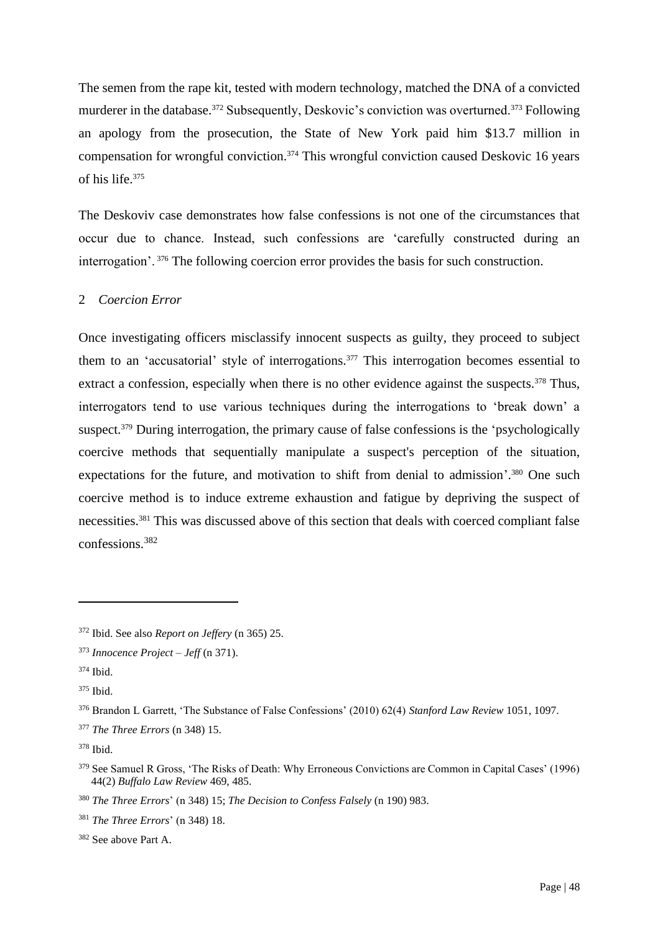The semen from the rape kit, tested with modern technology, matched the DNA of a convicted murderer in the database.<sup>372</sup> Subsequently, Deskovic's conviction was overturned.<sup>373</sup> Following an apology from the prosecution, the State of New York paid him \$13.7 million in compensation for wrongful conviction.<sup>374</sup> This wrongful conviction caused Deskovic 16 years of his life.<sup>375</sup>

The Deskoviv case demonstrates how false confessions is not one of the circumstances that occur due to chance. Instead, such confessions are 'carefully constructed during an interrogation'. <sup>376</sup> The following coercion error provides the basis for such construction.

## 2 *Coercion Error*

Once investigating officers misclassify innocent suspects as guilty, they proceed to subject them to an 'accusatorial' style of interrogations. <sup>377</sup> This interrogation becomes essential to extract a confession, especially when there is no other evidence against the suspects.<sup>378</sup> Thus, interrogators tend to use various techniques during the interrogations to 'break down' a suspect.<sup>379</sup> During interrogation, the primary cause of false confessions is the 'psychologically coercive methods that sequentially manipulate a suspect's perception of the situation, expectations for the future, and motivation to shift from denial to admission'.<sup>380</sup> One such coercive method is to induce extreme exhaustion and fatigue by depriving the suspect of necessities.<sup>381</sup> This was discussed above of this section that deals with coerced compliant false confessions.<sup>382</sup>

<sup>372</sup> Ibid. See also *Report on Jeffery* (n 365) 25.

<sup>373</sup> *Innocence Project – Jeff* (n 371).

<sup>374</sup> Ibid.

<sup>375</sup> Ibid.

<sup>376</sup> Brandon L Garrett, 'The Substance of False Confessions' (2010) 62(4) *Stanford Law Review* 1051, 1097.

<sup>377</sup> *The Three Errors* (n 348) 15.

<sup>378</sup> Ibid.

<sup>&</sup>lt;sup>379</sup> See Samuel R Gross, 'The Risks of Death: Why Erroneous Convictions are Common in Capital Cases' (1996) 44(2) *Buffalo Law Review* 469, 485.

<sup>380</sup> *The Three Errors*' (n 348) 15; *The Decision to Confess Falsely* (n 190) 983.

<sup>381</sup> *The Three Errors*' (n 348) 18.

<sup>382</sup> See above Part A.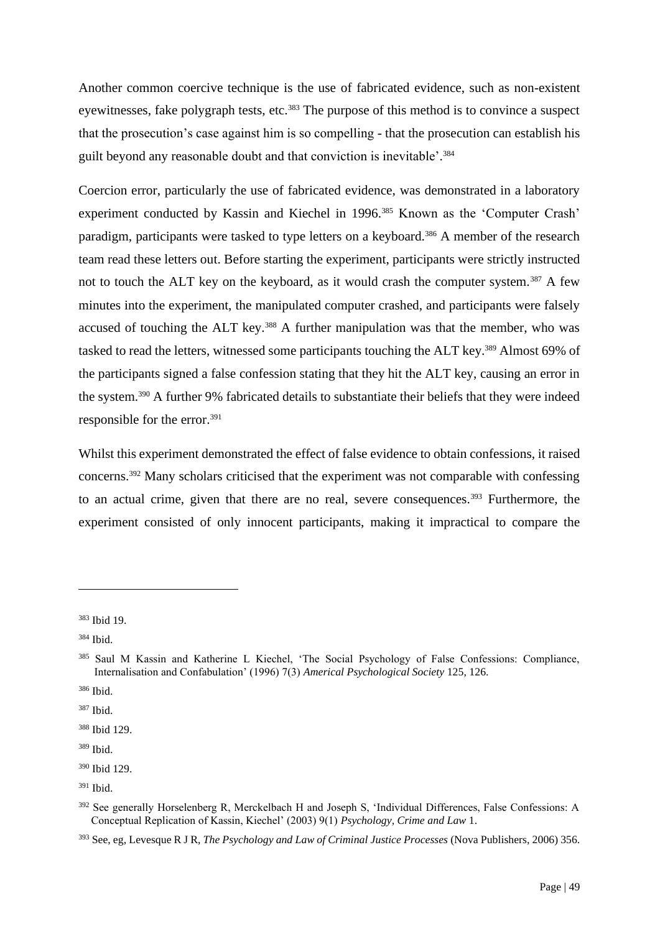Another common coercive technique is the use of fabricated evidence, such as non-existent eyewitnesses, fake polygraph tests, etc.<sup>383</sup> The purpose of this method is to convince a suspect that the prosecution's case against him is so compelling - that the prosecution can establish his guilt beyond any reasonable doubt and that conviction is inevitable'. 384

Coercion error, particularly the use of fabricated evidence, was demonstrated in a laboratory experiment conducted by Kassin and Kiechel in 1996.<sup>385</sup> Known as the 'Computer Crash' paradigm, participants were tasked to type letters on a keyboard.<sup>386</sup> A member of the research team read these letters out. Before starting the experiment, participants were strictly instructed not to touch the ALT key on the keyboard, as it would crash the computer system.<sup>387</sup> A few minutes into the experiment, the manipulated computer crashed, and participants were falsely accused of touching the ALT key.<sup>388</sup> A further manipulation was that the member, who was tasked to read the letters, witnessed some participants touching the ALT key.<sup>389</sup> Almost 69% of the participants signed a false confession stating that they hit the ALT key, causing an error in the system.<sup>390</sup> A further 9% fabricated details to substantiate their beliefs that they were indeed responsible for the error.<sup>391</sup>

Whilst this experiment demonstrated the effect of false evidence to obtain confessions, it raised concerns.<sup>392</sup> Many scholars criticised that the experiment was not comparable with confessing to an actual crime, given that there are no real, severe consequences.<sup>393</sup> Furthermore, the experiment consisted of only innocent participants, making it impractical to compare the

<sup>383</sup> Ibid 19.

<sup>384</sup> Ibid.

<sup>385</sup> Saul M Kassin and Katherine L Kiechel, 'The Social Psychology of False Confessions: Compliance, Internalisation and Confabulation' (1996) 7(3) *Americal Psychological Society* 125, 126.

<sup>386</sup> Ibid.

<sup>387</sup> Ibid.

<sup>388</sup> Ibid 129.

<sup>389</sup> Ibid.

<sup>390</sup> Ibid 129.

 $391$  Ibid.

<sup>392</sup> See generally Horselenberg R, Merckelbach H and Joseph S, 'Individual Differences, False Confessions: A Conceptual Replication of Kassin, Kiechel' (2003) 9(1) *Psychology, Crime and Law* 1.

<sup>393</sup> See, eg, Levesque R J R, *The Psychology and Law of Criminal Justice Processes* (Nova Publishers, 2006) 356.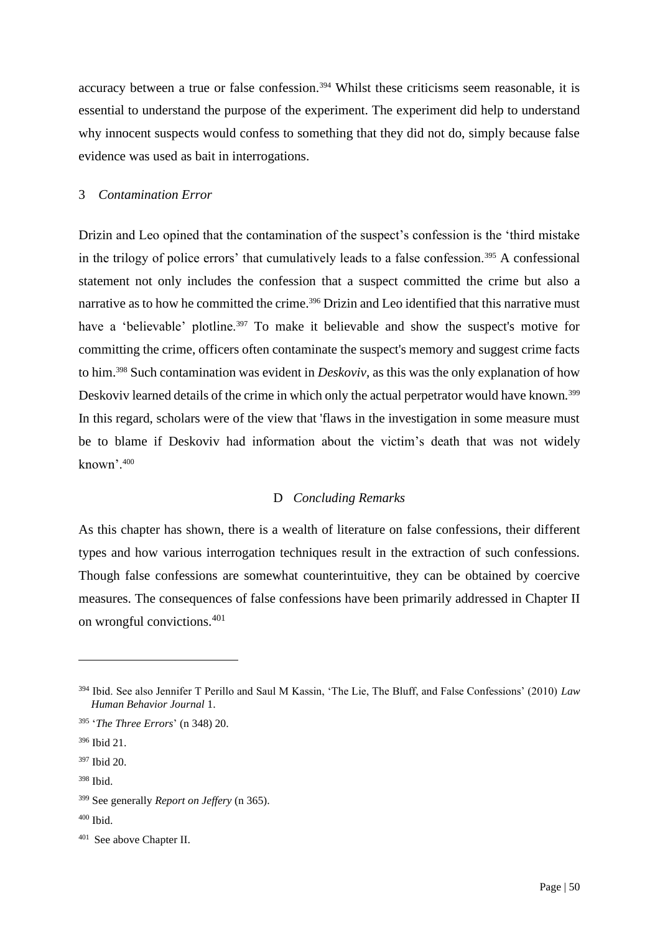accuracy between a true or false confession.<sup>394</sup> Whilst these criticisms seem reasonable, it is essential to understand the purpose of the experiment. The experiment did help to understand why innocent suspects would confess to something that they did not do, simply because false evidence was used as bait in interrogations.

### 3 *Contamination Error*

Drizin and Leo opined that the contamination of the suspect's confession is the 'third mistake in the trilogy of police errors' that cumulatively leads to a false confession.<sup>395</sup> A confessional statement not only includes the confession that a suspect committed the crime but also a narrative as to how he committed the crime.<sup>396</sup> Drizin and Leo identified that this narrative must have a 'believable' plotline.<sup>397</sup> To make it believable and show the suspect's motive for committing the crime, officers often contaminate the suspect's memory and suggest crime facts to him.<sup>398</sup> Such contamination was evident in *Deskoviv*, as this was the only explanation of how Deskoviv learned details of the crime in which only the actual perpetrator would have known*.* 399 In this regard, scholars were of the view that 'flaws in the investigation in some measure must be to blame if Deskoviv had information about the victim's death that was not widely known'.<sup>400</sup>

# D *Concluding Remarks*

As this chapter has shown, there is a wealth of literature on false confessions, their different types and how various interrogation techniques result in the extraction of such confessions. Though false confessions are somewhat counterintuitive, they can be obtained by coercive measures. The consequences of false confessions have been primarily addressed in Chapter II on wrongful convictions.<sup>401</sup>

<sup>394</sup> Ibid. See also Jennifer T Perillo and Saul M Kassin, 'The Lie, The Bluff, and False Confessions' (2010) *Law Human Behavior Journal* 1.

<sup>395</sup> '*The Three Errors*' (n 348) 20.

<sup>396</sup> Ibid 21.

<sup>397</sup> Ibid 20.

<sup>398</sup> Ibid.

<sup>399</sup> See generally *Report on Jeffery* (n 365).

 $400$  Ibid.

<sup>401</sup> See above Chapter II.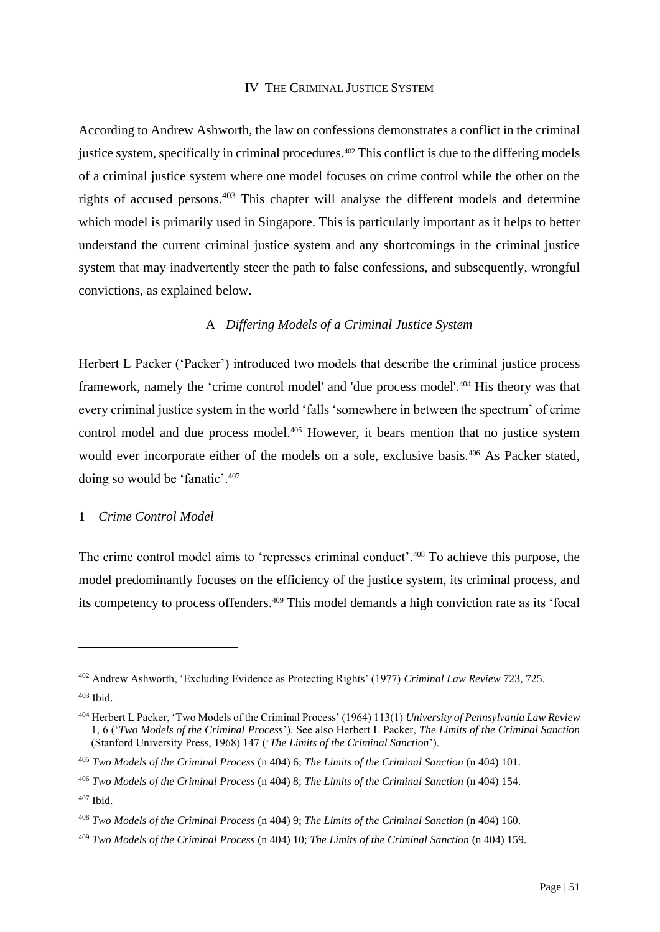### IV THE CRIMINAL JUSTICE SYSTEM

According to Andrew Ashworth, the law on confessions demonstrates a conflict in the criminal justice system, specifically in criminal procedures.<sup>402</sup> This conflict is due to the differing models of a criminal justice system where one model focuses on crime control while the other on the rights of accused persons.<sup>403</sup> This chapter will analyse the different models and determine which model is primarily used in Singapore. This is particularly important as it helps to better understand the current criminal justice system and any shortcomings in the criminal justice system that may inadvertently steer the path to false confessions, and subsequently, wrongful convictions, as explained below.

# A *Differing Models of a Criminal Justice System*

Herbert L Packer ('Packer') introduced two models that describe the criminal justice process framework, namely the 'crime control model' and 'due process model'.<sup>404</sup> His theory was that every criminal justice system in the world 'falls 'somewhere in between the spectrum' of crime control model and due process model.<sup>405</sup> However, it bears mention that no justice system would ever incorporate either of the models on a sole, exclusive basis.<sup>406</sup> As Packer stated, doing so would be 'fanatic'.<sup>407</sup>

# 1 *Crime Control Model*

The crime control model aims to 'represses criminal conduct'.<sup>408</sup> To achieve this purpose, the model predominantly focuses on the efficiency of the justice system, its criminal process, and its competency to process offenders.<sup>409</sup> This model demands a high conviction rate as its 'focal

<sup>402</sup> Andrew Ashworth, 'Excluding Evidence as Protecting Rights' (1977) *Criminal Law Review* 723, 725. <sup>403</sup> Ibid.

<sup>404</sup> Herbert L Packer, 'Two Models of the Criminal Process' (1964) 113(1) *University of Pennsylvania Law Review* 1, 6 ('*Two Models of the Criminal Process*'). See also Herbert L Packer, *The Limits of the Criminal Sanction* (Stanford University Press, 1968) 147 ('*The Limits of the Criminal Sanction*').

<sup>405</sup> *Two Models of the Criminal Process* (n 404) 6; *The Limits of the Criminal Sanction* (n 404) 101.

<sup>406</sup> *Two Models of the Criminal Process* (n 404) 8; *The Limits of the Criminal Sanction* (n 404) 154.

<sup>407</sup> Ibid.

<sup>408</sup> *Two Models of the Criminal Process* (n 404) 9; *The Limits of the Criminal Sanction* (n 404) 160.

<sup>409</sup> *Two Models of the Criminal Process* (n 404) 10; *The Limits of the Criminal Sanction* (n 404) 159.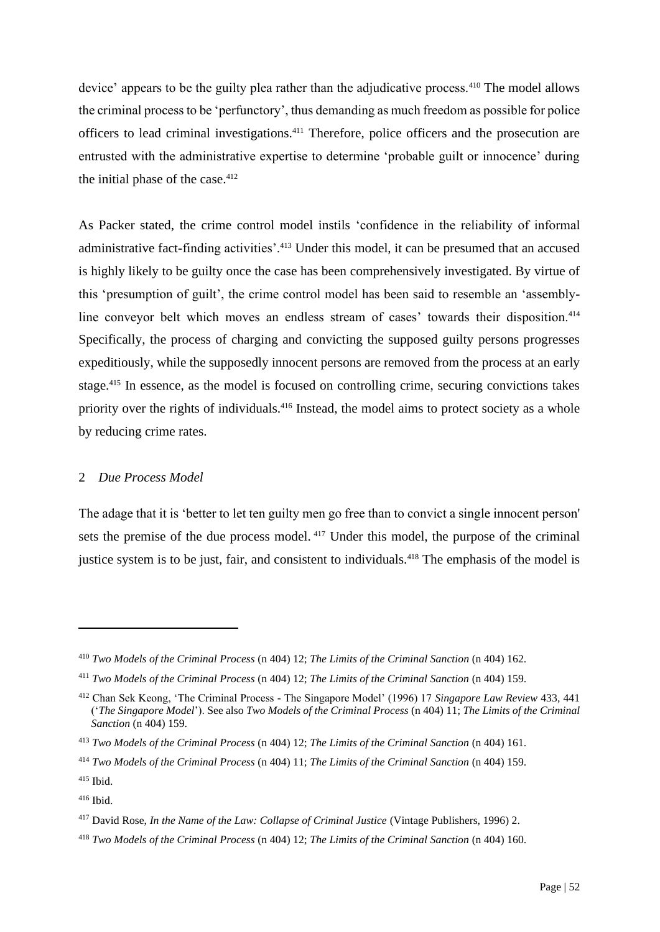device' appears to be the guilty plea rather than the adjudicative process.<sup>410</sup> The model allows the criminal process to be 'perfunctory', thus demanding as much freedom as possible for police officers to lead criminal investigations.<sup>411</sup> Therefore, police officers and the prosecution are entrusted with the administrative expertise to determine 'probable guilt or innocence' during the initial phase of the case. $412$ 

As Packer stated, the crime control model instils 'confidence in the reliability of informal administrative fact-finding activities'.<sup>413</sup> Under this model, it can be presumed that an accused is highly likely to be guilty once the case has been comprehensively investigated. By virtue of this 'presumption of guilt', the crime control model has been said to resemble an 'assemblyline conveyor belt which moves an endless stream of cases' towards their disposition.<sup>414</sup> Specifically, the process of charging and convicting the supposed guilty persons progresses expeditiously, while the supposedly innocent persons are removed from the process at an early stage.<sup>415</sup> In essence, as the model is focused on controlling crime, securing convictions takes priority over the rights of individuals.<sup>416</sup> Instead, the model aims to protect society as a whole by reducing crime rates.

## 2 *Due Process Model*

The adage that it is 'better to let ten guilty men go free than to convict a single innocent person' sets the premise of the due process model. <sup>417</sup> Under this model, the purpose of the criminal justice system is to be just, fair, and consistent to individuals.<sup>418</sup> The emphasis of the model is

<sup>410</sup> *Two Models of the Criminal Process* (n 404) 12; *The Limits of the Criminal Sanction* (n 404) 162.

<sup>411</sup> *Two Models of the Criminal Process* (n 404) 12; *The Limits of the Criminal Sanction* (n 404) 159.

<sup>412</sup> Chan Sek Keong, 'The Criminal Process - The Singapore Model' (1996) 17 *Singapore Law Review* 433, 441 ('*The Singapore Model*'). See also *Two Models of the Criminal Process* (n 404) 11; *The Limits of the Criminal Sanction* (n 404) 159.

<sup>413</sup> *Two Models of the Criminal Process* (n 404) 12; *The Limits of the Criminal Sanction* (n 404) 161.

<sup>414</sup> *Two Models of the Criminal Process* (n 404) 11; *The Limits of the Criminal Sanction* (n 404) 159.

 $415$  Ibid.

 $416$  Ibid.

<sup>417</sup> David Rose, *In the Name of the Law: Collapse of Criminal Justice* (Vintage Publishers, 1996) 2.

<sup>418</sup> *Two Models of the Criminal Process* (n 404) 12; *The Limits of the Criminal Sanction* (n 404) 160.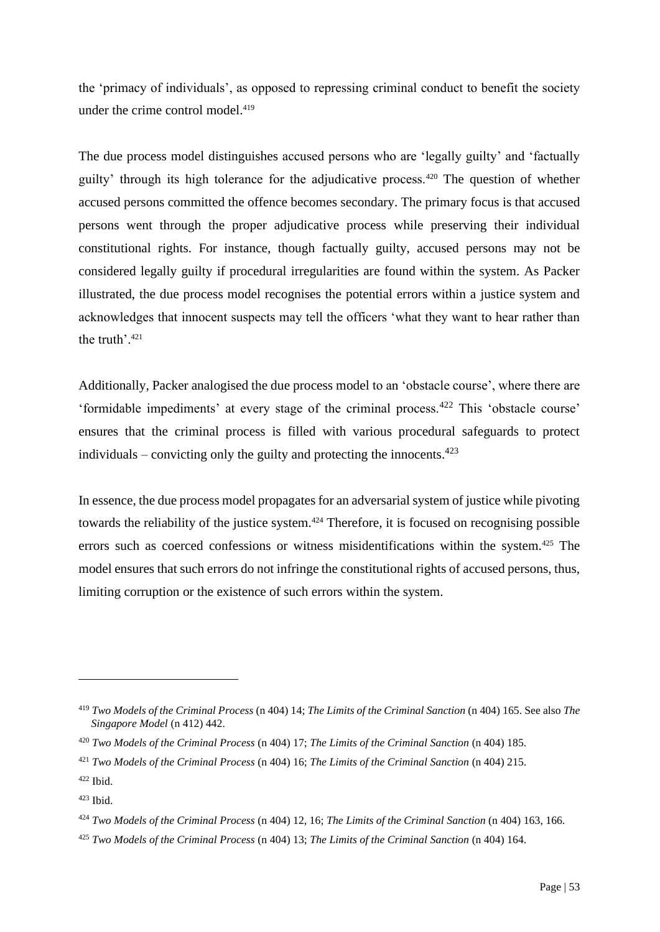the 'primacy of individuals', as opposed to repressing criminal conduct to benefit the society under the crime control model.<sup>419</sup>

The due process model distinguishes accused persons who are 'legally guilty' and 'factually guilty' through its high tolerance for the adjudicative process.<sup>420</sup> The question of whether accused persons committed the offence becomes secondary. The primary focus is that accused persons went through the proper adjudicative process while preserving their individual constitutional rights. For instance, though factually guilty, accused persons may not be considered legally guilty if procedural irregularities are found within the system. As Packer illustrated, the due process model recognises the potential errors within a justice system and acknowledges that innocent suspects may tell the officers 'what they want to hear rather than the truth'.<sup>421</sup>

Additionally, Packer analogised the due process model to an 'obstacle course', where there are 'formidable impediments' at every stage of the criminal process.<sup>422</sup> This 'obstacle course' ensures that the criminal process is filled with various procedural safeguards to protect individuals – convicting only the guilty and protecting the innocents.<sup>423</sup>

In essence, the due process model propagates for an adversarial system of justice while pivoting towards the reliability of the justice system.<sup>424</sup> Therefore, it is focused on recognising possible errors such as coerced confessions or witness misidentifications within the system.<sup>425</sup> The model ensures that such errors do not infringe the constitutional rights of accused persons, thus, limiting corruption or the existence of such errors within the system.

<sup>419</sup> *Two Models of the Criminal Process* (n 404) 14; *The Limits of the Criminal Sanction* (n 404) 165. See also *The Singapore Model* (n 412) 442.

<sup>420</sup> *Two Models of the Criminal Process* (n 404) 17; *The Limits of the Criminal Sanction* (n 404) 185.

<sup>421</sup> *Two Models of the Criminal Process* (n 404) 16; *The Limits of the Criminal Sanction* (n 404) 215.

 $422$  Ibid.

 $423$  Ibid.

<sup>424</sup> *Two Models of the Criminal Process* (n 404) 12, 16; *The Limits of the Criminal Sanction* (n 404) 163, 166.

<sup>425</sup> *Two Models of the Criminal Process* (n 404) 13; *The Limits of the Criminal Sanction* (n 404) 164.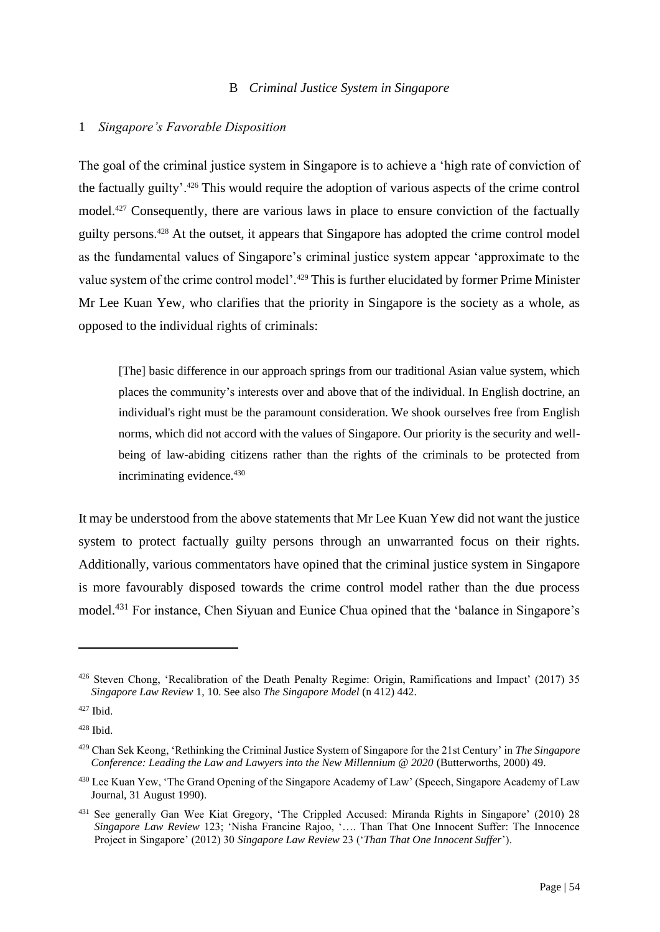## B *Criminal Justice System in Singapore*

### 1 *Singapore's Favorable Disposition*

The goal of the criminal justice system in Singapore is to achieve a 'high rate of conviction of the factually guilty'.<sup>426</sup> This would require the adoption of various aspects of the crime control model.<sup>427</sup> Consequently, there are various laws in place to ensure conviction of the factually guilty persons.<sup>428</sup> At the outset, it appears that Singapore has adopted the crime control model as the fundamental values of Singapore's criminal justice system appear 'approximate to the value system of the crime control model'.<sup>429</sup> This is further elucidated by former Prime Minister Mr Lee Kuan Yew, who clarifies that the priority in Singapore is the society as a whole, as opposed to the individual rights of criminals:

[The] basic difference in our approach springs from our traditional Asian value system, which places the community's interests over and above that of the individual. In English doctrine, an individual's right must be the paramount consideration. We shook ourselves free from English norms, which did not accord with the values of Singapore. Our priority is the security and wellbeing of law-abiding citizens rather than the rights of the criminals to be protected from incriminating evidence.<sup>430</sup>

It may be understood from the above statements that Mr Lee Kuan Yew did not want the justice system to protect factually guilty persons through an unwarranted focus on their rights. Additionally, various commentators have opined that the criminal justice system in Singapore is more favourably disposed towards the crime control model rather than the due process model.<sup>431</sup> For instance, Chen Siyuan and Eunice Chua opined that the 'balance in Singapore's

<sup>426</sup> Steven Chong, 'Recalibration of the Death Penalty Regime: Origin, Ramifications and Impact' (2017) 35 *Singapore Law Review* 1, 10. See also *The Singapore Model* (n 412) 442.

 $427$  Ibid.

<sup>428</sup> Ibid.

<sup>429</sup> Chan Sek Keong, 'Rethinking the Criminal Justice System of Singapore for the 21st Century' in *The Singapore Conference: Leading the Law and Lawyers into the New Millennium @ 2020* (Butterworths, 2000) 49.

<sup>430</sup> Lee Kuan Yew, 'The Grand Opening of the Singapore Academy of Law' (Speech, Singapore Academy of Law Journal, 31 August 1990).

<sup>431</sup> See generally Gan Wee Kiat Gregory, 'The Crippled Accused: Miranda Rights in Singapore' (2010) 28 *Singapore Law Review* 123; 'Nisha Francine Rajoo, '…. Than That One Innocent Suffer: The Innocence Project in Singapore' (2012) 30 *Singapore Law Review* 23 ('*Than That One Innocent Suffer*').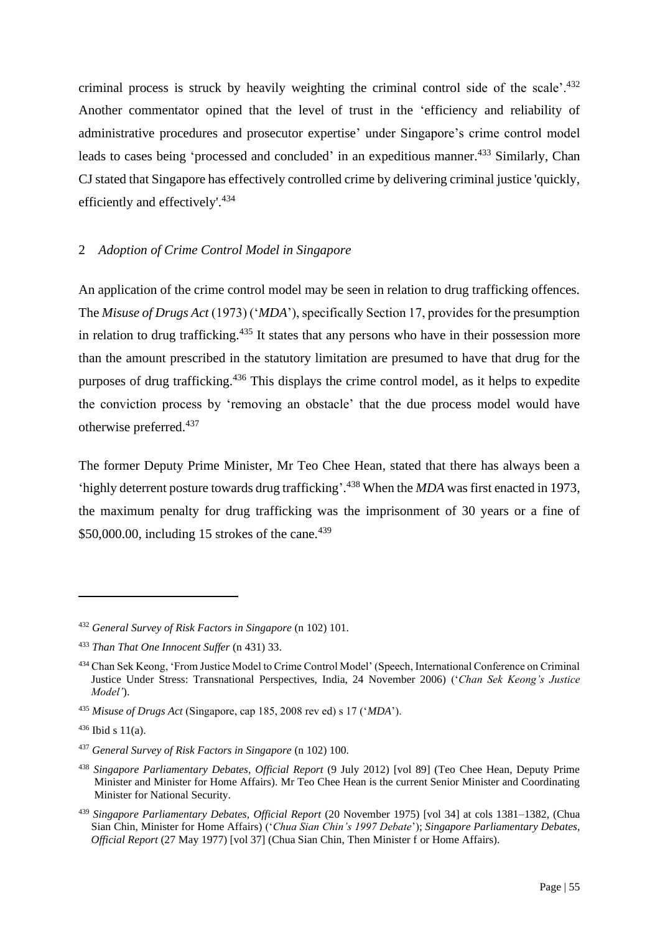criminal process is struck by heavily weighting the criminal control side of the scale'.<sup>432</sup> Another commentator opined that the level of trust in the 'efficiency and reliability of administrative procedures and prosecutor expertise' under Singapore's crime control model leads to cases being 'processed and concluded' in an expeditious manner.<sup>433</sup> Similarly, Chan CJ stated that Singapore has effectively controlled crime by delivering criminal justice 'quickly, efficiently and effectively'.<sup>434</sup>

# 2 *Adoption of Crime Control Model in Singapore*

An application of the crime control model may be seen in relation to drug trafficking offences. The *Misuse of Drugs Act* (1973) ('*MDA*'), specifically Section 17, provides for the presumption in relation to drug trafficking.<sup>435</sup> It states that any persons who have in their possession more than the amount prescribed in the statutory limitation are presumed to have that drug for the purposes of drug trafficking.<sup>436</sup> This displays the crime control model, as it helps to expedite the conviction process by 'removing an obstacle' that the due process model would have otherwise preferred. 437

The former Deputy Prime Minister, Mr Teo Chee Hean, stated that there has always been a 'highly deterrent posture towards drug trafficking'. <sup>438</sup> When the *MDA* was first enacted in 1973, the maximum penalty for drug trafficking was the imprisonment of 30 years or a fine of \$50,000.00, including 15 strokes of the cane. $439$ 

<sup>432</sup> *General Survey of Risk Factors in Singapore* (n 102) 101.

<sup>433</sup> *Than That One Innocent Suffer* (n 431) 33.

<sup>434</sup> Chan Sek Keong, 'From Justice Model to Crime Control Model' (Speech, International Conference on Criminal Justice Under Stress: Transnational Perspectives, India, 24 November 2006) ('*Chan Sek Keong's Justice Model'*).

<sup>435</sup> *Misuse of Drugs Act* (Singapore, cap 185, 2008 rev ed) s 17 ('*MDA*').

 $436$  Ibid s 11(a).

<sup>437</sup> *General Survey of Risk Factors in Singapore* (n 102) 100.

<sup>438</sup> *Singapore Parliamentary Debates*, *Official Report* (9 July 2012) [vol 89] (Teo Chee Hean, Deputy Prime Minister and Minister for Home Affairs). Mr Teo Chee Hean is the current Senior Minister and Coordinating Minister for National Security.

<sup>439</sup> *Singapore Parliamentary Debates, Official Report* (20 November 1975) [vol 34] at cols 1381–1382, (Chua Sian Chin, Minister for Home Affairs) ('*Chua Sian Chin's 1997 Debate*'); *Singapore Parliamentary Debates, Official Report* (27 May 1977) [vol 37] (Chua Sian Chin, Then Minister f or Home Affairs).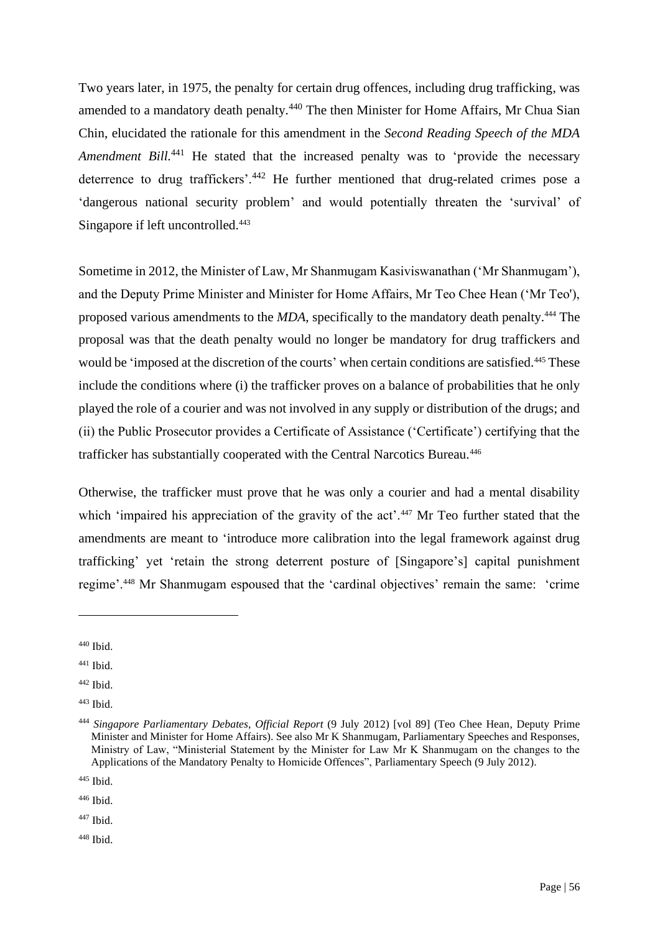Two years later, in 1975, the penalty for certain drug offences, including drug trafficking, was amended to a mandatory death penalty.<sup>440</sup> The then Minister for Home Affairs, Mr Chua Sian Chin, elucidated the rationale for this amendment in the *Second Reading Speech of the MDA Amendment Bill.*<sup>441</sup> He stated that the increased penalty was to 'provide the necessary deterrence to drug traffickers'.<sup>442</sup> He further mentioned that drug-related crimes pose a 'dangerous national security problem' and would potentially threaten the 'survival' of Singapore if left uncontrolled.<sup>443</sup>

Sometime in 2012, the Minister of Law, Mr Shanmugam Kasiviswanathan ('Mr Shanmugam'), and the Deputy Prime Minister and Minister for Home Affairs, Mr Teo Chee Hean ('Mr Teo'), proposed various amendments to the *MDA*, specifically to the mandatory death penalty.<sup>444</sup> The proposal was that the death penalty would no longer be mandatory for drug traffickers and would be 'imposed at the discretion of the courts' when certain conditions are satisfied.<sup>445</sup> These include the conditions where (i) the trafficker proves on a balance of probabilities that he only played the role of a courier and was not involved in any supply or distribution of the drugs; and (ii) the Public Prosecutor provides a Certificate of Assistance ('Certificate') certifying that the trafficker has substantially cooperated with the Central Narcotics Bureau.<sup>446</sup>

Otherwise, the trafficker must prove that he was only a courier and had a mental disability which 'impaired his appreciation of the gravity of the act'.<sup>447</sup> Mr Teo further stated that the amendments are meant to 'introduce more calibration into the legal framework against drug trafficking' yet 'retain the strong deterrent posture of [Singapore's] capital punishment regime'.<sup>448</sup> Mr Shanmugam espoused that the 'cardinal objectives' remain the same: 'crime

 $447$  Ibid.

<sup>448</sup> Ibid.

<sup>440</sup> Ibid.

 $441$  Ibid.

<sup>442</sup> Ibid.

<sup>443</sup> Ibid.

<sup>444</sup> *Singapore Parliamentary Debates*, *Official Report* (9 July 2012) [vol 89] (Teo Chee Hean, Deputy Prime Minister and Minister for Home Affairs). See also Mr K Shanmugam, Parliamentary Speeches and Responses, Ministry of Law, "Ministerial Statement by the Minister for Law Mr K Shanmugam on the changes to the Applications of the Mandatory Penalty to Homicide Offences", Parliamentary Speech (9 July 2012).

<sup>445</sup> Ibid.

<sup>446</sup> Ibid.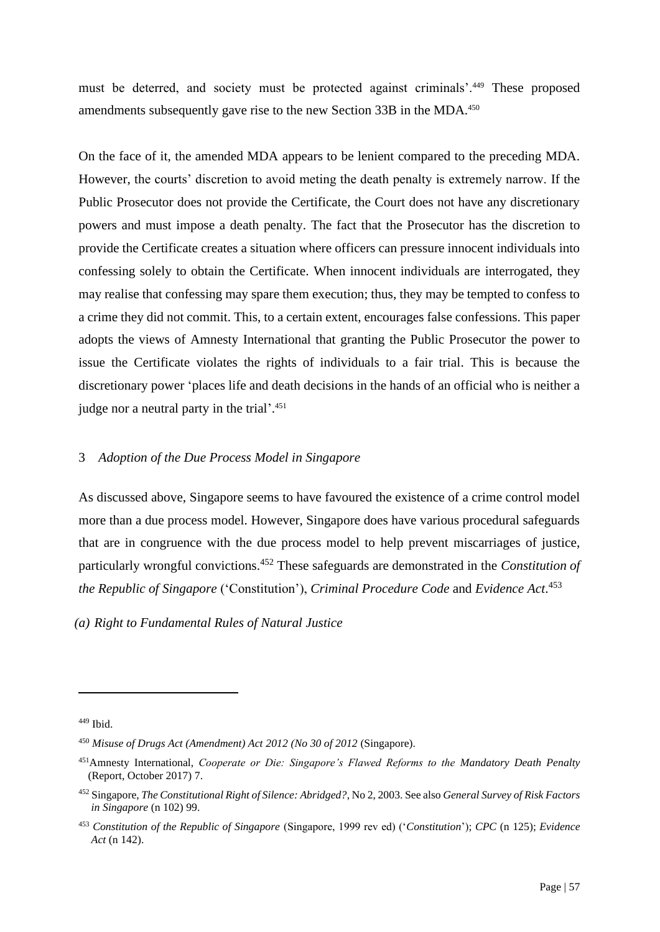must be deterred, and society must be protected against criminals'.<sup>449</sup> These proposed amendments subsequently gave rise to the new Section 33B in the MDA.<sup>450</sup>

On the face of it, the amended MDA appears to be lenient compared to the preceding MDA. However, the courts' discretion to avoid meting the death penalty is extremely narrow. If the Public Prosecutor does not provide the Certificate, the Court does not have any discretionary powers and must impose a death penalty. The fact that the Prosecutor has the discretion to provide the Certificate creates a situation where officers can pressure innocent individuals into confessing solely to obtain the Certificate. When innocent individuals are interrogated, they may realise that confessing may spare them execution; thus, they may be tempted to confess to a crime they did not commit. This, to a certain extent, encourages false confessions. This paper adopts the views of Amnesty International that granting the Public Prosecutor the power to issue the Certificate violates the rights of individuals to a fair trial. This is because the discretionary power 'places life and death decisions in the hands of an official who is neither a judge nor a neutral party in the trial'.<sup>451</sup>

## 3 *Adoption of the Due Process Model in Singapore*

As discussed above, Singapore seems to have favoured the existence of a crime control model more than a due process model. However, Singapore does have various procedural safeguards that are in congruence with the due process model to help prevent miscarriages of justice, particularly wrongful convictions. <sup>452</sup> These safeguards are demonstrated in the *Constitution of the Republic of Singapore* ('Constitution'), *Criminal Procedure Code* and *Evidence Act*. 453

*(a) Right to Fundamental Rules of Natural Justice*

 $449$  Ibid.

<sup>450</sup> *Misuse of Drugs Act (Amendment) Act 2012 (No 30 of 2012* (Singapore).

<sup>451</sup>Amnesty International, *Cooperate or Die: Singapore's Flawed Reforms to the Mandatory Death Penalty* (Report, October 2017) 7.

<sup>452</sup> Singapore, *The Constitutional Right of Silence: Abridged?*, No 2, 2003. See also *General Survey of Risk Factors in Singapore* (n 102) 99.

<sup>453</sup> *Constitution of the Republic of Singapore* (Singapore, 1999 rev ed) ('*Constitution*'); *CPC* (n 125); *Evidence Act* (n 142).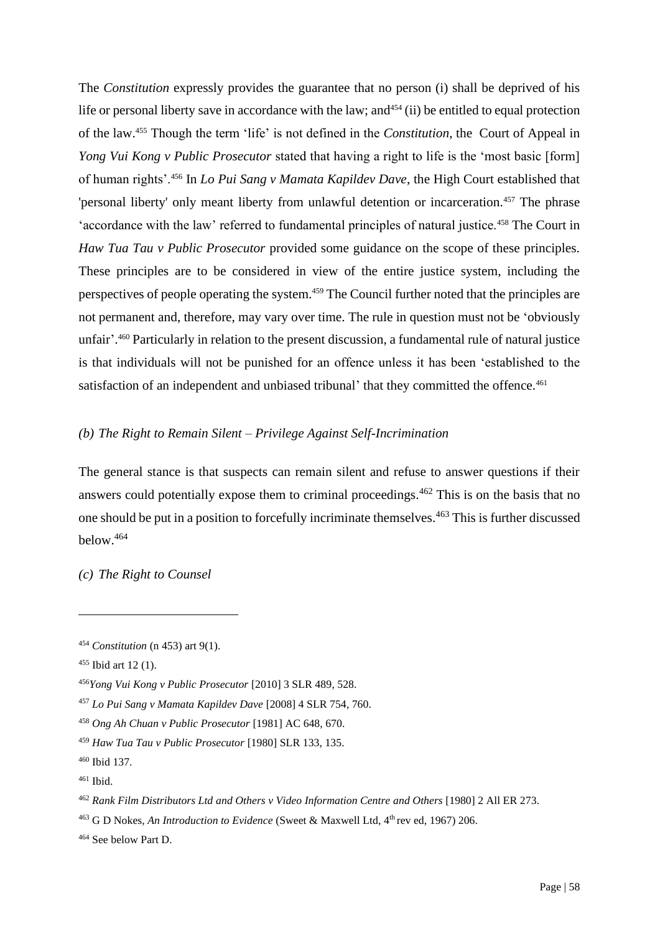The *Constitution* expressly provides the guarantee that no person (i) shall be deprived of his life or personal liberty save in accordance with the law; and  $454$  (ii) be entitled to equal protection of the law.<sup>455</sup> Though the term 'life' is not defined in the *Constitution*, the Court of Appeal in *Yong Vui Kong v Public Prosecutor* stated that having a right to life is the 'most basic [form] of human rights'.<sup>456</sup> In *Lo Pui Sang v Mamata Kapildev Dave*, the High Court established that 'personal liberty' only meant liberty from unlawful detention or incarceration.<sup>457</sup> The phrase 'accordance with the law' referred to fundamental principles of natural justice.<sup>458</sup> The Court in *Haw Tua Tau v Public Prosecutor* provided some guidance on the scope of these principles. These principles are to be considered in view of the entire justice system, including the perspectives of people operating the system.<sup>459</sup> The Council further noted that the principles are not permanent and, therefore, may vary over time. The rule in question must not be 'obviously unfair'. <sup>460</sup> Particularly in relation to the present discussion, a fundamental rule of natural justice is that individuals will not be punished for an offence unless it has been 'established to the satisfaction of an independent and unbiased tribunal' that they committed the offence.<sup>461</sup>

# *(b) The Right to Remain Silent – Privilege Against Self-Incrimination*

The general stance is that suspects can remain silent and refuse to answer questions if their answers could potentially expose them to criminal proceedings.<sup>462</sup> This is on the basis that no one should be put in a position to forcefully incriminate themselves.<sup>463</sup> This is further discussed below. 464

*(c) The Right to Counsel*

<sup>454</sup> *Constitution* (n 453) art 9(1).

<sup>455</sup> Ibid art 12 (1).

<sup>456</sup>*Yong Vui Kong v Public Prosecutor* [2010] 3 SLR 489, 528.

<sup>457</sup> *Lo Pui Sang v Mamata Kapildev Dave* [2008] 4 SLR 754, 760.

<sup>458</sup> *Ong Ah Chuan v Public Prosecutor* [1981] AC 648, 670.

<sup>459</sup> *Haw Tua Tau v Public Prosecutor* [1980] SLR 133, 135.

<sup>460</sup> Ibid 137.

<sup>461</sup> Ibid.

<sup>462</sup> *Rank Film Distributors Ltd and Others v Video Information Centre and Others* [1980] 2 All ER 273.

<sup>&</sup>lt;sup>463</sup> G D Nokes, *An Introduction to Evidence* (Sweet & Maxwell Ltd, 4<sup>th</sup> rev ed, 1967) 206.

<sup>464</sup> See below Part D.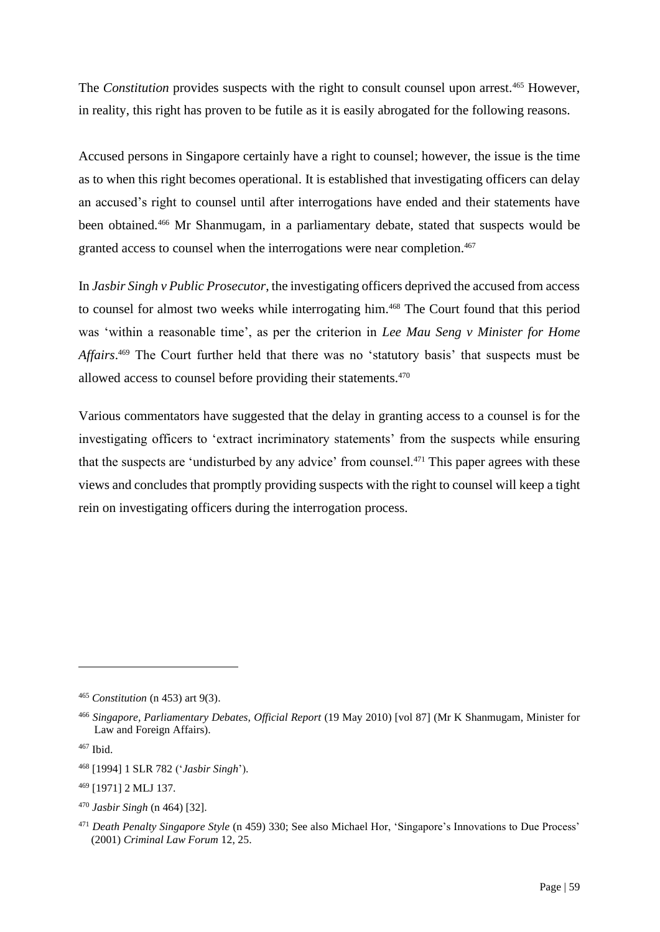The *Constitution* provides suspects with the right to consult counsel upon arrest.<sup>465</sup> However, in reality, this right has proven to be futile as it is easily abrogated for the following reasons.

Accused persons in Singapore certainly have a right to counsel; however, the issue is the time as to when this right becomes operational. It is established that investigating officers can delay an accused's right to counsel until after interrogations have ended and their statements have been obtained.<sup>466</sup> Mr Shanmugam, in a parliamentary debate, stated that suspects would be granted access to counsel when the interrogations were near completion.<sup>467</sup>

In *Jasbir Singh v Public Prosecutor*, the investigating officers deprived the accused from access to counsel for almost two weeks while interrogating him.<sup>468</sup> The Court found that this period was 'within a reasonable time', as per the criterion in *Lee Mau Seng v Minister for Home*  Affairs.<sup>469</sup> The Court further held that there was no 'statutory basis' that suspects must be allowed access to counsel before providing their statements.<sup>470</sup>

Various commentators have suggested that the delay in granting access to a counsel is for the investigating officers to 'extract incriminatory statements' from the suspects while ensuring that the suspects are 'undisturbed by any advice' from counsel.<sup>471</sup> This paper agrees with these views and concludes that promptly providing suspects with the right to counsel will keep a tight rein on investigating officers during the interrogation process.

<sup>465</sup> *Constitution* (n 453) art 9(3).

<sup>466</sup> *Singapore, Parliamentary Debates, Official Report* (19 May 2010) [vol 87] (Mr K Shanmugam, Minister for Law and Foreign Affairs).

<sup>467</sup> Ibid.

<sup>468</sup> [1994] 1 SLR 782 ('*Jasbir Singh*').

<sup>469</sup> [1971] 2 MLJ 137.

<sup>470</sup> *Jasbir Singh* (n 464) [32].

<sup>471</sup> *Death Penalty Singapore Style* (n 459) 330; See also Michael Hor, 'Singapore's Innovations to Due Process' (2001) *Criminal Law Forum* 12, 25.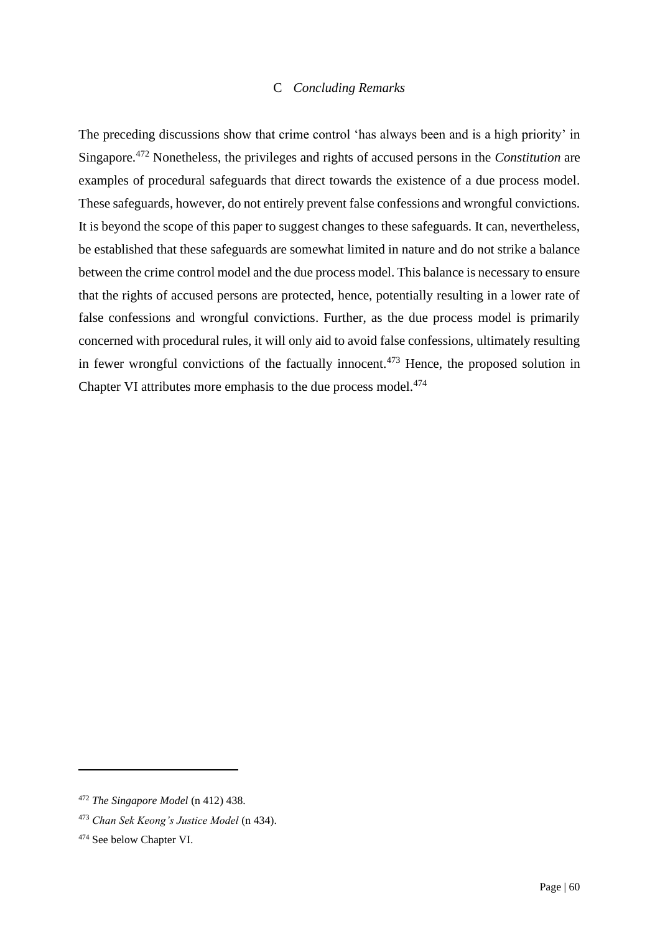## C *Concluding Remarks*

The preceding discussions show that crime control 'has always been and is a high priority' in Singapore.<sup>472</sup> Nonetheless, the privileges and rights of accused persons in the *Constitution* are examples of procedural safeguards that direct towards the existence of a due process model. These safeguards, however, do not entirely prevent false confessions and wrongful convictions. It is beyond the scope of this paper to suggest changes to these safeguards. It can, nevertheless, be established that these safeguards are somewhat limited in nature and do not strike a balance between the crime control model and the due process model. This balance is necessary to ensure that the rights of accused persons are protected, hence, potentially resulting in a lower rate of false confessions and wrongful convictions. Further, as the due process model is primarily concerned with procedural rules, it will only aid to avoid false confessions, ultimately resulting in fewer wrongful convictions of the factually innocent.<sup> $473$ </sup> Hence, the proposed solution in Chapter VI attributes more emphasis to the due process model.<sup>474</sup>

<sup>472</sup> *The Singapore Model* (n 412) 438.

<sup>473</sup> *Chan Sek Keong's Justice Model* (n 434).

<sup>474</sup> See below Chapter VI.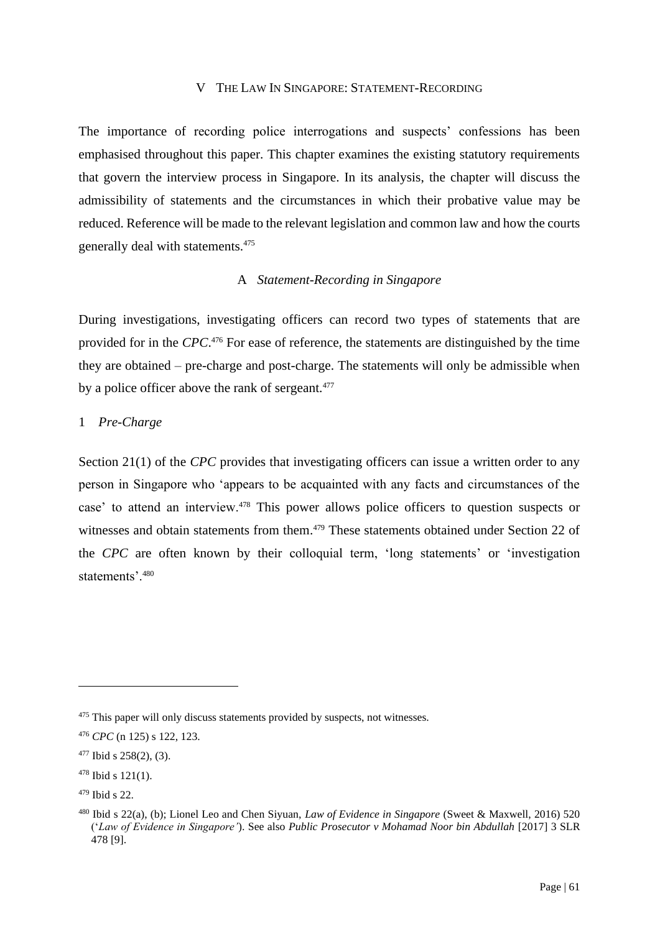### V THE LAW IN SINGAPORE: STATEMENT-RECORDING

The importance of recording police interrogations and suspects' confessions has been emphasised throughout this paper. This chapter examines the existing statutory requirements that govern the interview process in Singapore. In its analysis, the chapter will discuss the admissibility of statements and the circumstances in which their probative value may be reduced. Reference will be made to the relevant legislation and common law and how the courts generally deal with statements.<sup>475</sup>

## A *Statement-Recording in Singapore*

During investigations, investigating officers can record two types of statements that are provided for in the *CPC*. <sup>476</sup> For ease of reference, the statements are distinguished by the time they are obtained – pre-charge and post-charge. The statements will only be admissible when by a police officer above the rank of sergeant.<sup>477</sup>

### 1 *Pre-Charge*

Section 21(1) of the *CPC* provides that investigating officers can issue a written order to any person in Singapore who 'appears to be acquainted with any facts and circumstances of the case' to attend an interview.<sup>478</sup> This power allows police officers to question suspects or witnesses and obtain statements from them.<sup>479</sup> These statements obtained under Section 22 of the *CPC* are often known by their colloquial term, 'long statements' or 'investigation statements'.<sup>480</sup>

<sup>&</sup>lt;sup>475</sup> This paper will only discuss statements provided by suspects, not witnesses.

<sup>476</sup> *CPC* (n 125) s 122, 123.

 $477$  Ibid s 258(2), (3).

 $478$  Ibid s 121(1).

<sup>479</sup> Ibid s 22.

<sup>480</sup> Ibid s 22(a), (b); Lionel Leo and Chen Siyuan, *Law of Evidence in Singapore* (Sweet & Maxwell, 2016) 520 ('*Law of Evidence in Singapore'*). See also *Public Prosecutor v Mohamad Noor bin Abdullah* [2017] 3 SLR 478 [9].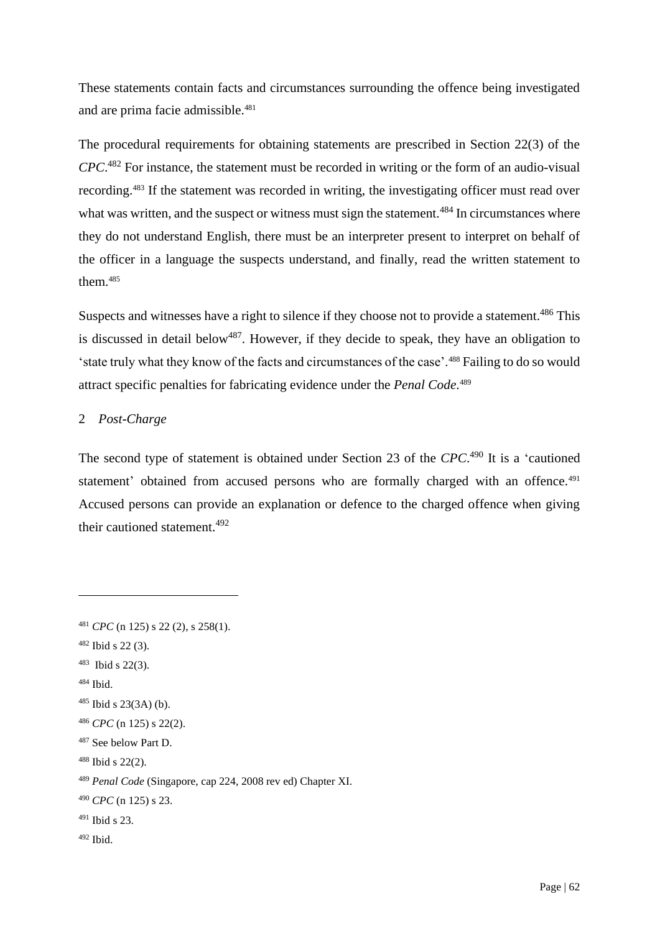These statements contain facts and circumstances surrounding the offence being investigated and are prima facie admissible. 481

The procedural requirements for obtaining statements are prescribed in Section 22(3) of the *CPC*. <sup>482</sup> For instance, the statement must be recorded in writing or the form of an audio-visual recording.<sup>483</sup> If the statement was recorded in writing, the investigating officer must read over what was written, and the suspect or witness must sign the statement.<sup>484</sup> In circumstances where they do not understand English, there must be an interpreter present to interpret on behalf of the officer in a language the suspects understand, and finally, read the written statement to them. 485

Suspects and witnesses have a right to silence if they choose not to provide a statement.<sup>486</sup> This is discussed in detail below<sup>487</sup>. However, if they decide to speak, they have an obligation to 'state truly what they know of the facts and circumstances of the case'.<sup>488</sup> Failing to do so would attract specific penalties for fabricating evidence under the *Penal Code*. 489

# 2 *Post-Charge*

The second type of statement is obtained under Section 23 of the CPC.<sup>490</sup> It is a 'cautioned statement' obtained from accused persons who are formally charged with an offence.<sup>491</sup> Accused persons can provide an explanation or defence to the charged offence when giving their cautioned statement.<sup>492</sup>

<sup>484</sup> Ibid.

- $491$  Ibid s 23.
- <sup>492</sup> Ibid.

<sup>481</sup> *CPC* (n 125) s 22 (2), s 258(1).

 $482$  Ibid s 22 (3).

<sup>483</sup> Ibid s 22(3).

 $485$  Ibid s 23(3A) (b).

<sup>486</sup> *CPC* (n 125) s 22(2).

<sup>487</sup> See below Part D.

<sup>488</sup> Ibid s 22(2).

<sup>489</sup> *Penal Code* (Singapore, cap 224, 2008 rev ed) Chapter XI.

<sup>490</sup> *CPC* (n 125) s 23.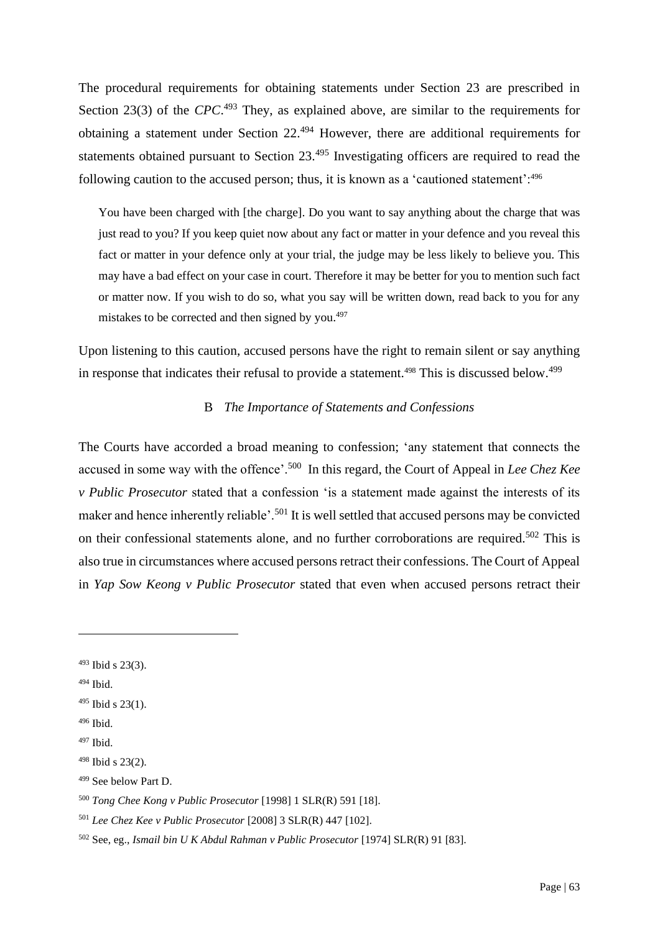The procedural requirements for obtaining statements under Section 23 are prescribed in Section 23(3) of the *CPC*.<sup>493</sup> They, as explained above, are similar to the requirements for obtaining a statement under Section 22.<sup>494</sup> However, there are additional requirements for statements obtained pursuant to Section 23.<sup>495</sup> Investigating officers are required to read the following caution to the accused person; thus, it is known as a 'cautioned statement':<sup>496</sup>

You have been charged with [the charge]. Do you want to say anything about the charge that was just read to you? If you keep quiet now about any fact or matter in your defence and you reveal this fact or matter in your defence only at your trial, the judge may be less likely to believe you. This may have a bad effect on your case in court. Therefore it may be better for you to mention such fact or matter now. If you wish to do so, what you say will be written down, read back to you for any mistakes to be corrected and then signed by you.<sup>497</sup>

Upon listening to this caution, accused persons have the right to remain silent or say anything in response that indicates their refusal to provide a statement.<sup>498</sup> This is discussed below.<sup>499</sup>

## B *The Importance of Statements and Confessions*

The Courts have accorded a broad meaning to confession; 'any statement that connects the accused in some way with the offence'.<sup>500</sup> In this regard, the Court of Appeal in *Lee Chez Kee v Public Prosecutor* stated that a confession 'is a statement made against the interests of its maker and hence inherently reliable'.<sup>501</sup> It is well settled that accused persons may be convicted on their confessional statements alone, and no further corroborations are required.<sup>502</sup> This is also true in circumstances where accused persons retract their confessions. The Court of Appeal in *Yap Sow Keong v Public Prosecutor* stated that even when accused persons retract their

 $494$  Ibid.

<sup>493</sup> Ibid s 23(3).

 $495$  Ibid s 23(1).

<sup>496</sup> Ibid.

<sup>497</sup> Ibid.

<sup>498</sup> Ibid s 23(2).

<sup>499</sup> See below Part D.

<sup>500</sup> *Tong Chee Kong v Public Prosecutor* [1998] 1 SLR(R) 591 [18].

<sup>501</sup> *Lee Chez Kee v Public Prosecutor* [2008] 3 SLR(R) 447 [102].

<sup>502</sup> See, eg., *Ismail bin U K Abdul Rahman v Public Prosecutor* [1974] SLR(R) 91 [83].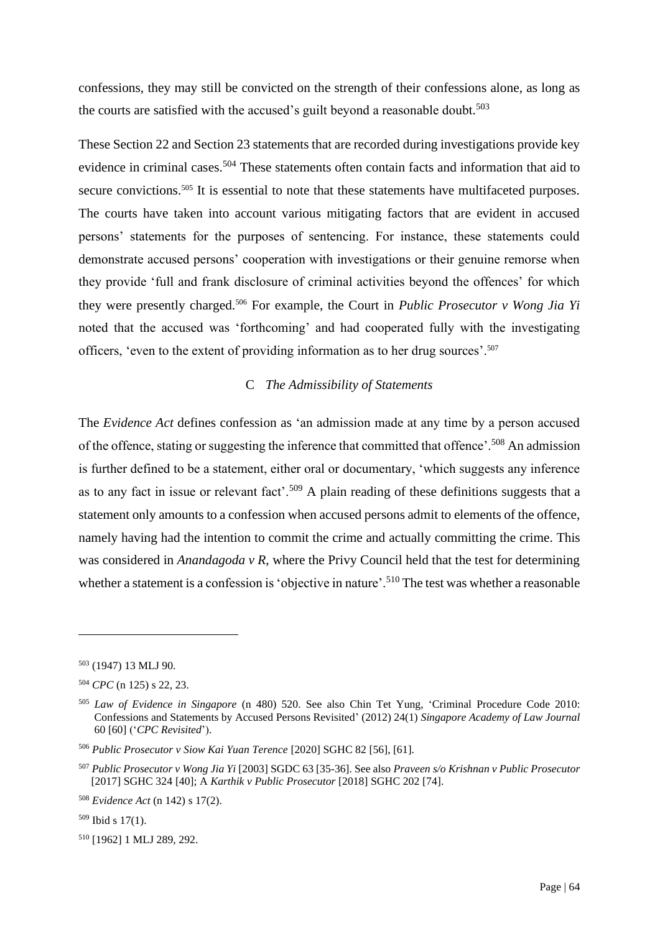confessions, they may still be convicted on the strength of their confessions alone, as long as the courts are satisfied with the accused's guilt beyond a reasonable doubt.<sup>503</sup>

These Section 22 and Section 23 statements that are recorded during investigations provide key evidence in criminal cases.<sup>504</sup> These statements often contain facts and information that aid to secure convictions.<sup>505</sup> It is essential to note that these statements have multifaceted purposes. The courts have taken into account various mitigating factors that are evident in accused persons' statements for the purposes of sentencing. For instance, these statements could demonstrate accused persons' cooperation with investigations or their genuine remorse when they provide 'full and frank disclosure of criminal activities beyond the offences' for which they were presently charged.<sup>506</sup> For example, the Court in *Public Prosecutor v Wong Jia Yi* noted that the accused was 'forthcoming' and had cooperated fully with the investigating officers, 'even to the extent of providing information as to her drug sources'.<sup>507</sup>

## C *The Admissibility of Statements*

The *Evidence Act* defines confession as 'an admission made at any time by a person accused of the offence, stating or suggesting the inference that committed that offence'.<sup>508</sup> An admission is further defined to be a statement, either oral or documentary, 'which suggests any inference as to any fact in issue or relevant fact'.<sup>509</sup> A plain reading of these definitions suggests that a statement only amounts to a confession when accused persons admit to elements of the offence, namely having had the intention to commit the crime and actually committing the crime. This was considered in *Anandagoda v R*, where the Privy Council held that the test for determining whether a statement is a confession is 'objective in nature'.<sup>510</sup> The test was whether a reasonable

<sup>503</sup> (1947) 13 MLJ 90.

<sup>504</sup> *CPC* (n 125) s 22, 23.

<sup>505</sup> *Law of Evidence in Singapore* (n 480) 520. See also Chin Tet Yung, 'Criminal Procedure Code 2010: Confessions and Statements by Accused Persons Revisited' (2012) 24(1) *Singapore Academy of Law Journal* 60 [60] ('*CPC Revisited*').

<sup>506</sup> *Public Prosecutor v Siow Kai Yuan Terence* [2020] SGHC 82 [56], [61].

<sup>507</sup> *Public Prosecutor v Wong Jia Yi* [2003] SGDC 63 [35-36]. See also *Praveen s/o Krishnan v Public Prosecutor*  [2017] SGHC 324 [40]; A *Karthik v Public Prosecutor* [2018] SGHC 202 [74].

<sup>508</sup> *Evidence Act* (n 142) s 17(2).

<sup>509</sup> Ibid s 17(1).

<sup>510</sup> [1962] 1 MLJ 289, 292.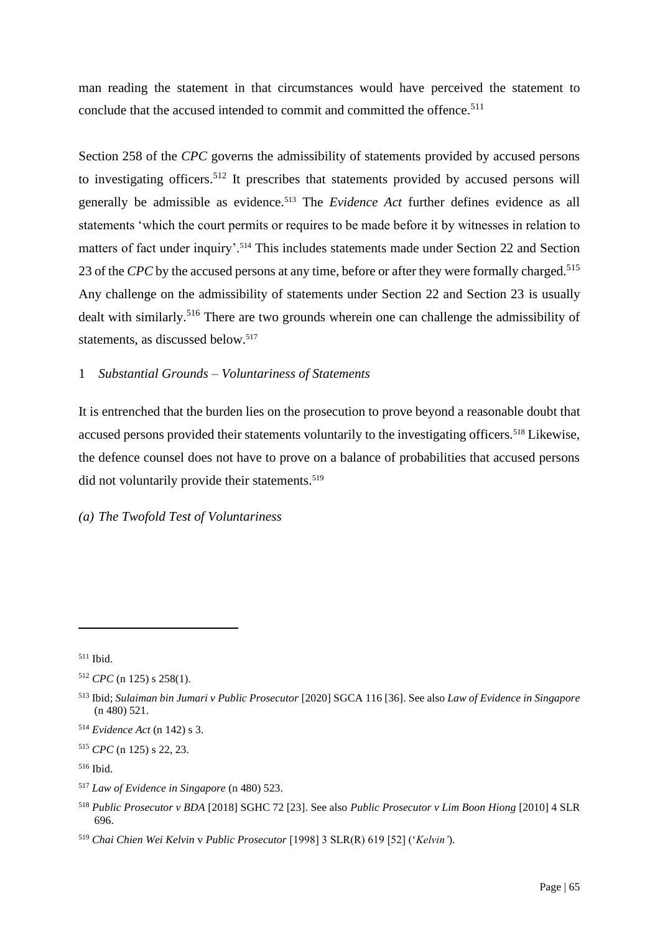man reading the statement in that circumstances would have perceived the statement to conclude that the accused intended to commit and committed the offence.<sup>511</sup>

Section 258 of the *CPC* governs the admissibility of statements provided by accused persons to investigating officers.<sup>512</sup> It prescribes that statements provided by accused persons will generally be admissible as evidence.<sup>513</sup> The *Evidence Act* further defines evidence as all statements 'which the court permits or requires to be made before it by witnesses in relation to matters of fact under inquiry'.<sup>514</sup> This includes statements made under Section 22 and Section 23 of the *CPC* by the accused persons at any time, before or after they were formally charged.<sup>515</sup> Any challenge on the admissibility of statements under Section 22 and Section 23 is usually dealt with similarly.<sup>516</sup> There are two grounds wherein one can challenge the admissibility of statements, as discussed below.<sup>517</sup>

### 1 *Substantial Grounds – Voluntariness of Statements*

It is entrenched that the burden lies on the prosecution to prove beyond a reasonable doubt that accused persons provided their statements voluntarily to the investigating officers.<sup>518</sup> Likewise, the defence counsel does not have to prove on a balance of probabilities that accused persons did not voluntarily provide their statements. 519

## *(a) The Twofold Test of Voluntariness*

<sup>511</sup> Ibid.

<sup>512</sup> *CPC* (n 125) s 258(1).

<sup>513</sup> Ibid; *Sulaiman bin Jumari v Public Prosecutor* [2020] SGCA 116 [36]. See also *Law of Evidence in Singapore* (n 480) 521.

<sup>514</sup> *Evidence Act* (n 142) s 3.

<sup>515</sup> *CPC* (n 125) s 22, 23.

<sup>516</sup> Ibid.

<sup>517</sup> *Law of Evidence in Singapore* (n 480) 523.

<sup>518</sup> *Public Prosecutor v BDA* [2018] SGHC 72 [23]. See also *Public Prosecutor v Lim Boon Hiong* [2010] 4 SLR 696.

<sup>519</sup> *Chai Chien Wei Kelvin* v *Public Prosecutor* [1998] 3 SLR(R) 619 [52] ('*Kelvin'*).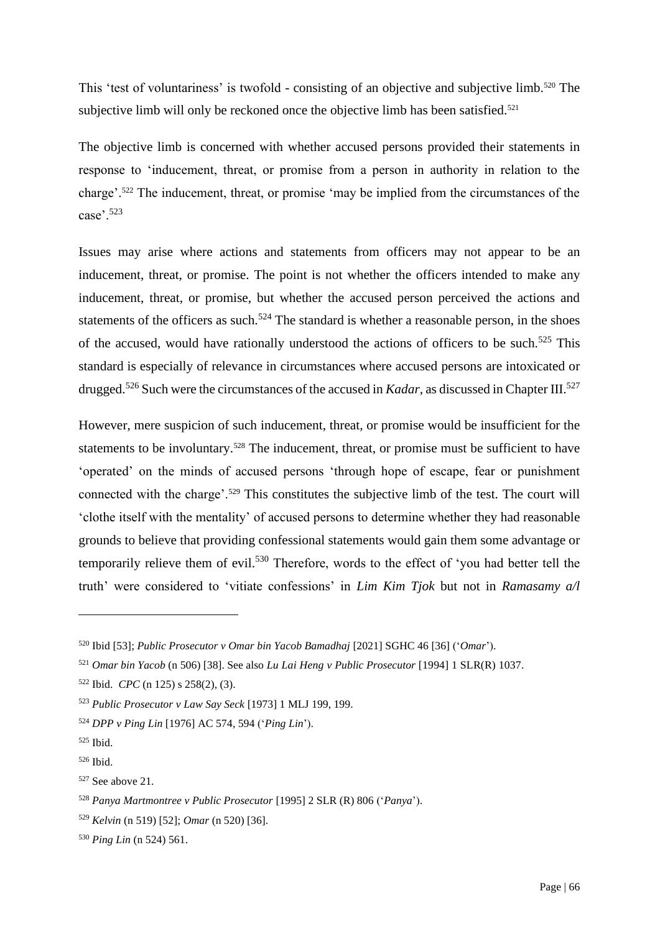This 'test of voluntariness' is twofold - consisting of an objective and subjective limb.<sup>520</sup> The subjective limb will only be reckoned once the objective limb has been satisfied.<sup>521</sup>

The objective limb is concerned with whether accused persons provided their statements in response to 'inducement, threat, or promise from a person in authority in relation to the charge'.<sup>522</sup> The inducement, threat, or promise 'may be implied from the circumstances of the case'.<sup>523</sup>

Issues may arise where actions and statements from officers may not appear to be an inducement, threat, or promise. The point is not whether the officers intended to make any inducement, threat, or promise, but whether the accused person perceived the actions and statements of the officers as such.<sup>524</sup> The standard is whether a reasonable person, in the shoes of the accused, would have rationally understood the actions of officers to be such.<sup>525</sup> This standard is especially of relevance in circumstances where accused persons are intoxicated or drugged.<sup>526</sup> Such were the circumstances of the accused in *Kadar*, as discussed in Chapter III.<sup>527</sup>

However, mere suspicion of such inducement, threat, or promise would be insufficient for the statements to be involuntary.<sup>528</sup> The inducement, threat, or promise must be sufficient to have 'operated' on the minds of accused persons 'through hope of escape, fear or punishment connected with the charge'.<sup>529</sup> This constitutes the subjective limb of the test. The court will 'clothe itself with the mentality' of accused persons to determine whether they had reasonable grounds to believe that providing confessional statements would gain them some advantage or temporarily relieve them of evil.<sup>530</sup> Therefore, words to the effect of 'you had better tell the truth' were considered to 'vitiate confessions' in *Lim Kim Tjok* but not in *Ramasamy a/l* 

<sup>520</sup> Ibid [53]; *Public Prosecutor v Omar bin Yacob Bamadhaj* [2021] SGHC 46 [36] ('*Omar*').

<sup>521</sup> *Omar bin Yacob* (n 506) [38]. See also *Lu Lai Heng v Public Prosecutor* [1994] 1 SLR(R) 1037.

<sup>522</sup> Ibid. *CPC* (n 125) s 258(2), (3).

<sup>523</sup> *Public Prosecutor v Law Say Seck* [1973] 1 MLJ 199, 199.

<sup>524</sup> *DPP v Ping Lin* [1976] AC 574, 594 ('*Ping Lin*').

<sup>525</sup> Ibid.

<sup>526</sup> Ibid.

<sup>527</sup> See above 21.

<sup>528</sup> *Panya Martmontree v Public Prosecutor* [1995] 2 SLR (R) 806 ('*Panya*').

<sup>529</sup> *Kelvin* (n 519) [52]; *Omar* (n 520) [36].

<sup>530</sup> *Ping Lin* (n 524) 561.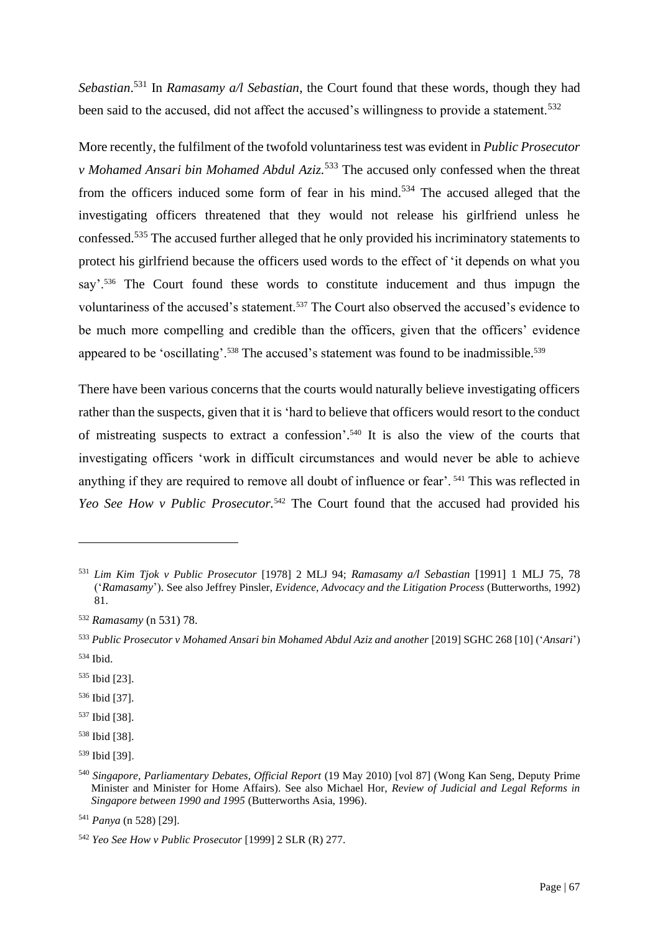*Sebastian*. <sup>531</sup> In *Ramasamy a/l Sebastian*, the Court found that these words, though they had been said to the accused, did not affect the accused's willingness to provide a statement.<sup>532</sup>

More recently, the fulfilment of the twofold voluntariness test was evident in *Public Prosecutor v Mohamed Ansari bin Mohamed Abdul Aziz.* <sup>533</sup> The accused only confessed when the threat from the officers induced some form of fear in his mind.<sup>534</sup> The accused alleged that the investigating officers threatened that they would not release his girlfriend unless he confessed.<sup>535</sup> The accused further alleged that he only provided his incriminatory statements to protect his girlfriend because the officers used words to the effect of 'it depends on what you say'.<sup>536</sup> The Court found these words to constitute inducement and thus impugn the voluntariness of the accused's statement.<sup>537</sup> The Court also observed the accused's evidence to be much more compelling and credible than the officers, given that the officers' evidence appeared to be 'oscillating'.<sup>538</sup> The accused's statement was found to be inadmissible.<sup>539</sup>

There have been various concerns that the courts would naturally believe investigating officers rather than the suspects, given that it is 'hard to believe that officers would resort to the conduct of mistreating suspects to extract a confession'. <sup>540</sup> It is also the view of the courts that investigating officers 'work in difficult circumstances and would never be able to achieve anything if they are required to remove all doubt of influence or fear'. <sup>541</sup> This was reflected in *Yeo See How v Public Prosecutor.*<sup>542</sup> The Court found that the accused had provided his

<sup>531</sup> *Lim Kim Tjok v Public Prosecutor* [1978] 2 MLJ 94; *Ramasamy a/l Sebastian* [1991] 1 MLJ 75, 78 ('*Ramasamy*'). See also Jeffrey Pinsler, *Evidence, Advocacy and the Litigation Process* (Butterworths, 1992) 81.

<sup>532</sup> *Ramasamy* (n 531) 78.

<sup>533</sup> *Public Prosecutor v Mohamed Ansari bin Mohamed Abdul Aziz and another* [2019] SGHC 268 [10] ('*Ansari*') <sup>534</sup> Ibid.

<sup>535</sup> Ibid [23].

<sup>536</sup> Ibid [37].

<sup>537</sup> Ibid [38].

<sup>538</sup> Ibid [38].

<sup>539</sup> Ibid [39].

<sup>540</sup> *Singapore, Parliamentary Debates, Official Report* (19 May 2010) [vol 87] (Wong Kan Seng, Deputy Prime Minister and Minister for Home Affairs). See also Michael Hor, *Review of Judicial and Legal Reforms in Singapore between 1990 and 1995* (Butterworths Asia, 1996).

<sup>541</sup> *Panya* (n 528) [29].

<sup>542</sup> *Yeo See How v Public Prosecutor* [1999] 2 SLR (R) 277.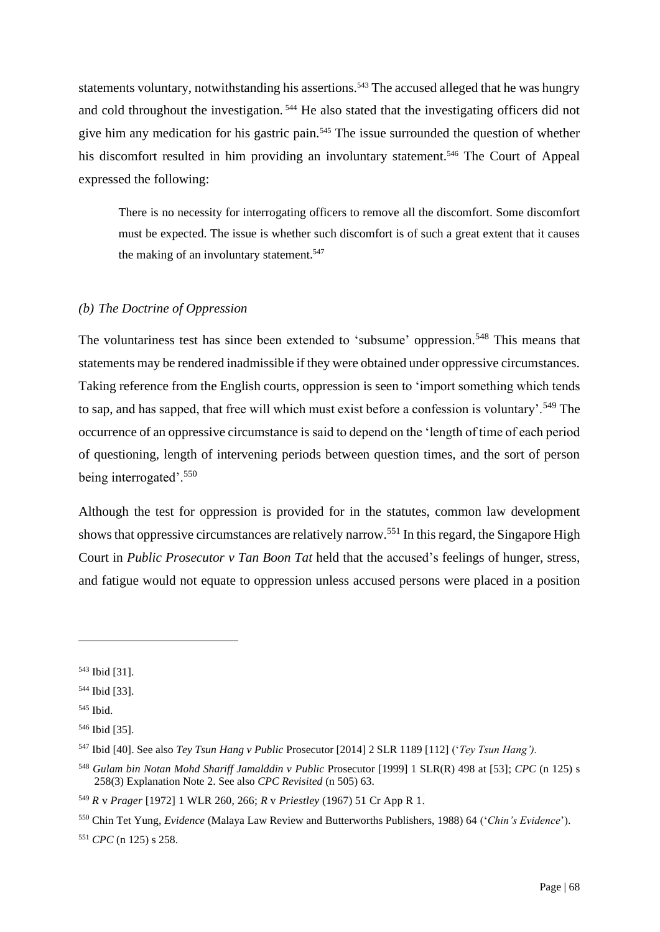statements voluntary, notwithstanding his assertions.<sup>543</sup> The accused alleged that he was hungry and cold throughout the investigation. <sup>544</sup> He also stated that the investigating officers did not give him any medication for his gastric pain.<sup>545</sup> The issue surrounded the question of whether his discomfort resulted in him providing an involuntary statement.<sup>546</sup> The Court of Appeal expressed the following:

There is no necessity for interrogating officers to remove all the discomfort. Some discomfort must be expected. The issue is whether such discomfort is of such a great extent that it causes the making of an involuntary statement.<sup>547</sup>

## *(b) The Doctrine of Oppression*

The voluntariness test has since been extended to 'subsume' oppression.<sup>548</sup> This means that statements may be rendered inadmissible if they were obtained under oppressive circumstances. Taking reference from the English courts, oppression is seen to 'import something which tends to sap, and has sapped, that free will which must exist before a confession is voluntary'.<sup>549</sup> The occurrence of an oppressive circumstance is said to depend on the 'length of time of each period of questioning, length of intervening periods between question times, and the sort of person being interrogated'.<sup>550</sup>

Although the test for oppression is provided for in the statutes, common law development shows that oppressive circumstances are relatively narrow.<sup>551</sup> In this regard, the Singapore High Court in *Public Prosecutor v Tan Boon Tat* held that the accused's feelings of hunger, stress, and fatigue would not equate to oppression unless accused persons were placed in a position

<sup>543</sup> Ibid [31].

<sup>544</sup> Ibid [33].

<sup>545</sup> Ibid.

<sup>546</sup> Ibid [35].

<sup>547</sup> Ibid [40]. See also *Tey Tsun Hang v Public* Prosecutor [2014] 2 SLR 1189 [112] ('*Tey Tsun Hang').*

<sup>548</sup> *Gulam bin Notan Mohd Shariff Jamalddin v Public* Prosecutor [1999] 1 SLR(R) 498 at [53]; *CPC* (n 125) s 258(3) Explanation Note 2. See also *CPC Revisited* (n 505) 63.

<sup>549</sup> *R* v *Prager* [1972] 1 WLR 260, 266; *R* v *Priestley* (1967) 51 Cr App R 1.

<sup>550</sup> Chin Tet Yung, *Evidence* (Malaya Law Review and Butterworths Publishers, 1988) 64 ('*Chin's Evidence*').

<sup>551</sup> *CPC* (n 125) s 258.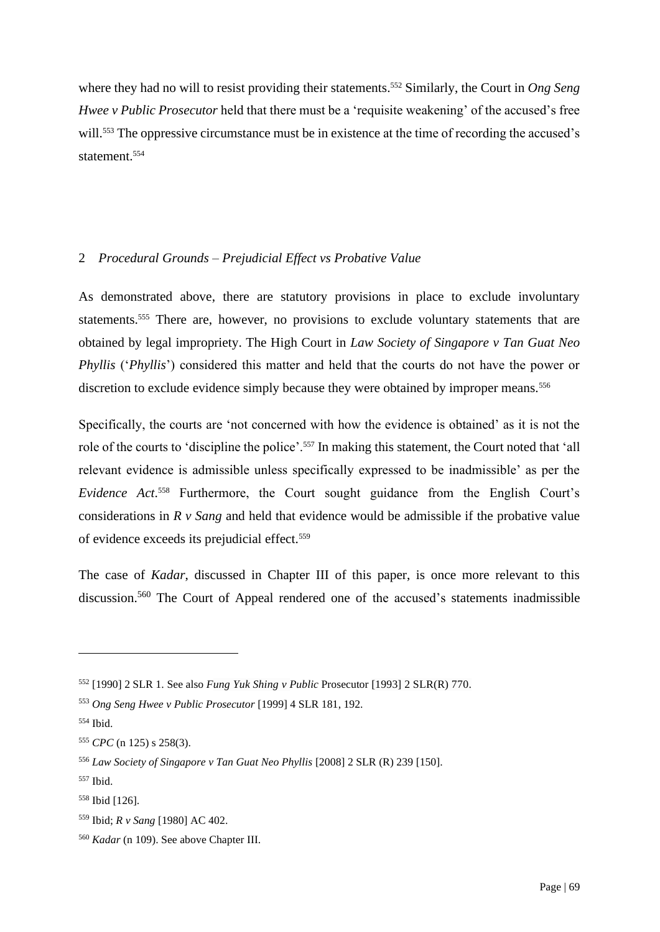where they had no will to resist providing their statements. <sup>552</sup> Similarly, the Court in *Ong Seng Hwee v Public Prosecutor* held that there must be a 'requisite weakening' of the accused's free will.<sup>553</sup> The oppressive circumstance must be in existence at the time of recording the accused's statement.<sup>554</sup>

# 2 *Procedural Grounds – Prejudicial Effect vs Probative Value*

As demonstrated above, there are statutory provisions in place to exclude involuntary statements.<sup>555</sup> There are, however, no provisions to exclude voluntary statements that are obtained by legal impropriety. The High Court in *Law Society of Singapore v Tan Guat Neo Phyllis* ('*Phyllis*') considered this matter and held that the courts do not have the power or discretion to exclude evidence simply because they were obtained by improper means.<sup>556</sup>

Specifically, the courts are 'not concerned with how the evidence is obtained' as it is not the role of the courts to 'discipline the police'.<sup>557</sup> In making this statement, the Court noted that 'all relevant evidence is admissible unless specifically expressed to be inadmissible' as per the *Evidence Act*. <sup>558</sup> Furthermore, the Court sought guidance from the English Court's considerations in *R v Sang* and held that evidence would be admissible if the probative value of evidence exceeds its prejudicial effect.<sup>559</sup>

The case of *Kadar*, discussed in Chapter III of this paper, is once more relevant to this discussion.<sup>560</sup> The Court of Appeal rendered one of the accused's statements inadmissible

<sup>552</sup> [1990] 2 SLR 1. See also *Fung Yuk Shing v Public* Prosecutor [1993] 2 SLR(R) 770.

<sup>553</sup> *Ong Seng Hwee v Public Prosecutor* [1999] 4 SLR 181, 192.

<sup>554</sup> Ibid.

<sup>555</sup> *CPC* (n 125) s 258(3).

<sup>556</sup> *Law Society of Singapore v Tan Guat Neo Phyllis* [2008] 2 SLR (R) 239 [150].

<sup>557</sup> Ibid.

<sup>558</sup> Ibid [126].

<sup>559</sup> Ibid; *R v Sang* [1980] AC 402.

<sup>560</sup> *Kadar* (n 109). See above Chapter III.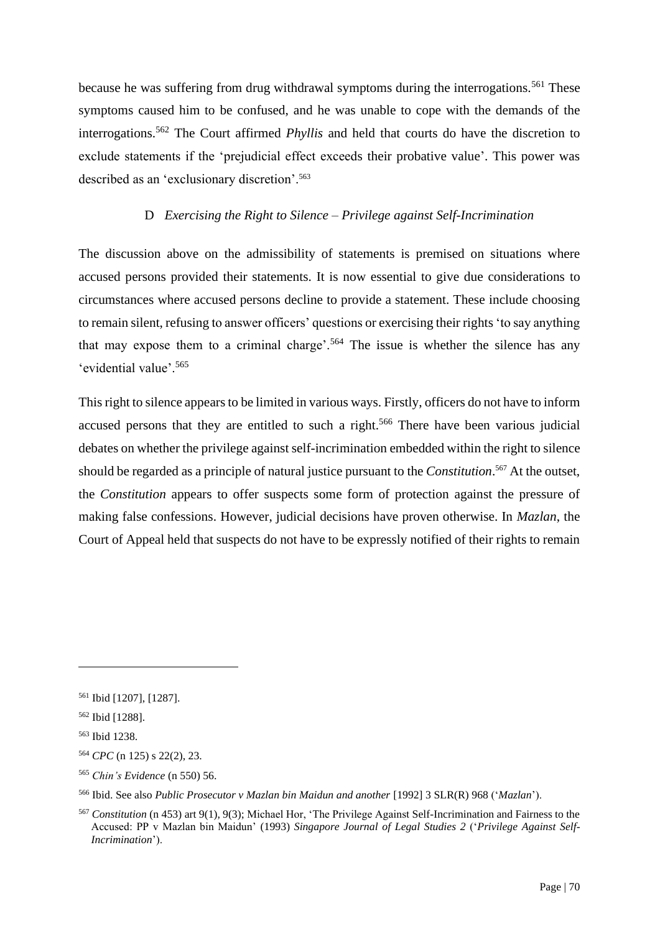because he was suffering from drug withdrawal symptoms during the interrogations.<sup>561</sup> These symptoms caused him to be confused, and he was unable to cope with the demands of the interrogations.<sup>562</sup> The Court affirmed *Phyllis* and held that courts do have the discretion to exclude statements if the 'prejudicial effect exceeds their probative value'. This power was described as an 'exclusionary discretion'.<sup>563</sup>

# D *Exercising the Right to Silence – Privilege against Self-Incrimination*

The discussion above on the admissibility of statements is premised on situations where accused persons provided their statements. It is now essential to give due considerations to circumstances where accused persons decline to provide a statement. These include choosing to remain silent, refusing to answer officers' questions or exercising their rights'to say anything that may expose them to a criminal charge'.<sup>564</sup> The issue is whether the silence has any 'evidential value'.<sup>565</sup>

This right to silence appears to be limited in various ways. Firstly, officers do not have to inform accused persons that they are entitled to such a right.<sup>566</sup> There have been various judicial debates on whether the privilege against self-incrimination embedded within the right to silence should be regarded as a principle of natural justice pursuant to the *Constitution*. <sup>567</sup> At the outset, the *Constitution* appears to offer suspects some form of protection against the pressure of making false confessions. However, judicial decisions have proven otherwise. In *Mazlan*, the Court of Appeal held that suspects do not have to be expressly notified of their rights to remain

<sup>561</sup> Ibid [1207], [1287].

<sup>562</sup> Ibid [1288].

<sup>563</sup> Ibid 1238.

<sup>564</sup> *CPC* (n 125) s 22(2), 23.

<sup>565</sup> *Chin's Evidence* (n 550) 56.

<sup>566</sup> Ibid. See also *Public Prosecutor v Mazlan bin Maidun and another* [1992] 3 SLR(R) 968 ('*Mazlan*').

<sup>567</sup> *Constitution* (n 453) art 9(1), 9(3); Michael Hor, 'The Privilege Against Self-Incrimination and Fairness to the Accused: PP v Mazlan bin Maidun' (1993) *Singapore Journal of Legal Studies 2* ('*Privilege Against Self-Incrimination*').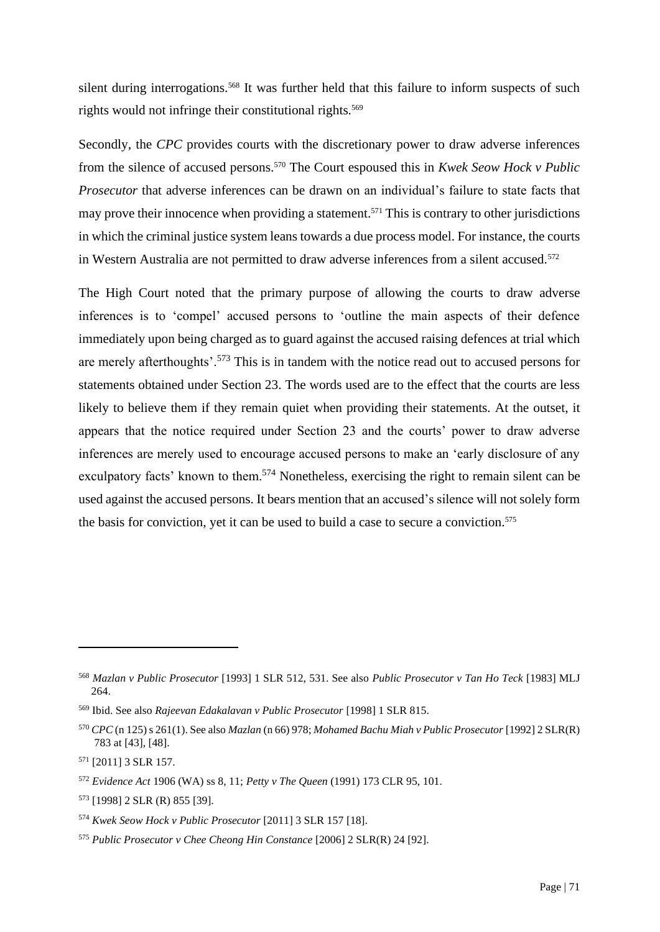silent during interrogations.<sup>568</sup> It was further held that this failure to inform suspects of such rights would not infringe their constitutional rights.<sup>569</sup>

Secondly, the *CPC* provides courts with the discretionary power to draw adverse inferences from the silence of accused persons. <sup>570</sup> The Court espoused this in *Kwek Seow Hock v Public Prosecutor* that adverse inferences can be drawn on an individual's failure to state facts that may prove their innocence when providing a statement. <sup>571</sup> This is contrary to other jurisdictions in which the criminal justice system leans towards a due process model. For instance, the courts in Western Australia are not permitted to draw adverse inferences from a silent accused.<sup>572</sup>

The High Court noted that the primary purpose of allowing the courts to draw adverse inferences is to 'compel' accused persons to 'outline the main aspects of their defence immediately upon being charged as to guard against the accused raising defences at trial which are merely afterthoughts'.<sup>573</sup> This is in tandem with the notice read out to accused persons for statements obtained under Section 23. The words used are to the effect that the courts are less likely to believe them if they remain quiet when providing their statements. At the outset, it appears that the notice required under Section 23 and the courts' power to draw adverse inferences are merely used to encourage accused persons to make an 'early disclosure of any exculpatory facts' known to them.<sup>574</sup> Nonetheless, exercising the right to remain silent can be used against the accused persons. It bears mention that an accused's silence will not solely form the basis for conviction, yet it can be used to build a case to secure a conviction. 575

<sup>568</sup> *Mazlan v Public Prosecutor* [1993] 1 SLR 512, 531. See also *Public Prosecutor v Tan Ho Teck* [1983] MLJ 264.

<sup>569</sup> Ibid. See also *Rajeevan Edakalavan v Public Prosecutor* [1998] 1 SLR 815.

<sup>570</sup> *CPC* (n 125) s 261(1). See also *Mazlan* (n 66) 978; *Mohamed Bachu Miah v Public Prosecutor* [1992] 2 SLR(R) 783 at [43], [48].

<sup>571</sup> [2011] 3 SLR 157.

<sup>572</sup> *Evidence Act* 1906 (WA) ss 8, 11; *Petty v The Queen* (1991) 173 CLR 95, 101.

<sup>573</sup> [1998] 2 SLR (R) 855 [39].

<sup>574</sup> *Kwek Seow Hock v Public Prosecutor* [2011] 3 SLR 157 [18].

<sup>575</sup> *Public Prosecutor v Chee Cheong Hin Constance* [2006] 2 SLR(R) 24 [92].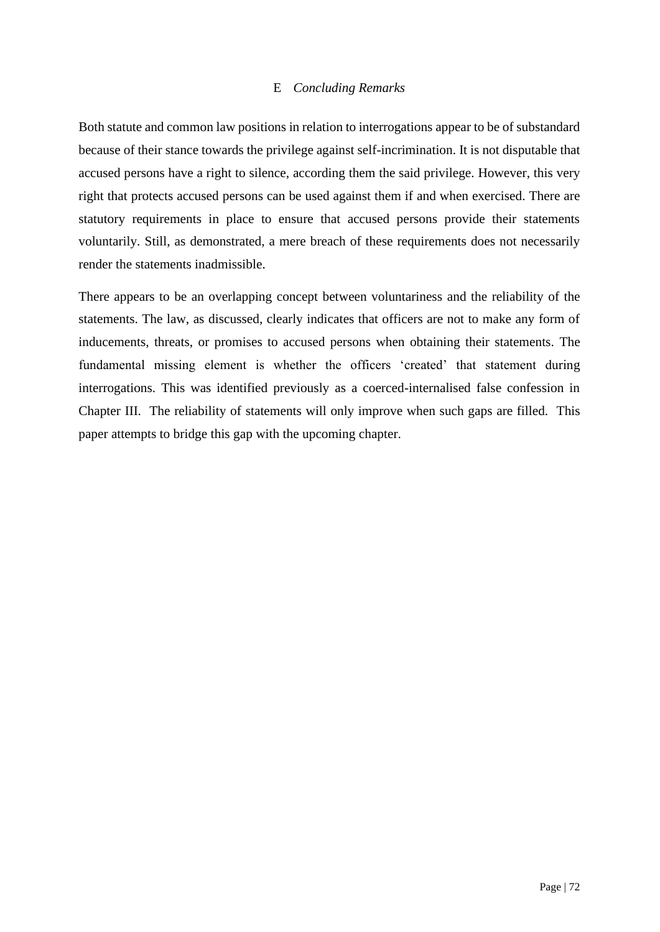# E *Concluding Remarks*

Both statute and common law positions in relation to interrogations appear to be of substandard because of their stance towards the privilege against self-incrimination. It is not disputable that accused persons have a right to silence, according them the said privilege. However, this very right that protects accused persons can be used against them if and when exercised. There are statutory requirements in place to ensure that accused persons provide their statements voluntarily. Still, as demonstrated, a mere breach of these requirements does not necessarily render the statements inadmissible.

There appears to be an overlapping concept between voluntariness and the reliability of the statements. The law, as discussed, clearly indicates that officers are not to make any form of inducements, threats, or promises to accused persons when obtaining their statements. The fundamental missing element is whether the officers 'created' that statement during interrogations. This was identified previously as a coerced-internalised false confession in Chapter III. The reliability of statements will only improve when such gaps are filled. This paper attempts to bridge this gap with the upcoming chapter.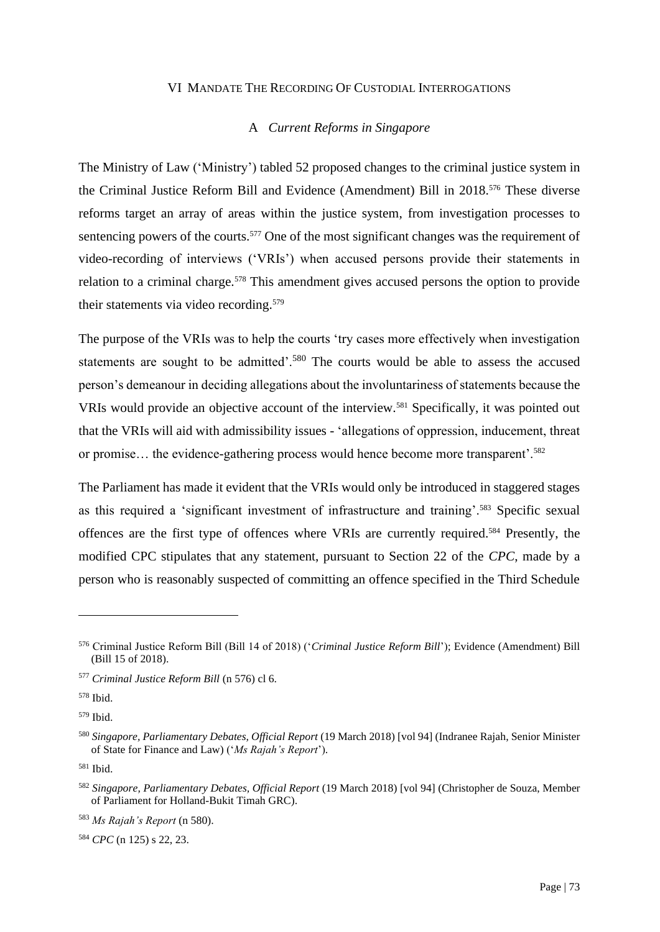#### VI MANDATE THE RECORDING OF CUSTODIAL INTERROGATIONS

# A *Current Reforms in Singapore*

The Ministry of Law ('Ministry') tabled 52 proposed changes to the criminal justice system in the Criminal Justice Reform Bill and Evidence (Amendment) Bill in 2018.<sup>576</sup> These diverse reforms target an array of areas within the justice system, from investigation processes to sentencing powers of the courts.<sup>577</sup> One of the most significant changes was the requirement of video-recording of interviews ('VRIs') when accused persons provide their statements in relation to a criminal charge.<sup>578</sup> This amendment gives accused persons the option to provide their statements via video recording.<sup>579</sup>

The purpose of the VRIs was to help the courts 'try cases more effectively when investigation statements are sought to be admitted'.<sup>580</sup> The courts would be able to assess the accused person's demeanour in deciding allegations about the involuntariness of statements because the VRIs would provide an objective account of the interview.<sup>581</sup> Specifically, it was pointed out that the VRIs will aid with admissibility issues - 'allegations of oppression, inducement, threat or promise… the evidence-gathering process would hence become more transparent'.<sup>582</sup>

The Parliament has made it evident that the VRIs would only be introduced in staggered stages as this required a 'significant investment of infrastructure and training'.<sup>583</sup> Specific sexual offences are the first type of offences where VRIs are currently required.<sup>584</sup> Presently, the modified CPC stipulates that any statement, pursuant to Section 22 of the *CPC*, made by a person who is reasonably suspected of committing an offence specified in the Third Schedule

<sup>584</sup> *CPC* (n 125) s 22, 23.

<sup>576</sup> Criminal Justice Reform Bill (Bill 14 of 2018) ('*Criminal Justice Reform Bill*'); Evidence (Amendment) Bill (Bill 15 of 2018).

<sup>577</sup> *Criminal Justice Reform Bill* (n 576) cl 6.

<sup>578</sup> Ibid.

<sup>579</sup> Ibid.

<sup>580</sup> *Singapore, Parliamentary Debates, Official Report* (19 March 2018) [vol 94] (Indranee Rajah, Senior Minister of State for Finance and Law) ('*Ms Rajah's Report*').

<sup>581</sup> Ibid.

<sup>582</sup> *Singapore, Parliamentary Debates, Official Report* (19 March 2018) [vol 94] (Christopher de Souza, Member of Parliament for Holland-Bukit Timah GRC).

<sup>583</sup> *Ms Rajah's Report* (n 580).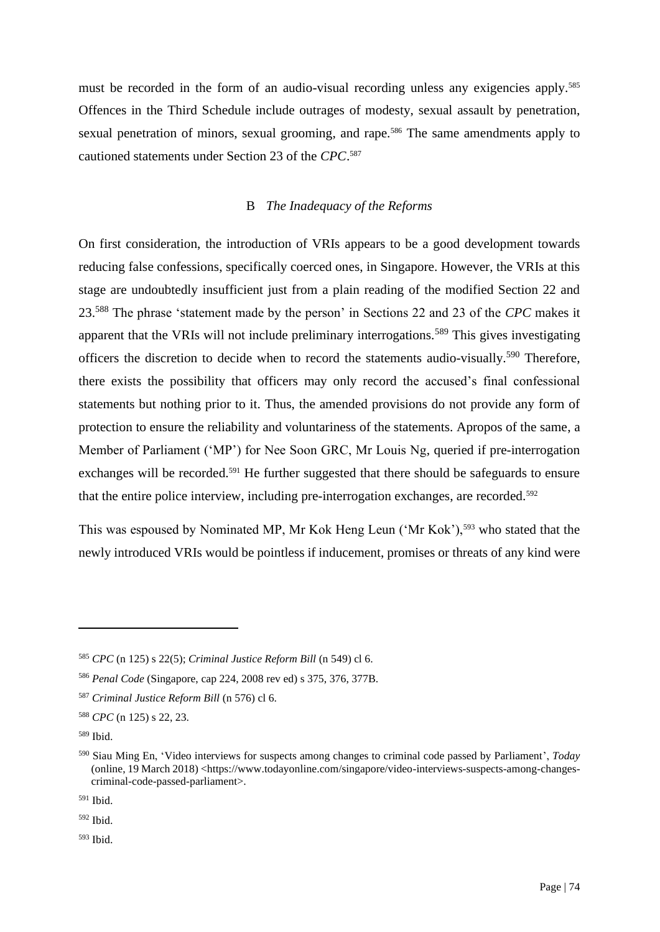must be recorded in the form of an audio-visual recording unless any exigencies apply.<sup>585</sup> Offences in the Third Schedule include outrages of modesty, sexual assault by penetration, sexual penetration of minors, sexual grooming, and rape.<sup>586</sup> The same amendments apply to cautioned statements under Section 23 of the *CPC*. 587

# B *The Inadequacy of the Reforms*

On first consideration, the introduction of VRIs appears to be a good development towards reducing false confessions, specifically coerced ones, in Singapore. However, the VRIs at this stage are undoubtedly insufficient just from a plain reading of the modified Section 22 and 23.<sup>588</sup> The phrase 'statement made by the person' in Sections 22 and 23 of the *CPC* makes it apparent that the VRIs will not include preliminary interrogations.<sup>589</sup> This gives investigating officers the discretion to decide when to record the statements audio-visually.<sup>590</sup> Therefore, there exists the possibility that officers may only record the accused's final confessional statements but nothing prior to it. Thus, the amended provisions do not provide any form of protection to ensure the reliability and voluntariness of the statements. Apropos of the same, a Member of Parliament ('MP') for Nee Soon GRC, Mr Louis Ng, queried if pre-interrogation exchanges will be recorded.<sup>591</sup> He further suggested that there should be safeguards to ensure that the entire police interview, including pre-interrogation exchanges, are recorded.<sup>592</sup>

This was espoused by Nominated MP, Mr Kok Heng Leun ('Mr Kok'),<sup>593</sup> who stated that the newly introduced VRIs would be pointless if inducement, promises or threats of any kind were

<sup>592</sup> Ibid.

<sup>593</sup> Ibid.

<sup>585</sup> *CPC* (n 125) s 22(5); *Criminal Justice Reform Bill* (n 549) cl 6.

<sup>586</sup> *Penal Code* (Singapore, cap 224, 2008 rev ed) s 375, 376, 377B.

<sup>587</sup> *Criminal Justice Reform Bill* (n 576) cl 6.

<sup>588</sup> *CPC* (n 125) s 22, 23.

<sup>589</sup> Ibid.

<sup>590</sup> Siau Ming En, 'Video interviews for suspects among changes to criminal code passed by Parliament', *Today* (online, 19 March 2018) <https://www.todayonline.com/singapore/video-interviews-suspects-among-changescriminal-code-passed-parliament>.

<sup>591</sup> Ibid.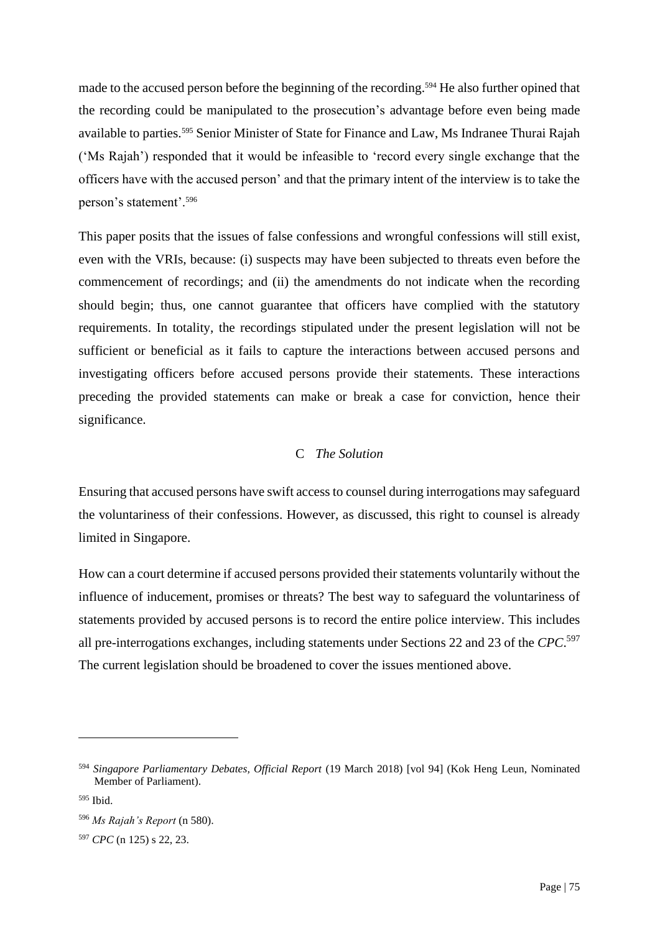made to the accused person before the beginning of the recording.<sup>594</sup> He also further opined that the recording could be manipulated to the prosecution's advantage before even being made available to parties.<sup>595</sup> Senior Minister of State for Finance and Law, Ms Indranee Thurai Rajah ('Ms Rajah') responded that it would be infeasible to 'record every single exchange that the officers have with the accused person' and that the primary intent of the interview is to take the person's statement'.<sup>596</sup>

This paper posits that the issues of false confessions and wrongful confessions will still exist, even with the VRIs, because: (i) suspects may have been subjected to threats even before the commencement of recordings; and (ii) the amendments do not indicate when the recording should begin; thus, one cannot guarantee that officers have complied with the statutory requirements. In totality, the recordings stipulated under the present legislation will not be sufficient or beneficial as it fails to capture the interactions between accused persons and investigating officers before accused persons provide their statements. These interactions preceding the provided statements can make or break a case for conviction, hence their significance.

# C *The Solution*

Ensuring that accused persons have swift access to counsel during interrogations may safeguard the voluntariness of their confessions. However, as discussed, this right to counsel is already limited in Singapore.

How can a court determine if accused persons provided their statements voluntarily without the influence of inducement, promises or threats? The best way to safeguard the voluntariness of statements provided by accused persons is to record the entire police interview. This includes all pre-interrogations exchanges, including statements under Sections 22 and 23 of the *CPC*. 597 The current legislation should be broadened to cover the issues mentioned above.

<sup>594</sup> *Singapore Parliamentary Debates, Official Report* (19 March 2018) [vol 94] (Kok Heng Leun, Nominated Member of Parliament).

<sup>595</sup> Ibid.

<sup>596</sup> *Ms Rajah's Report* (n 580).

<sup>597</sup> *CPC* (n 125) s 22, 23.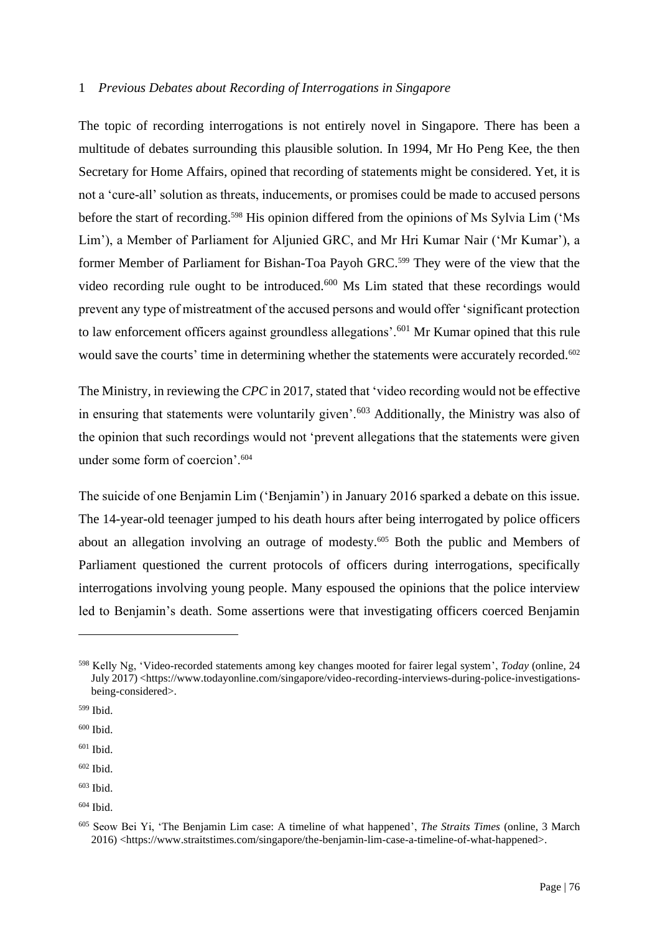#### 1 *Previous Debates about Recording of Interrogations in Singapore*

The topic of recording interrogations is not entirely novel in Singapore. There has been a multitude of debates surrounding this plausible solution*.* In 1994, Mr Ho Peng Kee, the then Secretary for Home Affairs, opined that recording of statements might be considered. Yet, it is not a 'cure-all' solution as threats, inducements, or promises could be made to accused persons before the start of recording.<sup>598</sup> His opinion differed from the opinions of Ms Sylvia Lim ('Ms Lim'), a Member of Parliament for Aljunied GRC, and Mr Hri Kumar Nair ('Mr Kumar'), a former Member of Parliament for Bishan-Toa Payoh GRC.<sup>599</sup> They were of the view that the video recording rule ought to be introduced.<sup>600</sup> Ms Lim stated that these recordings would prevent any type of mistreatment of the accused persons and would offer 'significant protection to law enforcement officers against groundless allegations'.<sup>601</sup> Mr Kumar opined that this rule would save the courts' time in determining whether the statements were accurately recorded.<sup>602</sup>

The Ministry, in reviewing the *CPC* in 2017, stated that 'video recording would not be effective in ensuring that statements were voluntarily given'.<sup>603</sup> Additionally, the Ministry was also of the opinion that such recordings would not 'prevent allegations that the statements were given under some form of coercion'.<sup>604</sup>

The suicide of one Benjamin Lim ('Benjamin') in January 2016 sparked a debate on this issue. The 14-year-old teenager jumped to his death hours after being interrogated by police officers about an allegation involving an outrage of modesty.<sup>605</sup> Both the public and Members of Parliament questioned the current protocols of officers during interrogations, specifically interrogations involving young people. Many espoused the opinions that the police interview led to Benjamin's death. Some assertions were that investigating officers coerced Benjamin

<sup>598</sup> Kelly Ng, 'Video-recorded statements among key changes mooted for fairer legal system', *Today* (online, 24 July 2017) <https://www.todayonline.com/singapore/video-recording-interviews-during-police-investigationsbeing-considered>.

<sup>599</sup> Ibid.

<sup>600</sup> Ibid.

 $601$  Ibid.

<sup>602</sup> Ibid.

<sup>603</sup> Ibid.

<sup>604</sup> Ibid.

<sup>605</sup> Seow Bei Yi, 'The Benjamin Lim case: A timeline of what happened', *The Straits Times* (online, 3 March 2016) <https://www.straitstimes.com/singapore/the-benjamin-lim-case-a-timeline-of-what-happened>.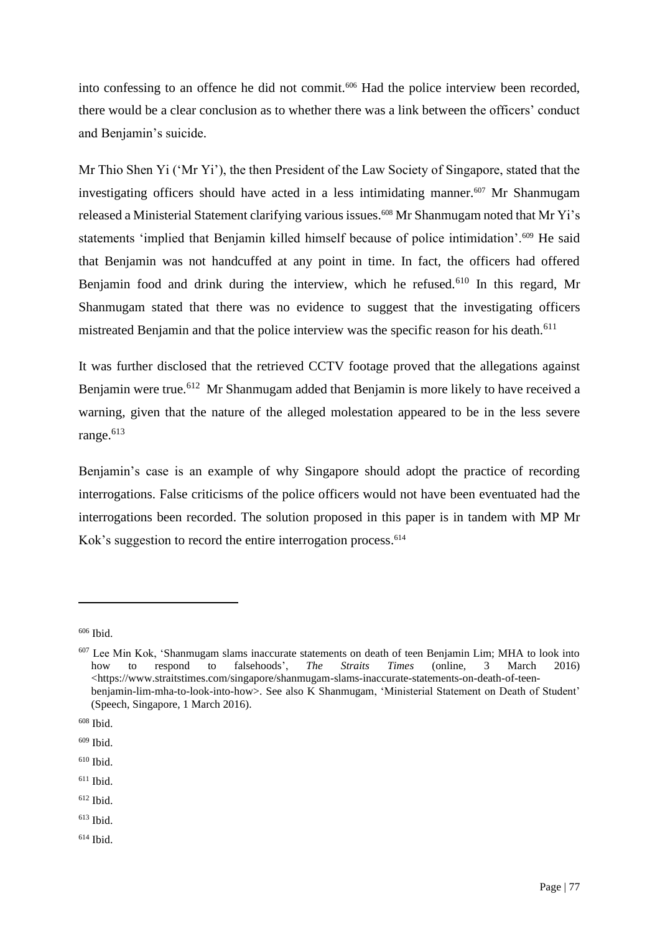into confessing to an offence he did not commit.<sup>606</sup> Had the police interview been recorded, there would be a clear conclusion as to whether there was a link between the officers' conduct and Benjamin's suicide.

Mr Thio Shen Yi ('Mr Yi'), the then President of the Law Society of Singapore, stated that the investigating officers should have acted in a less intimidating manner.<sup>607</sup> Mr Shanmugam released a Ministerial Statement clarifying various issues.<sup>608</sup> Mr Shanmugam noted that Mr Yi's statements 'implied that Benjamin killed himself because of police intimidation'.<sup>609</sup> He said that Benjamin was not handcuffed at any point in time. In fact, the officers had offered Benjamin food and drink during the interview, which he refused.<sup>610</sup> In this regard, Mr Shanmugam stated that there was no evidence to suggest that the investigating officers mistreated Benjamin and that the police interview was the specific reason for his death.<sup>611</sup>

It was further disclosed that the retrieved CCTV footage proved that the allegations against Benjamin were true.<sup>612</sup> Mr Shanmugam added that Benjamin is more likely to have received a warning, given that the nature of the alleged molestation appeared to be in the less severe range.<sup>613</sup>

Benjamin's case is an example of why Singapore should adopt the practice of recording interrogations. False criticisms of the police officers would not have been eventuated had the interrogations been recorded. The solution proposed in this paper is in tandem with MP Mr Kok's suggestion to record the entire interrogation process. 614

- $611$  Ibid.
- <sup>612</sup> Ibid.
- $613$  Ibid.
- <sup>614</sup> Ibid.

<sup>606</sup> Ibid.

 $^{607}$  Lee Min Kok, 'Shanmugam slams inaccurate statements on death of teen Benjamin Lim; MHA to look into how to respond to falsehoods', *The Straits Times* (online. 3 March 2016) how to respond to falsehoods', *The Straits Times* (online, 3 March 2016) <https://www.straitstimes.com/singapore/shanmugam-slams-inaccurate-statements-on-death-of-teenbenjamin-lim-mha-to-look-into-how>. See also K Shanmugam, 'Ministerial Statement on Death of Student' (Speech, Singapore, 1 March 2016).

<sup>608</sup> Ibid.

<sup>609</sup> Ibid.

<sup>610</sup> Ibid.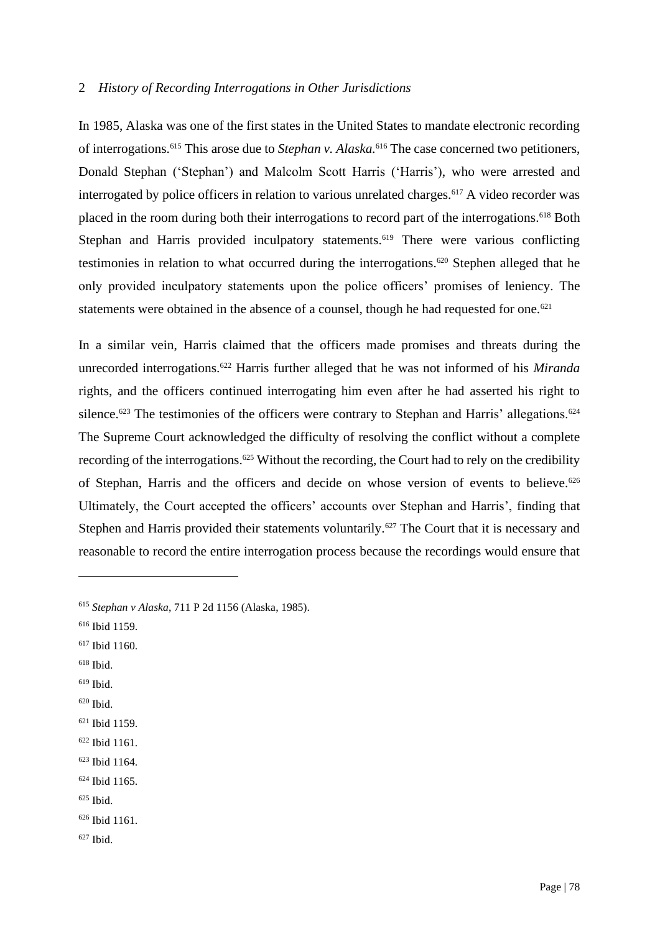### 2 *History of Recording Interrogations in Other Jurisdictions*

In 1985, Alaska was one of the first states in the United States to mandate electronic recording of interrogations.<sup>615</sup> This arose due to *Stephan v. Alaska.*<sup>616</sup> The case concerned two petitioners, Donald Stephan ('Stephan') and Malcolm Scott Harris ('Harris'), who were arrested and interrogated by police officers in relation to various unrelated charges.<sup>617</sup> A video recorder was placed in the room during both their interrogations to record part of the interrogations.<sup>618</sup> Both Stephan and Harris provided inculpatory statements.<sup>619</sup> There were various conflicting testimonies in relation to what occurred during the interrogations.<sup>620</sup> Stephen alleged that he only provided inculpatory statements upon the police officers' promises of leniency. The statements were obtained in the absence of a counsel, though he had requested for one.<sup>621</sup>

In a similar vein, Harris claimed that the officers made promises and threats during the unrecorded interrogations.<sup>622</sup> Harris further alleged that he was not informed of his *Miranda* rights, and the officers continued interrogating him even after he had asserted his right to silence.<sup>623</sup> The testimonies of the officers were contrary to Stephan and Harris' allegations.<sup>624</sup> The Supreme Court acknowledged the difficulty of resolving the conflict without a complete recording of the interrogations.<sup>625</sup> Without the recording, the Court had to rely on the credibility of Stephan, Harris and the officers and decide on whose version of events to believe.<sup>626</sup> Ultimately, the Court accepted the officers' accounts over Stephan and Harris', finding that Stephen and Harris provided their statements voluntarily.<sup>627</sup> The Court that it is necessary and reasonable to record the entire interrogation process because the recordings would ensure that

- <sup>616</sup> Ibid 1159.
- <sup>617</sup> Ibid 1160.
- <sup>618</sup> Ibid.
- $619$  Ibid.
- $620$  Ibid.
- <sup>621</sup> Ibid 1159.
- <sup>622</sup> Ibid 1161.
- <sup>623</sup> Ibid 1164.
- <sup>624</sup> Ibid 1165.
- $625$  Ibid.

<sup>627</sup> Ibid.

<sup>615</sup> *Stephan v Alaska*, 711 P 2d 1156 (Alaska, 1985).

<sup>626</sup> Ibid 1161.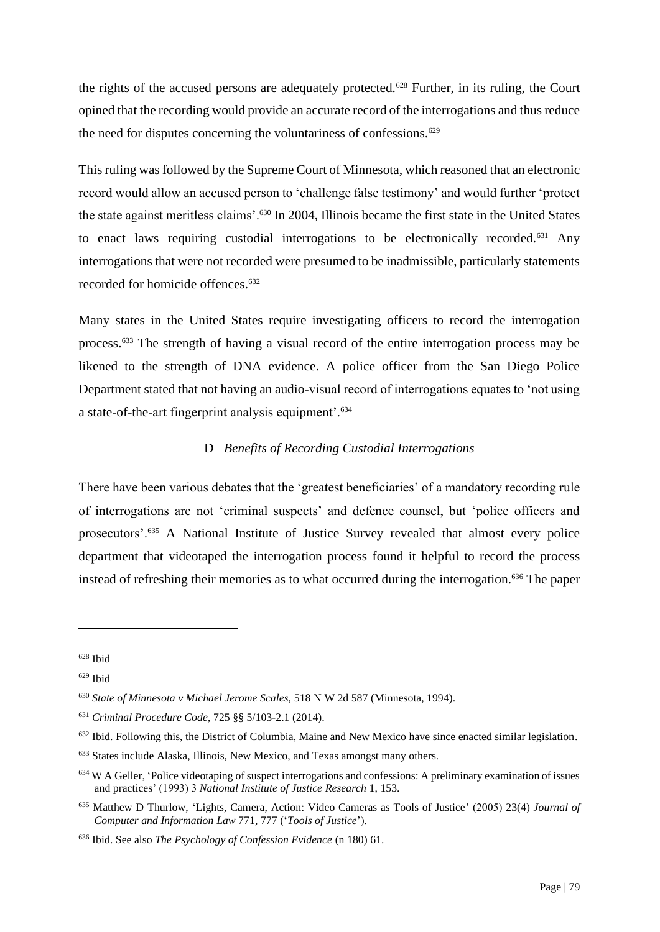the rights of the accused persons are adequately protected.<sup>628</sup> Further, in its ruling, the Court opined that the recording would provide an accurate record of the interrogations and thus reduce the need for disputes concerning the voluntariness of confessions.<sup>629</sup>

This ruling was followed by the Supreme Court of Minnesota, which reasoned that an electronic record would allow an accused person to 'challenge false testimony' and would further 'protect the state against meritless claims'.<sup>630</sup> In 2004, Illinois became the first state in the United States to enact laws requiring custodial interrogations to be electronically recorded.<sup>631</sup> Any interrogations that were not recorded were presumed to be inadmissible, particularly statements recorded for homicide offences.<sup>632</sup>

Many states in the United States require investigating officers to record the interrogation process.<sup>633</sup> The strength of having a visual record of the entire interrogation process may be likened to the strength of DNA evidence. A police officer from the San Diego Police Department stated that not having an audio-visual record of interrogations equates to 'not using a state-of-the-art fingerprint analysis equipment'.<sup>634</sup>

# D *Benefits of Recording Custodial Interrogations*

There have been various debates that the 'greatest beneficiaries' of a mandatory recording rule of interrogations are not 'criminal suspects' and defence counsel, but 'police officers and prosecutors'.<sup>635</sup> A National Institute of Justice Survey revealed that almost every police department that videotaped the interrogation process found it helpful to record the process instead of refreshing their memories as to what occurred during the interrogation.<sup>636</sup> The paper

<sup>628</sup> Ibid

 $629$  Ibid

<sup>630</sup> *State of Minnesota v Michael Jerome Scales,* 518 N W 2d 587 (Minnesota, 1994).

<sup>631</sup> *Criminal Procedure Code*, 725 §§ 5/103-2.1 (2014).

<sup>&</sup>lt;sup>632</sup> Ibid. Following this, the District of Columbia, Maine and New Mexico have since enacted similar legislation.

<sup>633</sup> States include Alaska, Illinois, New Mexico, and Texas amongst many others.

<sup>634</sup> W A Geller, 'Police videotaping of suspect interrogations and confessions: A preliminary examination of issues and practices' (1993) 3 *National Institute of Justice Research* 1, 153.

<sup>635</sup> Matthew D Thurlow, 'Lights, Camera, Action: Video Cameras as Tools of Justice' (2005) 23(4) *Journal of Computer and Information Law* 771, 777 ('*Tools of Justice*').

<sup>636</sup> Ibid. See also *The Psychology of Confession Evidence* (n 180) 61.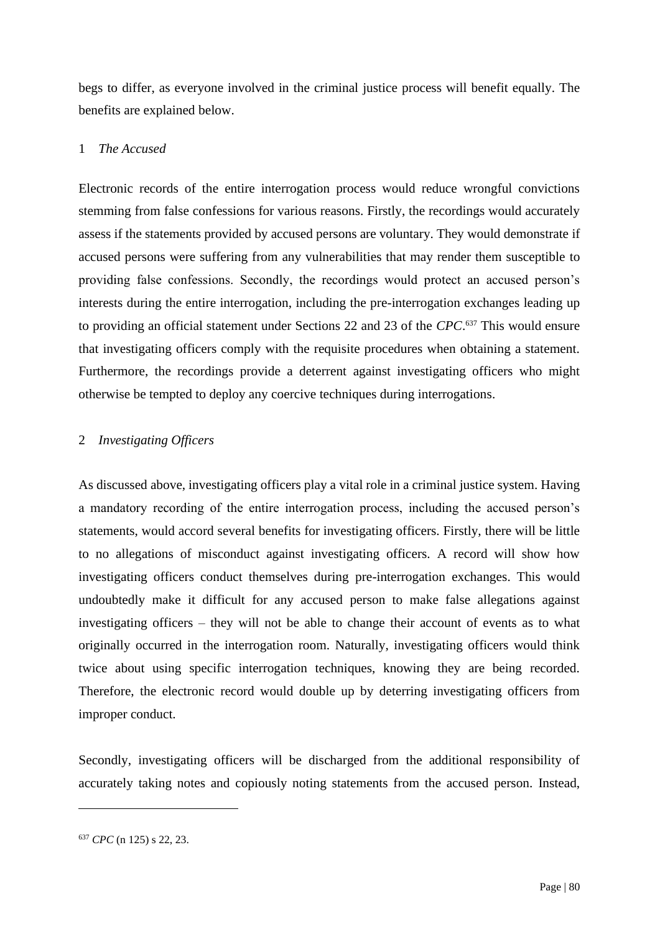begs to differ, as everyone involved in the criminal justice process will benefit equally. The benefits are explained below.

### 1 *The Accused*

Electronic records of the entire interrogation process would reduce wrongful convictions stemming from false confessions for various reasons. Firstly, the recordings would accurately assess if the statements provided by accused persons are voluntary. They would demonstrate if accused persons were suffering from any vulnerabilities that may render them susceptible to providing false confessions. Secondly, the recordings would protect an accused person's interests during the entire interrogation, including the pre-interrogation exchanges leading up to providing an official statement under Sections 22 and 23 of the *CPC*. <sup>637</sup> This would ensure that investigating officers comply with the requisite procedures when obtaining a statement. Furthermore, the recordings provide a deterrent against investigating officers who might otherwise be tempted to deploy any coercive techniques during interrogations.

# 2 *Investigating Officers*

As discussed above, investigating officers play a vital role in a criminal justice system. Having a mandatory recording of the entire interrogation process, including the accused person's statements, would accord several benefits for investigating officers. Firstly, there will be little to no allegations of misconduct against investigating officers. A record will show how investigating officers conduct themselves during pre-interrogation exchanges. This would undoubtedly make it difficult for any accused person to make false allegations against investigating officers – they will not be able to change their account of events as to what originally occurred in the interrogation room. Naturally, investigating officers would think twice about using specific interrogation techniques, knowing they are being recorded. Therefore, the electronic record would double up by deterring investigating officers from improper conduct.

Secondly, investigating officers will be discharged from the additional responsibility of accurately taking notes and copiously noting statements from the accused person. Instead,

<sup>637</sup> *CPC* (n 125) s 22, 23.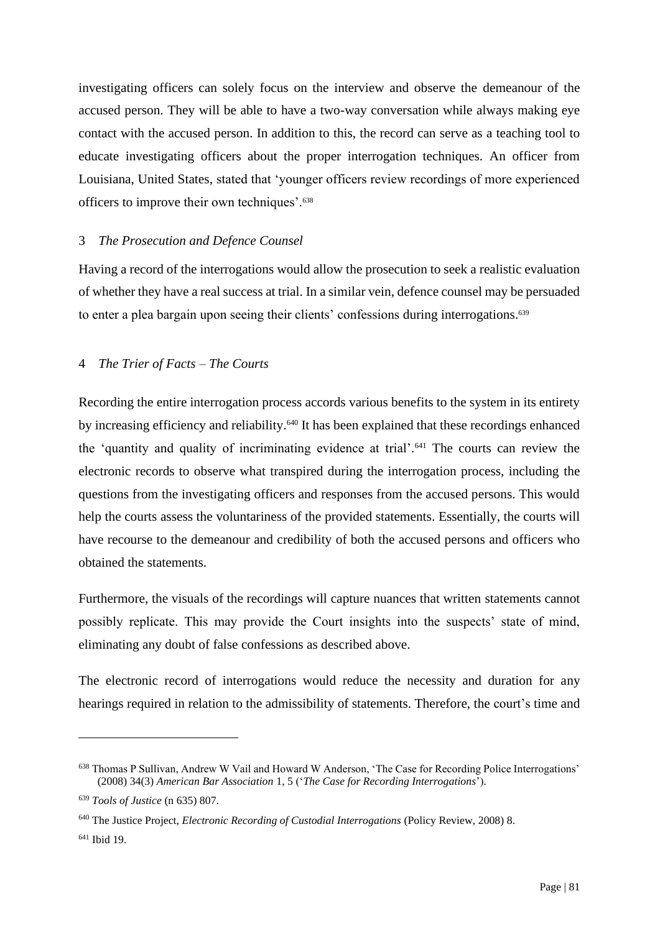investigating officers can solely focus on the interview and observe the demeanour of the accused person. They will be able to have a two-way conversation while always making eye contact with the accused person. In addition to this, the record can serve as a teaching tool to educate investigating officers about the proper interrogation techniques. An officer from Louisiana, United States, stated that 'younger officers review recordings of more experienced officers to improve their own techniques'.<sup>638</sup>

#### 3 *The Prosecution and Defence Counsel*

Having a record of the interrogations would allow the prosecution to seek a realistic evaluation of whether they have a real success at trial. In a similar vein, defence counsel may be persuaded to enter a plea bargain upon seeing their clients' confessions during interrogations.<sup>639</sup>

### 4 *The Trier of Facts – The Courts*

Recording the entire interrogation process accords various benefits to the system in its entirety by increasing efficiency and reliability.<sup>640</sup> It has been explained that these recordings enhanced the 'quantity and quality of incriminating evidence at trial'.<sup>641</sup> The courts can review the electronic records to observe what transpired during the interrogation process, including the questions from the investigating officers and responses from the accused persons. This would help the courts assess the voluntariness of the provided statements. Essentially, the courts will have recourse to the demeanour and credibility of both the accused persons and officers who obtained the statements.

Furthermore, the visuals of the recordings will capture nuances that written statements cannot possibly replicate. This may provide the Court insights into the suspects' state of mind, eliminating any doubt of false confessions as described above.

The electronic record of interrogations would reduce the necessity and duration for any hearings required in relation to the admissibility of statements. Therefore, the court's time and

<sup>638</sup> Thomas P Sullivan, Andrew W Vail and Howard W Anderson, 'The Case for Recording Police Interrogations' (2008) 34(3) *American Bar Association* 1, 5 ('*The Case for Recording Interrogations*').

<sup>639</sup> *Tools of Justice* (n 635) 807.

<sup>640</sup> The Justice Project, *Electronic Recording of Custodial Interrogations* (Policy Review, 2008) 8.

<sup>641</sup> Ibid 19.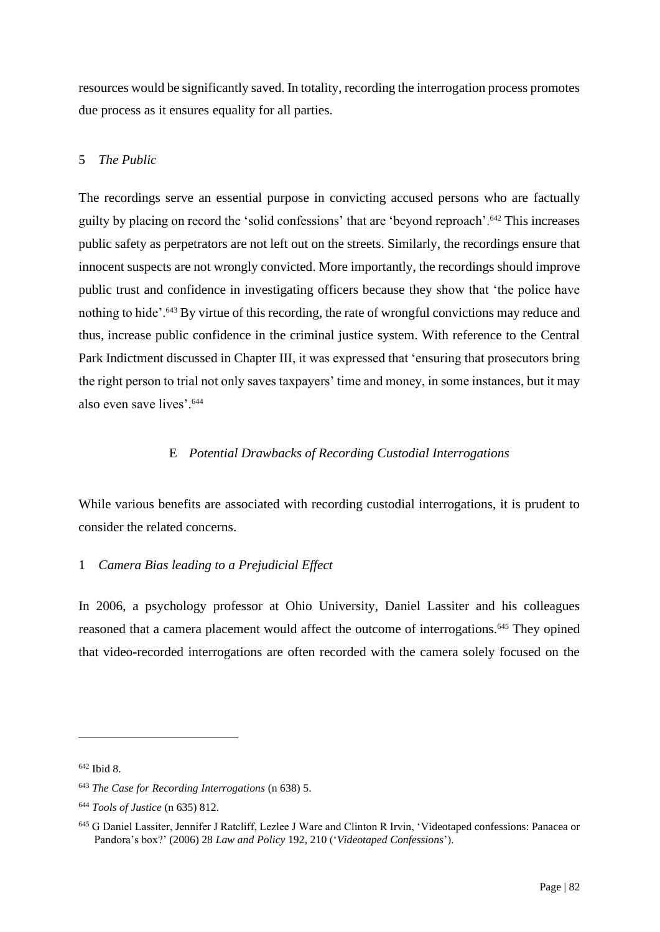resources would be significantly saved. In totality, recording the interrogation process promotes due process as it ensures equality for all parties.

# 5 *The Public*

The recordings serve an essential purpose in convicting accused persons who are factually guilty by placing on record the 'solid confessions' that are 'beyond reproach'.<sup>642</sup> This increases public safety as perpetrators are not left out on the streets. Similarly, the recordings ensure that innocent suspects are not wrongly convicted. More importantly, the recordings should improve public trust and confidence in investigating officers because they show that 'the police have nothing to hide'.<sup>643</sup> By virtue of this recording, the rate of wrongful convictions may reduce and thus, increase public confidence in the criminal justice system. With reference to the Central Park Indictment discussed in Chapter III, it was expressed that 'ensuring that prosecutors bring the right person to trial not only saves taxpayers' time and money, in some instances, but it may also even save lives'.<sup>644</sup>

# E *Potential Drawbacks of Recording Custodial Interrogations*

While various benefits are associated with recording custodial interrogations, it is prudent to consider the related concerns.

### 1 *Camera Bias leading to a Prejudicial Effect*

In 2006, a psychology professor at Ohio University, Daniel Lassiter and his colleagues reasoned that a camera placement would affect the outcome of interrogations.<sup>645</sup> They opined that video-recorded interrogations are often recorded with the camera solely focused on the

<sup>642</sup> Ibid 8.

<sup>643</sup> *The Case for Recording Interrogations* (n 638) 5.

<sup>644</sup> *Tools of Justice* (n 635) 812.

<sup>645</sup> G Daniel Lassiter, Jennifer J Ratcliff, Lezlee J Ware and Clinton R Irvin, 'Videotaped confessions: Panacea or Pandora's box?' (2006) 28 *Law and Policy* 192, 210 ('*Videotaped Confessions*').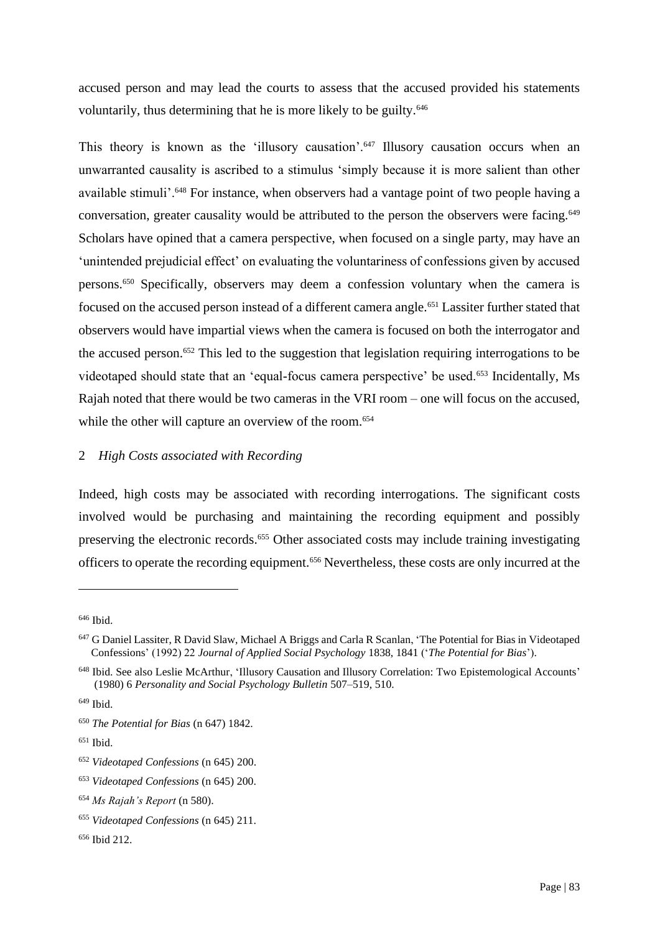accused person and may lead the courts to assess that the accused provided his statements voluntarily, thus determining that he is more likely to be guilty.<sup>646</sup>

This theory is known as the 'illusory causation'.<sup>647</sup> Illusory causation occurs when an unwarranted causality is ascribed to a stimulus 'simply because it is more salient than other available stimuli'.<sup>648</sup> For instance, when observers had a vantage point of two people having a conversation, greater causality would be attributed to the person the observers were facing.<sup>649</sup> Scholars have opined that a camera perspective, when focused on a single party, may have an 'unintended prejudicial effect' on evaluating the voluntariness of confessions given by accused persons.<sup>650</sup> Specifically, observers may deem a confession voluntary when the camera is focused on the accused person instead of a different camera angle.<sup>651</sup> Lassiter further stated that observers would have impartial views when the camera is focused on both the interrogator and the accused person.<sup>652</sup> This led to the suggestion that legislation requiring interrogations to be videotaped should state that an 'equal-focus camera perspective' be used.<sup>653</sup> Incidentally, Ms Rajah noted that there would be two cameras in the VRI room – one will focus on the accused, while the other will capture an overview of the room.<sup>654</sup>

# 2 *High Costs associated with Recording*

Indeed, high costs may be associated with recording interrogations. The significant costs involved would be purchasing and maintaining the recording equipment and possibly preserving the electronic records.<sup>655</sup> Other associated costs may include training investigating officers to operate the recording equipment.<sup>656</sup> Nevertheless, these costs are only incurred at the

<sup>646</sup> Ibid.

<sup>&</sup>lt;sup>647</sup> G Daniel Lassiter, R David Slaw, Michael A Briggs and Carla R Scanlan, 'The Potential for Bias in Videotaped Confessions' (1992) 22 *Journal of Applied Social Psychology* 1838, 1841 ('*The Potential for Bias*').

<sup>648</sup> Ibid. See also Leslie McArthur, 'Illusory Causation and Illusory Correlation: Two Epistemological Accounts' (1980) 6 *Personality and Social Psychology Bulletin* 507–519, 510.

 $649$  Ibid.

<sup>650</sup> *The Potential for Bias* (n 647) 1842.

<sup>651</sup> Ibid.

<sup>652</sup> *Videotaped Confessions* (n 645) 200.

<sup>653</sup> *Videotaped Confessions* (n 645) 200.

<sup>654</sup> *Ms Rajah's Report* (n 580).

<sup>655</sup> *Videotaped Confessions* (n 645) 211.

<sup>656</sup> Ibid 212.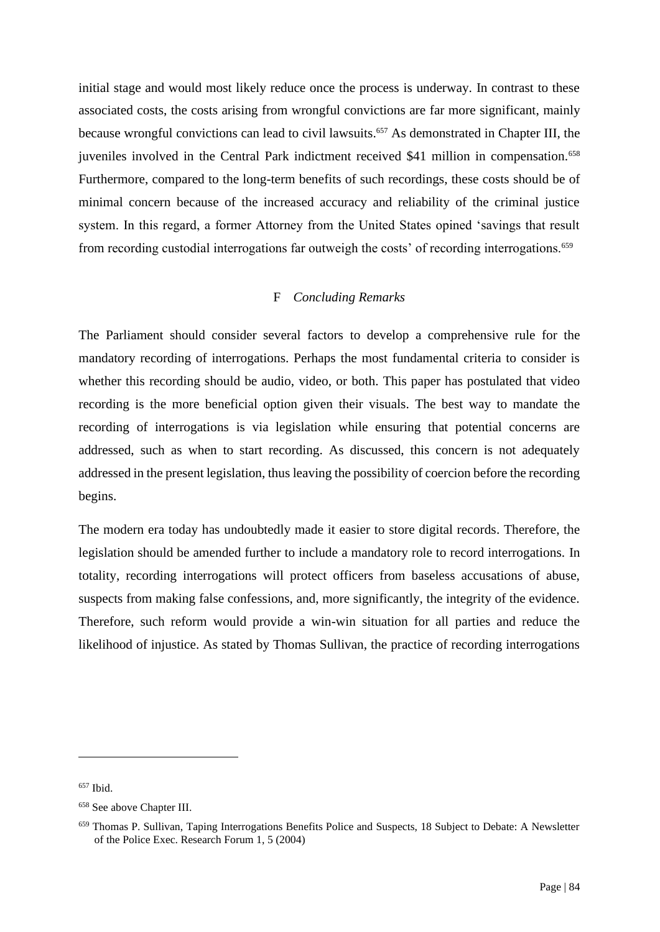initial stage and would most likely reduce once the process is underway. In contrast to these associated costs, the costs arising from wrongful convictions are far more significant, mainly because wrongful convictions can lead to civil lawsuits.<sup>657</sup> As demonstrated in Chapter III, the juveniles involved in the Central Park indictment received \$41 million in compensation.<sup>658</sup> Furthermore, compared to the long-term benefits of such recordings, these costs should be of minimal concern because of the increased accuracy and reliability of the criminal justice system. In this regard, a former Attorney from the United States opined 'savings that result from recording custodial interrogations far outweigh the costs' of recording interrogations.<sup>659</sup>

#### F *Concluding Remarks*

The Parliament should consider several factors to develop a comprehensive rule for the mandatory recording of interrogations. Perhaps the most fundamental criteria to consider is whether this recording should be audio, video, or both. This paper has postulated that video recording is the more beneficial option given their visuals. The best way to mandate the recording of interrogations is via legislation while ensuring that potential concerns are addressed, such as when to start recording. As discussed, this concern is not adequately addressed in the present legislation, thus leaving the possibility of coercion before the recording begins.

The modern era today has undoubtedly made it easier to store digital records. Therefore, the legislation should be amended further to include a mandatory role to record interrogations. In totality, recording interrogations will protect officers from baseless accusations of abuse, suspects from making false confessions, and, more significantly, the integrity of the evidence. Therefore, such reform would provide a win-win situation for all parties and reduce the likelihood of injustice. As stated by Thomas Sullivan, the practice of recording interrogations

<sup>&</sup>lt;sup>657</sup> Ibid.

<sup>658</sup> See above Chapter III.

<sup>659</sup> Thomas P. Sullivan, Taping Interrogations Benefits Police and Suspects, 18 Subject to Debate: A Newsletter of the Police Exec. Research Forum 1, 5 (2004)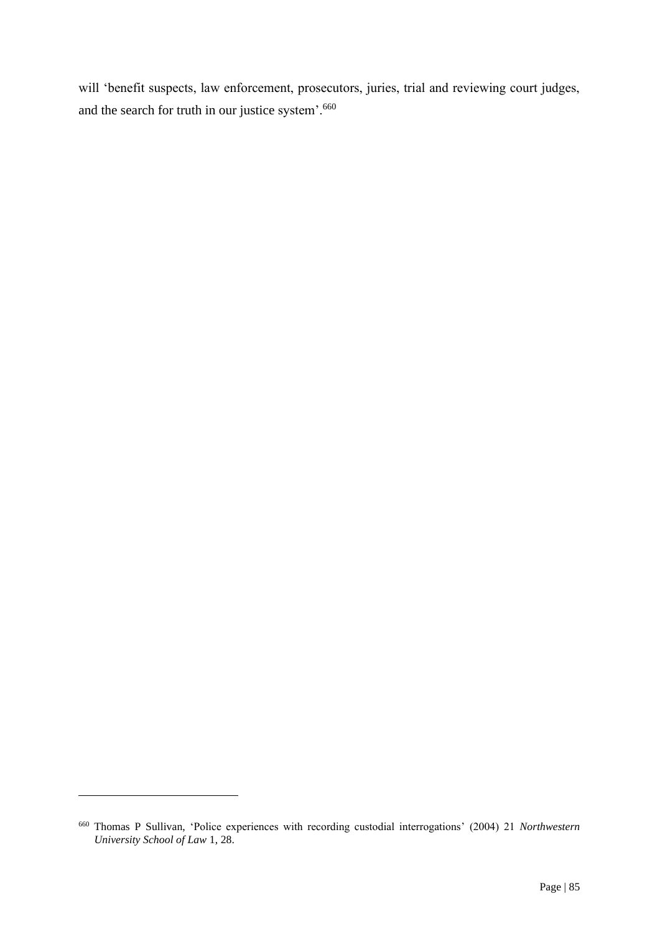will 'benefit suspects, law enforcement, prosecutors, juries, trial and reviewing court judges, and the search for truth in our justice system'.<sup>660</sup>

<sup>660</sup> Thomas P Sullivan, 'Police experiences with recording custodial interrogations' (2004) 21 *Northwestern University School of Law* 1, 28.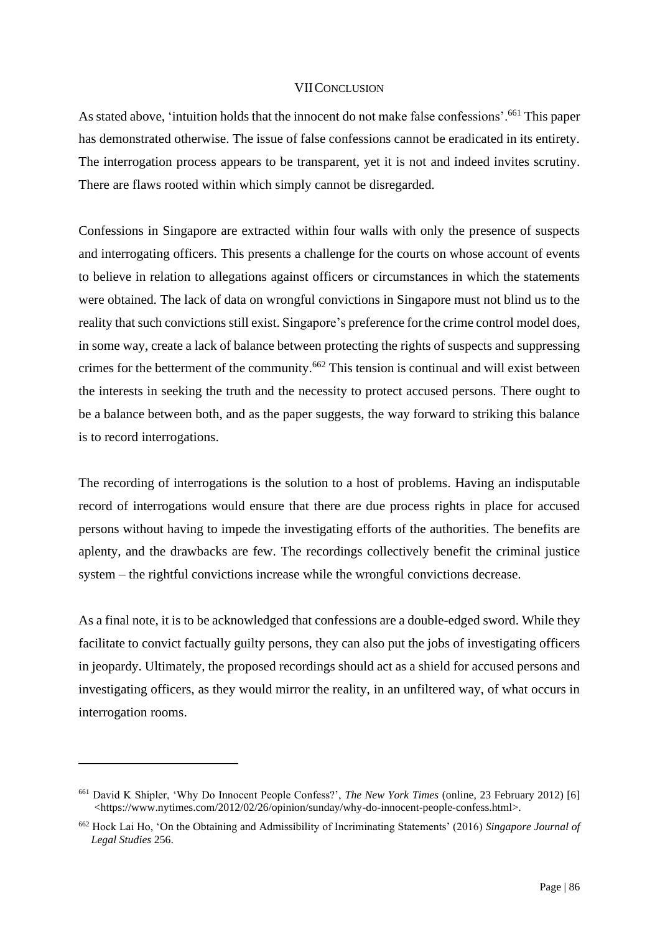#### VIICONCLUSION

As stated above, 'intuition holds that the innocent do not make false confessions'.<sup>661</sup> This paper has demonstrated otherwise. The issue of false confessions cannot be eradicated in its entirety. The interrogation process appears to be transparent, yet it is not and indeed invites scrutiny. There are flaws rooted within which simply cannot be disregarded.

Confessions in Singapore are extracted within four walls with only the presence of suspects and interrogating officers. This presents a challenge for the courts on whose account of events to believe in relation to allegations against officers or circumstances in which the statements were obtained. The lack of data on wrongful convictions in Singapore must not blind us to the reality that such convictions still exist. Singapore's preference forthe crime control model does, in some way, create a lack of balance between protecting the rights of suspects and suppressing crimes for the betterment of the community.<sup>662</sup> This tension is continual and will exist between the interests in seeking the truth and the necessity to protect accused persons. There ought to be a balance between both, and as the paper suggests, the way forward to striking this balance is to record interrogations.

The recording of interrogations is the solution to a host of problems. Having an indisputable record of interrogations would ensure that there are due process rights in place for accused persons without having to impede the investigating efforts of the authorities. The benefits are aplenty, and the drawbacks are few. The recordings collectively benefit the criminal justice system – the rightful convictions increase while the wrongful convictions decrease.

As a final note, it is to be acknowledged that confessions are a double-edged sword. While they facilitate to convict factually guilty persons, they can also put the jobs of investigating officers in jeopardy. Ultimately, the proposed recordings should act as a shield for accused persons and investigating officers, as they would mirror the reality, in an unfiltered way, of what occurs in interrogation rooms.

<sup>661</sup> David K Shipler, 'Why Do Innocent People Confess?', *The New York Times* (online, 23 February 2012) [6] <https://www.nytimes.com/2012/02/26/opinion/sunday/why-do-innocent-people-confess.html>.

<sup>662</sup> Hock Lai Ho, 'On the Obtaining and Admissibility of Incriminating Statements' (2016) *Singapore Journal of Legal Studies* 256.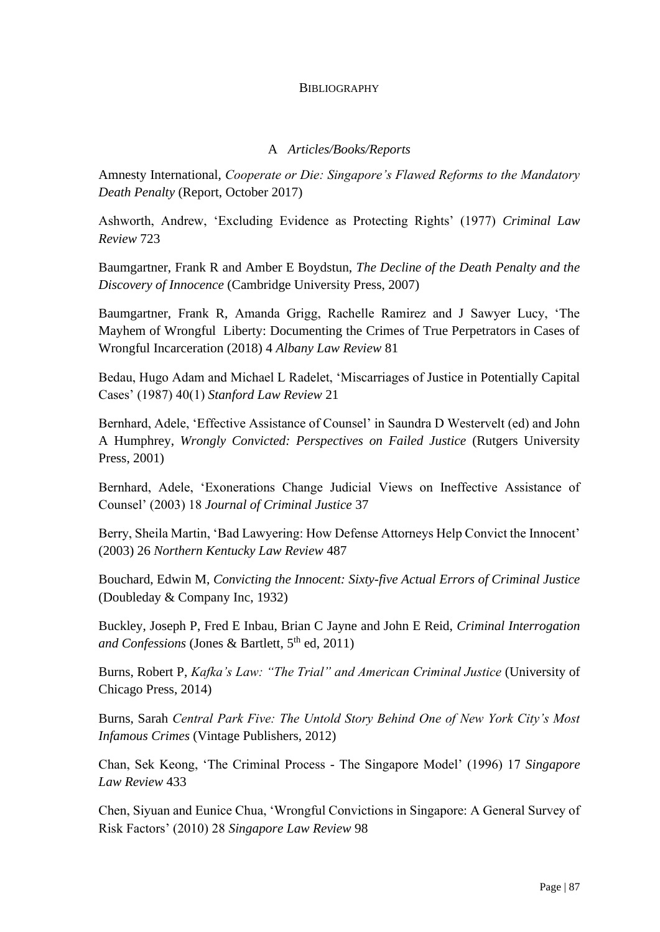### **BIBLIOGRAPHY**

### A *Articles/Books/Reports*

Amnesty International, *Cooperate or Die: Singapore's Flawed Reforms to the Mandatory Death Penalty* (Report, October 2017)

Ashworth, Andrew, 'Excluding Evidence as Protecting Rights' (1977) *Criminal Law Review* 723

Baumgartner, Frank R and Amber E Boydstun, *The Decline of the Death Penalty and the Discovery of Innocence* (Cambridge University Press, 2007)

Baumgartner, Frank R, Amanda Grigg, Rachelle Ramirez and J Sawyer Lucy, 'The Mayhem of Wrongful Liberty: Documenting the Crimes of True Perpetrators in Cases of Wrongful Incarceration (2018) 4 *Albany Law Review* 81

Bedau, Hugo Adam and Michael L Radelet, 'Miscarriages of Justice in Potentially Capital Cases' (1987) 40(1) *Stanford Law Review* 21

Bernhard, Adele, 'Effective Assistance of Counsel' in Saundra D Westervelt (ed) and John A Humphrey, *Wrongly Convicted: Perspectives on Failed Justice* (Rutgers University Press, 2001)

Bernhard, Adele, 'Exonerations Change Judicial Views on Ineffective Assistance of Counsel' (2003) 18 *Journal of Criminal Justice* 37

Berry, Sheila Martin, 'Bad Lawyering: How Defense Attorneys Help Convict the Innocent' (2003) 26 *Northern Kentucky Law Review* 487

Bouchard, Edwin M, *Convicting the Innocent: Sixty-five Actual Errors of Criminal Justice* (Doubleday & Company Inc, 1932)

Buckley, Joseph P, Fred E Inbau, Brian C Jayne and John E Reid, *Criminal Interrogation and Confessions* (Jones & Bartlett, 5<sup>th</sup> ed, 2011)

Burns, Robert P, *Kafka's Law: "The Trial" and American Criminal Justice* (University of Chicago Press, 2014)

Burns, Sarah *Central Park Five: The Untold Story Behind One of New York City's Most Infamous Crimes* (Vintage Publishers, 2012)

Chan, Sek Keong, 'The Criminal Process - The Singapore Model' (1996) 17 *Singapore Law Review* 433

Chen, Siyuan and Eunice Chua, 'Wrongful Convictions in Singapore: A General Survey of Risk Factors' (2010) 28 *Singapore Law Review* 98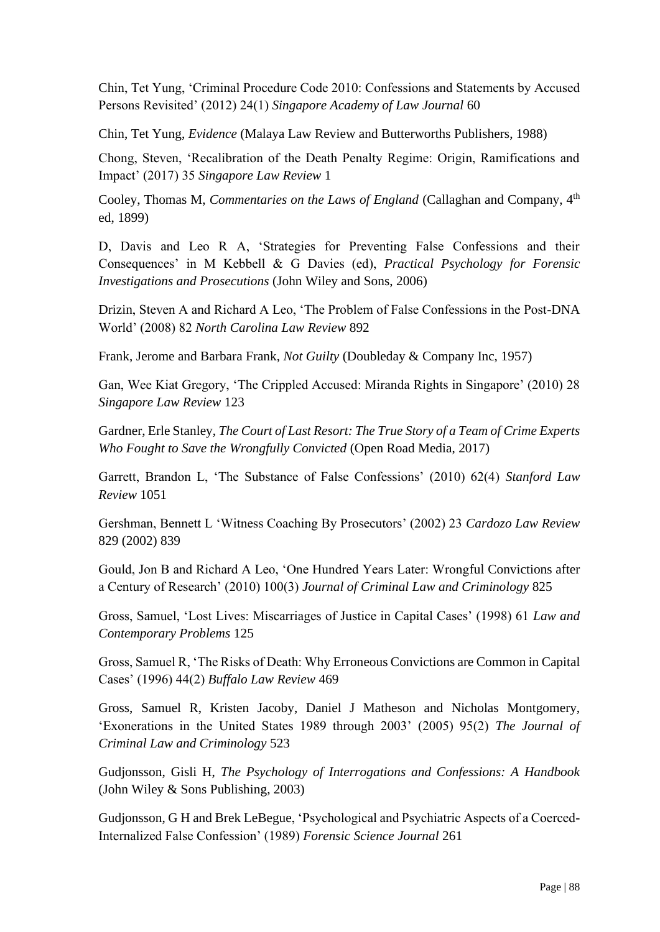Chin, Tet Yung, 'Criminal Procedure Code 2010: Confessions and Statements by Accused Persons Revisited' (2012) 24(1) *Singapore Academy of Law Journal* 60

Chin, Tet Yung, *Evidence* (Malaya Law Review and Butterworths Publishers, 1988)

Chong, Steven, 'Recalibration of the Death Penalty Regime: Origin, Ramifications and Impact' (2017) 35 *Singapore Law Review* 1

Cooley, Thomas M, *Commentaries on the Laws of England* (Callaghan and Company, 4<sup>th</sup> ed, 1899)

D, Davis and Leo R A, 'Strategies for Preventing False Confessions and their Consequences' in M Kebbell & G Davies (ed), *Practical Psychology for Forensic Investigations and Prosecutions* (John Wiley and Sons, 2006)

Drizin, Steven A and Richard A Leo, 'The Problem of False Confessions in the Post-DNA World' (2008) 82 *North Carolina Law Review* 892

Frank, Jerome and Barbara Frank, *Not Guilty* (Doubleday & Company Inc, 1957)

Gan, Wee Kiat Gregory, 'The Crippled Accused: Miranda Rights in Singapore' (2010) 28 *Singapore Law Review* 123

Gardner, Erle Stanley, *The Court of Last Resort: The True Story of a Team of Crime Experts Who Fought to Save the Wrongfully Convicted* (Open Road Media, 2017)

Garrett, Brandon L, 'The Substance of False Confessions' (2010) 62(4) *Stanford Law Review* 1051

Gershman, Bennett L 'Witness Coaching By Prosecutors' (2002) 23 *Cardozo Law Review* 829 (2002) 839

Gould, Jon B and Richard A Leo, 'One Hundred Years Later: Wrongful Convictions after a Century of Research' (2010) 100(3) *Journal of Criminal Law and Criminology* 825

Gross, Samuel, 'Lost Lives: Miscarriages of Justice in Capital Cases' (1998) 61 *Law and Contemporary Problems* 125

Gross, Samuel R, 'The Risks of Death: Why Erroneous Convictions are Common in Capital Cases' (1996) 44(2) *Buffalo Law Review* 469

Gross, Samuel R, Kristen Jacoby, Daniel J Matheson and Nicholas Montgomery, 'Exonerations in the United States 1989 through 2003' (2005) 95(2) *The Journal of Criminal Law and Criminology* 523

Gudjonsson, Gisli H, *The Psychology of Interrogations and Confessions: A Handbook* (John Wiley & Sons Publishing, 2003)

Gudjonsson, G H and Brek LeBegue, 'Psychological and Psychiatric Aspects of a Coerced-Internalized False Confession' (1989) *Forensic Science Journal* 261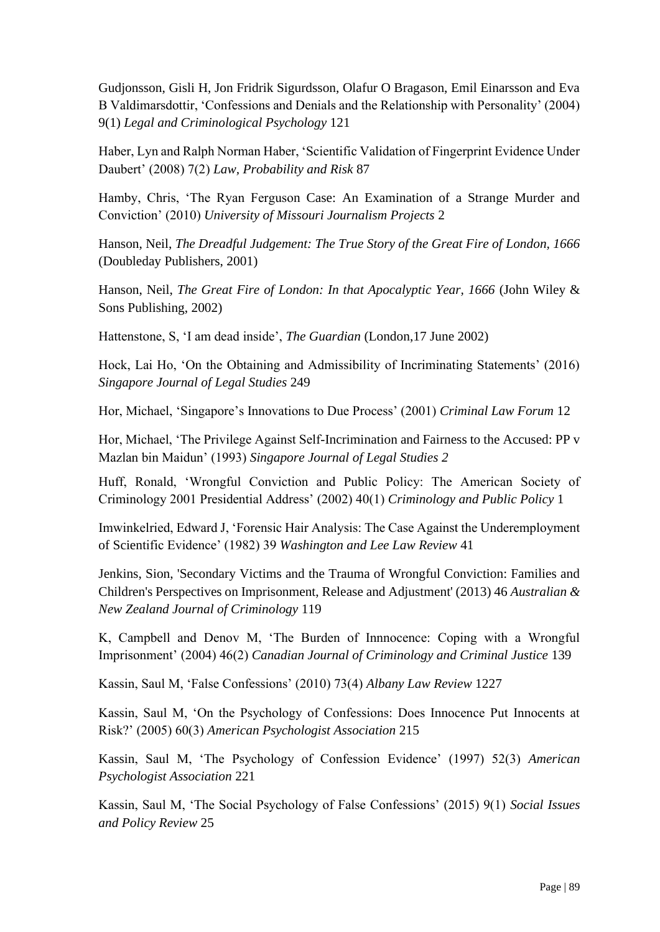Gudjonsson, Gisli H, Jon Fridrik Sigurdsson, Olafur O Bragason, Emil Einarsson and Eva B Valdimarsdottir, 'Confessions and Denials and the Relationship with Personality' (2004) 9(1) *Legal and Criminological Psychology* 121

Haber, Lyn and Ralph Norman Haber, 'Scientific Validation of Fingerprint Evidence Under Daubert' (2008) 7(2) *Law, Probability and Risk* 87

Hamby, Chris, 'The Ryan Ferguson Case: An Examination of a Strange Murder and Conviction' (2010) *University of Missouri Journalism Projects* 2

Hanson, Neil, *The Dreadful Judgement: The True Story of the Great Fire of London, 1666* (Doubleday Publishers, 2001)

Hanson, Neil, *The Great Fire of London: In that Apocalyptic Year, 1666* (John Wiley & Sons Publishing, 2002)

Hattenstone, S, 'I am dead inside', *The Guardian* (London,17 June 2002)

Hock, Lai Ho, 'On the Obtaining and Admissibility of Incriminating Statements' (2016) *Singapore Journal of Legal Studies* 249

Hor, Michael, 'Singapore's Innovations to Due Process' (2001) *Criminal Law Forum* 12

Hor, Michael, 'The Privilege Against Self-Incrimination and Fairness to the Accused: PP v Mazlan bin Maidun' (1993) *Singapore Journal of Legal Studies 2*

Huff, Ronald, 'Wrongful Conviction and Public Policy: The American Society of Criminology 2001 Presidential Address' (2002) 40(1) *Criminology and Public Policy* 1

Imwinkelried, Edward J, 'Forensic Hair Analysis: The Case Against the Underemployment of Scientific Evidence' (1982) 39 *Washington and Lee Law Review* 41

Jenkins, Sion, 'Secondary Victims and the Trauma of Wrongful Conviction: Families and Children's Perspectives on Imprisonment, Release and Adjustment' (2013) 46 *Australian & New Zealand Journal of Criminology* 119

K, Campbell and Denov M, 'The Burden of Innnocence: Coping with a Wrongful Imprisonment' (2004) 46(2) *Canadian Journal of Criminology and Criminal Justice* 139

Kassin, Saul M, 'False Confessions' (2010) 73(4) *Albany Law Review* 1227

Kassin, Saul M, 'On the Psychology of Confessions: Does Innocence Put Innocents at Risk?' (2005) 60(3) *American Psychologist Association* 215

Kassin, Saul M, 'The Psychology of Confession Evidence' (1997) 52(3) *American Psychologist Association* 221

Kassin, Saul M, 'The Social Psychology of False Confessions' (2015) 9(1) *Social Issues and Policy Review* 25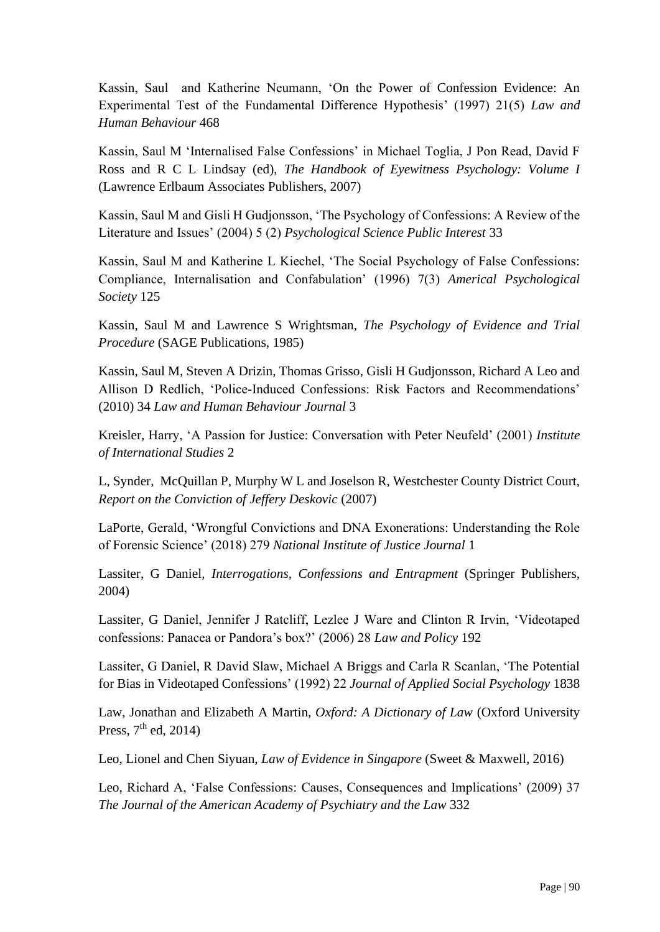Kassin, Saul and Katherine Neumann, 'On the Power of Confession Evidence: An Experimental Test of the Fundamental Difference Hypothesis' (1997) 21(5) *Law and Human Behaviour* 468

Kassin, Saul M 'Internalised False Confessions' in Michael Toglia, J Pon Read, David F Ross and R C L Lindsay (ed), *The Handbook of Eyewitness Psychology: Volume I* (Lawrence Erlbaum Associates Publishers, 2007)

Kassin, Saul M and Gisli H Gudjonsson, 'The Psychology of Confessions: A Review of the Literature and Issues' (2004) 5 (2) *Psychological Science Public Interest* 33

Kassin, Saul M and Katherine L Kiechel, 'The Social Psychology of False Confessions: Compliance, Internalisation and Confabulation' (1996) 7(3) *Americal Psychological Society* 125

Kassin, Saul M and Lawrence S Wrightsman, *The Psychology of Evidence and Trial Procedure* (SAGE Publications, 1985)

Kassin, Saul M, Steven A Drizin, Thomas Grisso, Gisli H Gudjonsson, Richard A Leo and Allison D Redlich, 'Police-Induced Confessions: Risk Factors and Recommendations' (2010) 34 *Law and Human Behaviour Journal* 3

Kreisler, Harry, 'A Passion for Justice: Conversation with Peter Neufeld' (2001) *Institute of International Studies* 2

L, Synder, McQuillan P, Murphy W L and Joselson R, Westchester County District Court, *Report on the Conviction of Jeffery Deskovic* (2007)

LaPorte, Gerald, 'Wrongful Convictions and DNA Exonerations: Understanding the Role of Forensic Science' (2018) 279 *National Institute of Justice Journal* 1

Lassiter, G Daniel, *Interrogations, Confessions and Entrapment* (Springer Publishers, 2004)

Lassiter, G Daniel, Jennifer J Ratcliff, Lezlee J Ware and Clinton R Irvin, 'Videotaped confessions: Panacea or Pandora's box?' (2006) 28 *Law and Policy* 192

Lassiter, G Daniel, R David Slaw, Michael A Briggs and Carla R Scanlan, 'The Potential for Bias in Videotaped Confessions' (1992) 22 *Journal of Applied Social Psychology* 1838

Law, Jonathan and Elizabeth A Martin, *Oxford: A Dictionary of Law* (Oxford University Press,  $7<sup>th</sup>$  ed, 2014)

Leo, Lionel and Chen Siyuan, *Law of Evidence in Singapore* (Sweet & Maxwell, 2016)

Leo, Richard A, 'False Confessions: Causes, Consequences and Implications' (2009) 37 *The Journal of the American Academy of Psychiatry and the Law* 332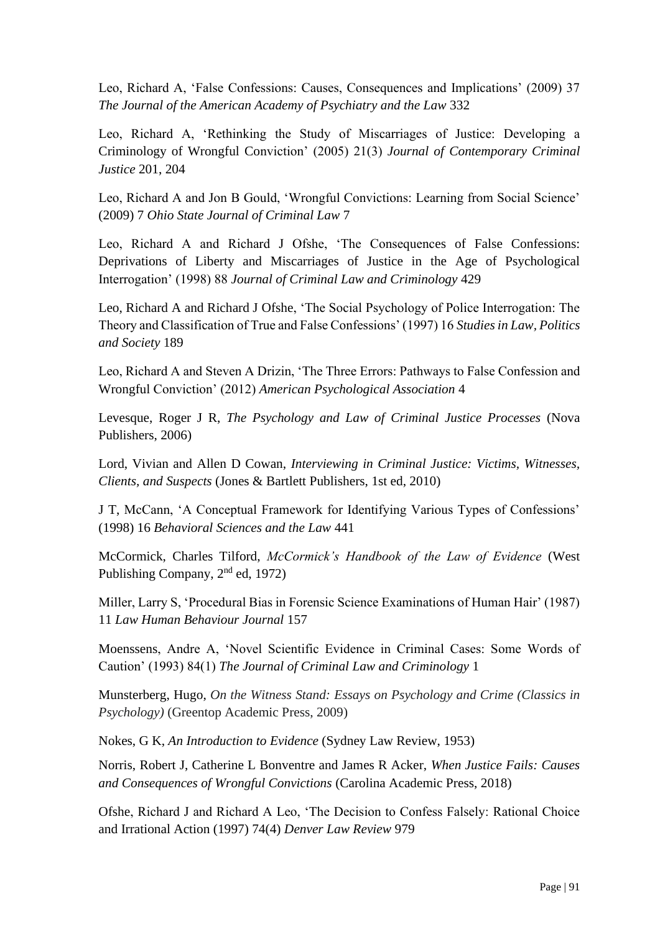Leo, Richard A, 'False Confessions: Causes, Consequences and Implications' (2009) 37 *The Journal of the American Academy of Psychiatry and the Law* 332

Leo, Richard A, 'Rethinking the Study of Miscarriages of Justice: Developing a Criminology of Wrongful Conviction' (2005) 21(3) *Journal of Contemporary Criminal Justice* 201, 204

Leo, Richard A and Jon B Gould, 'Wrongful Convictions: Learning from Social Science' (2009) 7 *Ohio State Journal of Criminal Law* 7

Leo, Richard A and Richard J Ofshe, 'The Consequences of False Confessions: Deprivations of Liberty and Miscarriages of Justice in the Age of Psychological Interrogation' (1998) 88 *Journal of Criminal Law and Criminology* 429

Leo, Richard A and Richard J Ofshe, 'The Social Psychology of Police Interrogation: The Theory and Classification of True and False Confessions' (1997) 16 *Studies in Law, Politics and Society* 189

Leo, Richard A and Steven A Drizin, 'The Three Errors: Pathways to False Confession and Wrongful Conviction' (2012) *American Psychological Association* 4

Levesque, Roger J R, *The Psychology and Law of Criminal Justice Processes* (Nova Publishers, 2006)

Lord, Vivian and Allen D Cowan, *Interviewing in Criminal Justice: Victims, Witnesses, Clients, and Suspects* (Jones & Bartlett Publishers, 1st ed, 2010)

J T, McCann, 'A Conceptual Framework for Identifying Various Types of Confessions' (1998) 16 *Behavioral Sciences and the Law* 441

McCormick, Charles Tilford, *McCormick's Handbook of the Law of Evidence* (West Publishing Company, 2nd ed, 1972)

Miller, Larry S, 'Procedural Bias in Forensic Science Examinations of Human Hair' (1987) 11 *Law Human Behaviour Journal* 157

Moenssens, Andre A, 'Novel Scientific Evidence in Criminal Cases: Some Words of Caution' (1993) 84(1) *The Journal of Criminal Law and Criminology* 1

Munsterberg, Hugo, *On the Witness Stand: Essays on Psychology and Crime (Classics in Psychology)* (Greentop Academic Press, 2009)

Nokes, G K, *An Introduction to Evidence* (Sydney Law Review, 1953)

Norris, Robert J, Catherine L Bonventre and James R Acker, *When Justice Fails: Causes and Consequences of Wrongful Convictions* (Carolina Academic Press, 2018)

Ofshe, Richard J and Richard A Leo, 'The Decision to Confess Falsely: Rational Choice and Irrational Action (1997) 74(4) *Denver Law Review* 979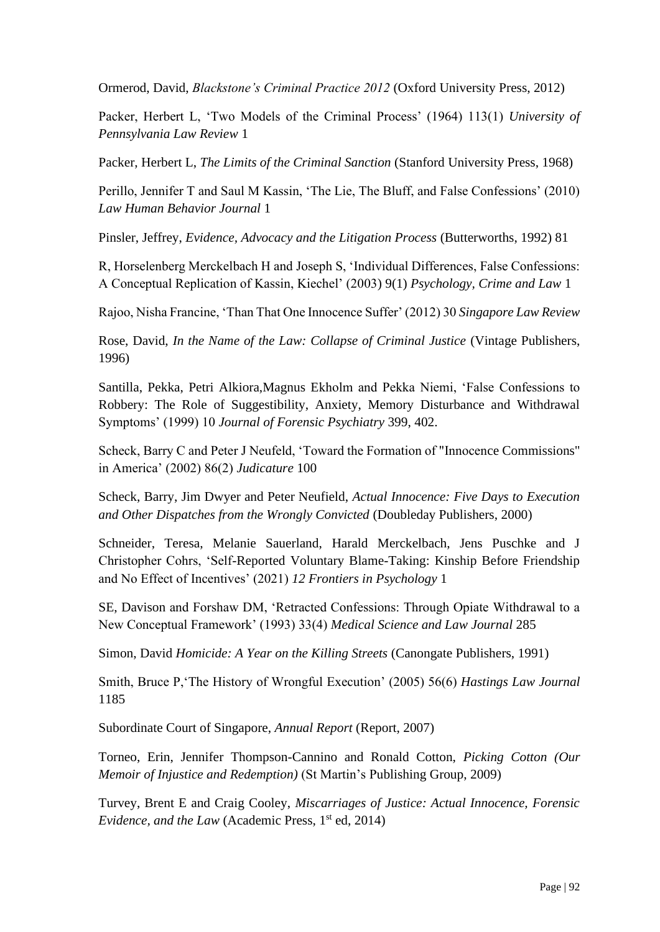Ormerod, David, *Blackstone's Criminal Practice 2012* (Oxford University Press, 2012)

Packer, Herbert L, 'Two Models of the Criminal Process' (1964) 113(1) *University of Pennsylvania Law Review* 1

Packer, Herbert L, *The Limits of the Criminal Sanction* (Stanford University Press, 1968)

Perillo, Jennifer T and Saul M Kassin, 'The Lie, The Bluff, and False Confessions' (2010) *Law Human Behavior Journal* 1

Pinsler, Jeffrey, *Evidence, Advocacy and the Litigation Process* (Butterworths, 1992) 81

R, Horselenberg Merckelbach H and Joseph S, 'Individual Differences, False Confessions: A Conceptual Replication of Kassin, Kiechel' (2003) 9(1) *Psychology, Crime and Law* 1

Rajoo, Nisha Francine, 'Than That One Innocence Suffer' (2012) 30 *Singapore Law Review*

Rose, David, *In the Name of the Law: Collapse of Criminal Justice* (Vintage Publishers, 1996)

Santilla, Pekka, Petri Alkiora,Magnus Ekholm and Pekka Niemi, 'False Confessions to Robbery: The Role of Suggestibility, Anxiety, Memory Disturbance and Withdrawal Symptoms' (1999) 10 *Journal of Forensic Psychiatry* 399, 402.

Scheck, Barry C and Peter J Neufeld, 'Toward the Formation of "Innocence Commissions" in America' (2002) 86(2) *Judicature* 100

Scheck, Barry, Jim Dwyer and Peter Neufield, *Actual Innocence: Five Days to Execution and Other Dispatches from the Wrongly Convicted* (Doubleday Publishers, 2000)

Schneider, Teresa, Melanie Sauerland, Harald Merckelbach, Jens Puschke and J Christopher Cohrs, 'Self-Reported Voluntary Blame-Taking: Kinship Before Friendship and No Effect of Incentives' (2021) *12 Frontiers in Psychology* 1

SE, Davison and Forshaw DM, 'Retracted Confessions: Through Opiate Withdrawal to a New Conceptual Framework' (1993) 33(4) *Medical Science and Law Journal* 285

Simon, David *Homicide: A Year on the Killing Streets* (Canongate Publishers, 1991)

Smith, Bruce P,'The History of Wrongful Execution' (2005) 56(6) *Hastings Law Journal* 1185

Subordinate Court of Singapore, *Annual Report* (Report, 2007)

Torneo, Erin, Jennifer Thompson-Cannino and Ronald Cotton, *Picking Cotton (Our Memoir of Injustice and Redemption)* (St Martin's Publishing Group, 2009)

Turvey, Brent E and Craig Cooley, *Miscarriages of Justice: Actual Innocence, Forensic Evidence, and the Law* (Academic Press, 1<sup>st</sup> ed, 2014)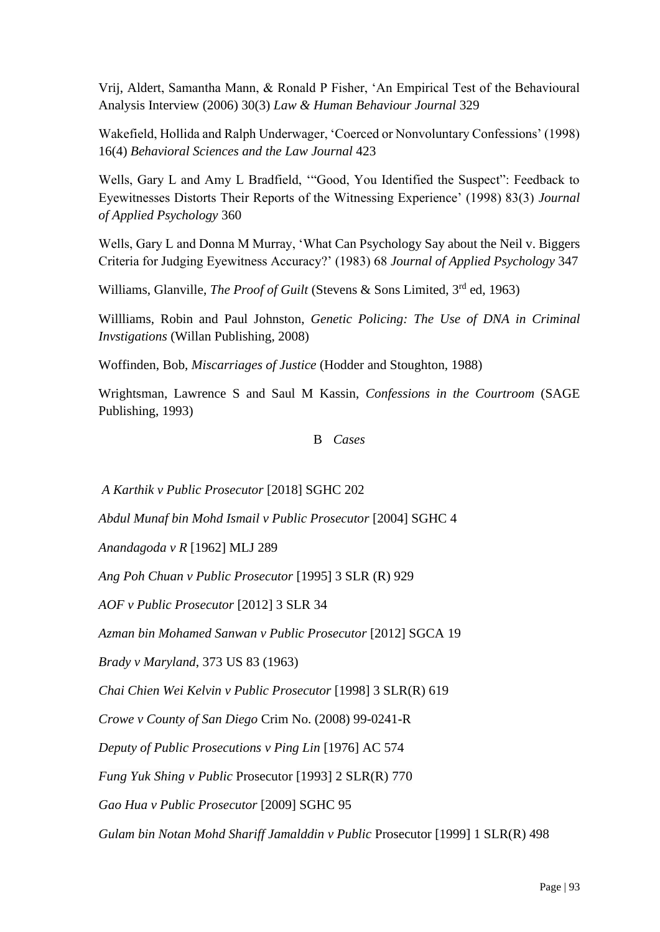Vrij, Aldert, Samantha Mann, & Ronald P Fisher, 'An Empirical Test of the Behavioural Analysis Interview (2006) 30(3) *Law & Human Behaviour Journal* 329

Wakefield, Hollida and Ralph Underwager, 'Coerced or Nonvoluntary Confessions' (1998) 16(4) *Behavioral Sciences and the Law Journal* 423

Wells, Gary L and Amy L Bradfield, '"Good, You Identified the Suspect": Feedback to Eyewitnesses Distorts Their Reports of the Witnessing Experience' (1998) 83(3) *Journal of Applied Psychology* 360

Wells, Gary L and Donna M Murray, 'What Can Psychology Say about the Neil v. Biggers Criteria for Judging Eyewitness Accuracy?' (1983) 68 *Journal of Applied Psychology* 347

Williams, Glanville, *The Proof of Guilt* (Stevens & Sons Limited, 3<sup>rd</sup> ed, 1963)

Willliams, Robin and Paul Johnston, *Genetic Policing: The Use of DNA in Criminal Invstigations* (Willan Publishing, 2008)

Woffinden, Bob, *Miscarriages of Justice* (Hodder and Stoughton, 1988)

Wrightsman, Lawrence S and Saul M Kassin, *Confessions in the Courtroom* (SAGE Publishing, 1993)

#### B *Cases*

*A Karthik v Public Prosecutor* [2018] SGHC 202

*Abdul Munaf bin Mohd Ismail v Public Prosecutor* [2004] SGHC 4

*Anandagoda v R* [1962] MLJ 289

*Ang Poh Chuan v Public Prosecutor* [1995] 3 SLR (R) 929

*AOF v Public Prosecutor* [2012] 3 SLR 34

*Azman bin Mohamed Sanwan v Public Prosecutor* [2012] SGCA 19

*Brady v Maryland*, 373 US 83 (1963)

*Chai Chien Wei Kelvin v Public Prosecutor* [1998] 3 SLR(R) 619

*Crowe v County of San Diego* Crim No. (2008) 99-0241-R

*Deputy of Public Prosecutions v Ping Lin* [1976] AC 574

*Fung Yuk Shing v Public* Prosecutor [1993] 2 SLR(R) 770

*Gao Hua v Public Prosecutor* [2009] SGHC 95

*Gulam bin Notan Mohd Shariff Jamalddin v Public* Prosecutor [1999] 1 SLR(R) 498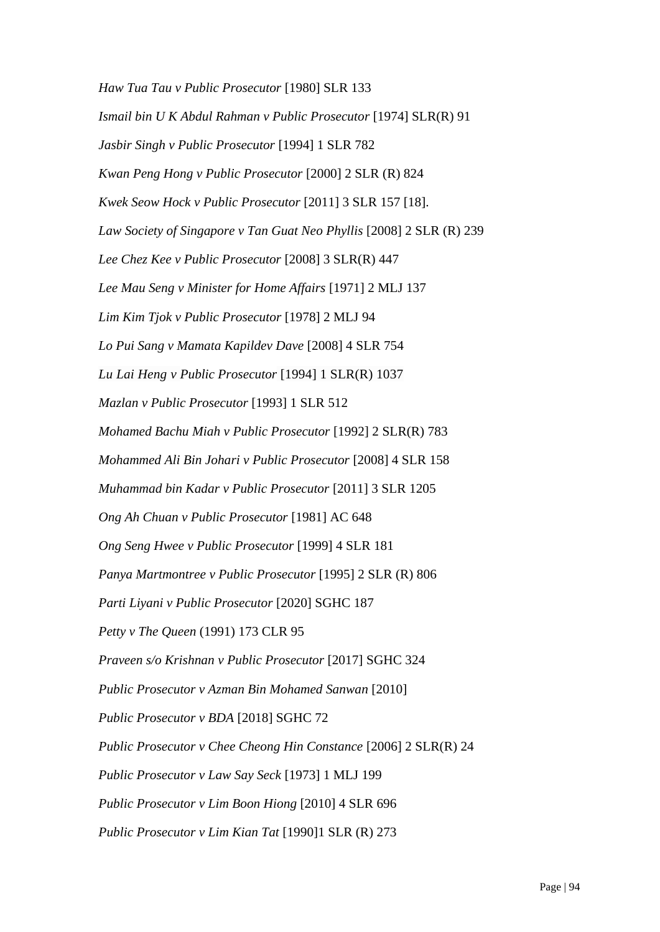*Haw Tua Tau v Public Prosecutor* [1980] SLR 133 *Ismail bin U K Abdul Rahman v Public Prosecutor* [1974] SLR(R) 91 *Jasbir Singh v Public Prosecutor* [1994] 1 SLR 782 *Kwan Peng Hong v Public Prosecutor* [2000] 2 SLR (R) 824 *Kwek Seow Hock v Public Prosecutor* [2011] 3 SLR 157 [18]. *Law Society of Singapore v Tan Guat Neo Phyllis* [2008] 2 SLR (R) 239 *Lee Chez Kee v Public Prosecutor* [2008] 3 SLR(R) 447 *Lee Mau Seng v Minister for Home Affairs* [1971] 2 MLJ 137 *Lim Kim Tjok v Public Prosecutor* [1978] 2 MLJ 94 *Lo Pui Sang v Mamata Kapildev Dave* [2008] 4 SLR 754 *Lu Lai Heng v Public Prosecutor* [1994] 1 SLR(R) 1037 *Mazlan v Public Prosecutor* [1993] 1 SLR 512 *Mohamed Bachu Miah v Public Prosecutor* [1992] 2 SLR(R) 783 *Mohammed Ali Bin Johari v Public Prosecutor* [2008] 4 SLR 158 *Muhammad bin Kadar v Public Prosecutor* [2011] 3 SLR 1205 *Ong Ah Chuan v Public Prosecutor* [1981] AC 648 *Ong Seng Hwee v Public Prosecutor* [1999] 4 SLR 181 *Panya Martmontree v Public Prosecutor* [1995] 2 SLR (R) 806 *Parti Liyani v Public Prosecutor* [2020] SGHC 187 *Petty v The Queen* (1991) 173 CLR 95 *Praveen s/o Krishnan v Public Prosecutor* [2017] SGHC 324 *Public Prosecutor v Azman Bin Mohamed Sanwan* [2010] *Public Prosecutor v BDA* [2018] SGHC 72 *Public Prosecutor v Chee Cheong Hin Constance* [2006] 2 SLR(R) 24 *Public Prosecutor v Law Say Seck* [1973] 1 MLJ 199 *Public Prosecutor v Lim Boon Hiong* [2010] 4 SLR 696 *Public Prosecutor v Lim Kian Tat* [1990]1 SLR (R) 273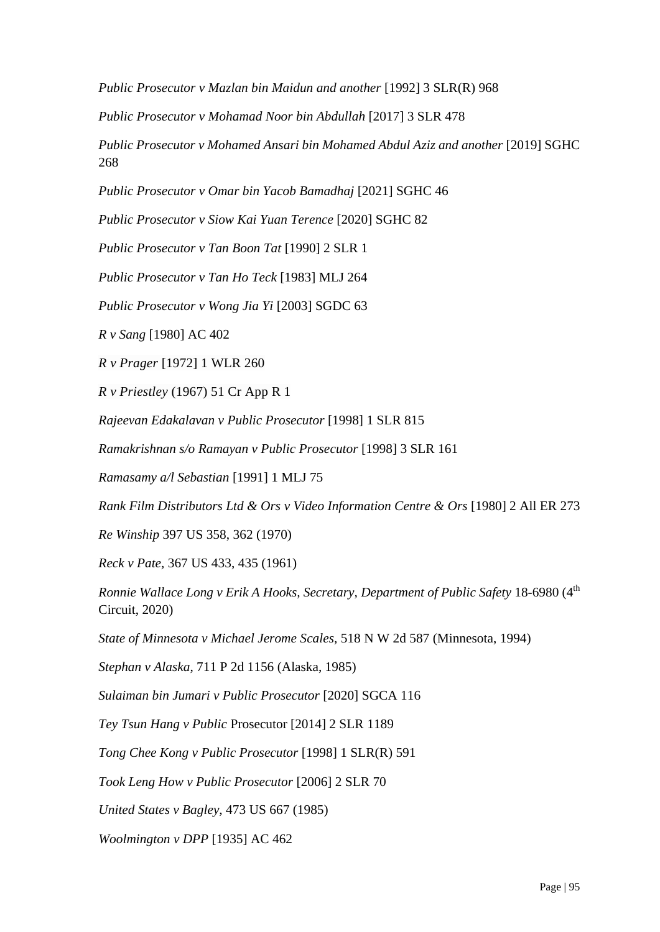*Public Prosecutor v Mazlan bin Maidun and another* [1992] 3 SLR(R) 968

*Public Prosecutor v Mohamad Noor bin Abdullah* [2017] 3 SLR 478

*Public Prosecutor v Mohamed Ansari bin Mohamed Abdul Aziz and another* [2019] SGHC 268

*Public Prosecutor v Omar bin Yacob Bamadhaj* [2021] SGHC 46

*Public Prosecutor v Siow Kai Yuan Terence* [2020] SGHC 82

*Public Prosecutor v Tan Boon Tat* [1990] 2 SLR 1

*Public Prosecutor v Tan Ho Teck* [1983] MLJ 264

*Public Prosecutor v Wong Jia Yi* [2003] SGDC 63

*R v Sang* [1980] AC 402

*R v Prager* [1972] 1 WLR 260

*R v Priestley* (1967) 51 Cr App R 1

*Rajeevan Edakalavan v Public Prosecutor* [1998] 1 SLR 815

*Ramakrishnan s/o Ramayan v Public Prosecutor* [1998] 3 SLR 161

*Ramasamy a/l Sebastian* [1991] 1 MLJ 75

*Rank Film Distributors Ltd & Ors v Video Information Centre & Ors* [1980] 2 All ER 273

*Re Winship* 397 US 358, 362 (1970)

*Reck v Pate,* 367 US 433, 435 (1961)

*Ronnie Wallace Long v Erik A Hooks, Secretary, Department of Public Safety* 18-6980 (4<sup>th</sup> Circuit, 2020)

*State of Minnesota v Michael Jerome Scales,* 518 N W 2d 587 (Minnesota, 1994)

*Stephan v Alaska*, 711 P 2d 1156 (Alaska, 1985)

*Sulaiman bin Jumari v Public Prosecutor* [2020] SGCA 116

*Tey Tsun Hang v Public* Prosecutor [2014] 2 SLR 1189

*Tong Chee Kong v Public Prosecutor* [1998] 1 SLR(R) 591

*Took Leng How v Public Prosecutor* [2006] 2 SLR 70

*United States v Bagley*, 473 US 667 (1985)

*Woolmington v DPP* [1935] AC 462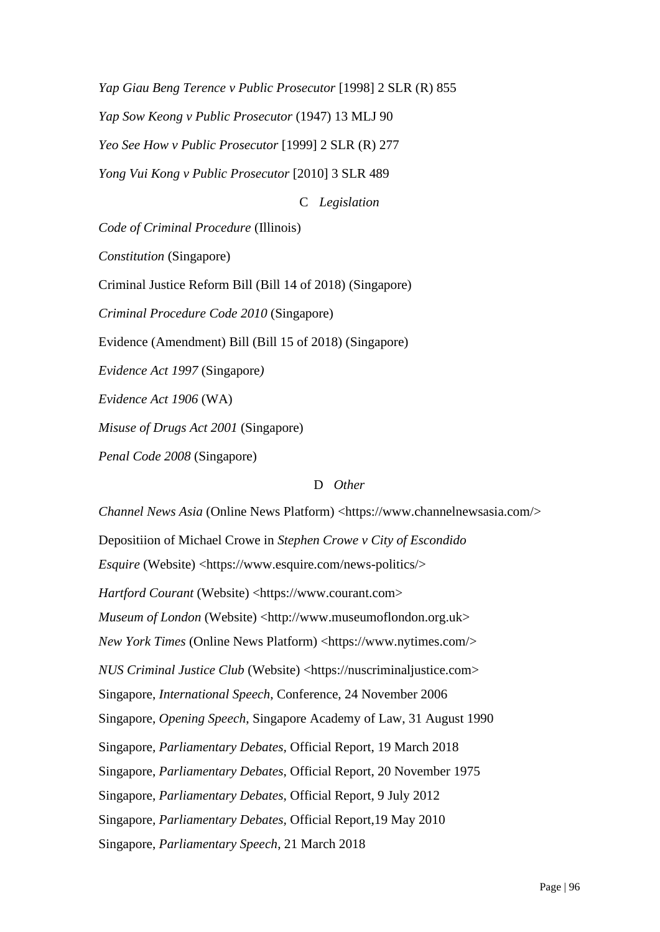*Yap Giau Beng Terence v Public Prosecutor* [1998] 2 SLR (R) 855 *Yap Sow Keong v Public Prosecutor* (1947) 13 MLJ 90 *Yeo See How v Public Prosecutor* [1999] 2 SLR (R) 277 *Yong Vui Kong v Public Prosecutor* [2010] 3 SLR 489

C *Legislation*

*Code of Criminal Procedure* (Illinois)

*Constitution* (Singapore)

Criminal Justice Reform Bill (Bill 14 of 2018) (Singapore)

*Criminal Procedure Code 2010* (Singapore)

Evidence (Amendment) Bill (Bill 15 of 2018) (Singapore)

*Evidence Act 1997* (Singapore*)*

*Evidence Act 1906* (WA)

*Misuse of Drugs Act 2001* (Singapore)

*Penal Code 2008* (Singapore)

#### D *Other*

*Channel News Asia* (Online News Platform) <https://www.channelnewsasia.com/>

Depositiion of Michael Crowe in *Stephen Crowe v City of Escondido*

*Esquire* (Website) <https://www.esquire.com/news-politics/>

*Hartford Courant* (Website) <https://www.courant.com>

*Museum of London* (Website) <http://www.museumoflondon.org.uk>

*New York Times* (Online News Platform) <https://www.nytimes.com/>

*NUS Criminal Justice Club* (Website) <https://nuscriminaljustice.com>

Singapore, *International Speech*, Conference, 24 November 2006

Singapore, *Opening Speech*, Singapore Academy of Law, 31 August 1990

Singapore*, Parliamentary Debates,* Official Report, 19 March 2018

Singapore, *Parliamentary Debates*, Official Report, 20 November 1975

Singapore, *Parliamentary Debates*, Official Report, 9 July 2012

Singapore*, Parliamentary Debates,* Official Report,19 May 2010

Singapore, *Parliamentary Speech*, 21 March 2018